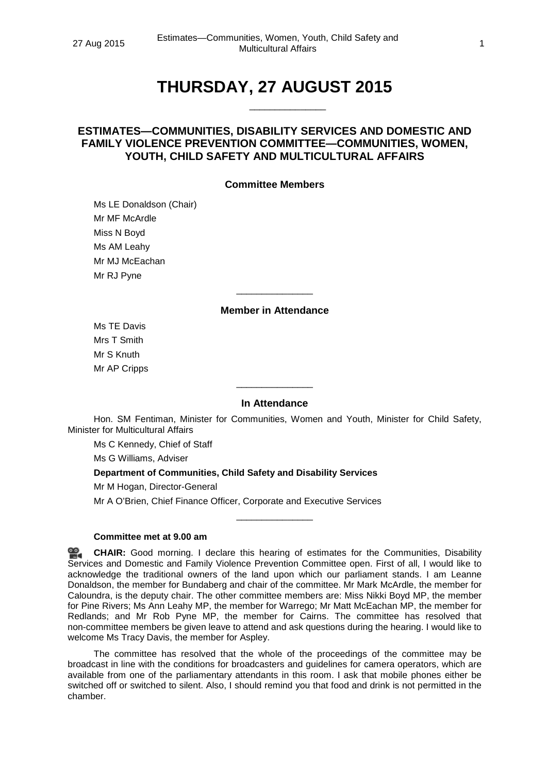# **THURSDAY, 27 AUGUST 2015**

\_\_\_\_\_\_\_\_\_\_\_\_\_\_\_

# **ESTIMATES—COMMUNITIES, DISABILITY SERVICES AND DOMESTIC AND FAMILY VIOLENCE PREVENTION COMMITTEE—COMMUNITIES, WOMEN, YOUTH, CHILD SAFETY AND MULTICULTURAL AFFAIRS**

# **Committee Members**

Ms LE Donaldson (Chair) Mr MF McArdle Miss N Boyd Ms AM Leahy Mr MJ McEachan Mr RJ Pyne

# **Member in Attendance**

\_\_\_\_\_\_\_\_\_\_\_\_\_\_\_

Ms TE Davis Mrs T Smith Mr S Knuth Mr AP Cripps

# **In Attendance**

\_\_\_\_\_\_\_\_\_\_\_\_\_\_\_

Hon. SM Fentiman, Minister for Communities, Women and Youth, Minister for Child Safety, Minister for Multicultural Affairs

Ms C Kennedy, Chief of Staff

Ms G Williams, Adviser

# **Department of Communities, Child Safety and Disability Services**

Mr M Hogan, Director-General

Mr A O'Brien, Chief Finance Officer, Corporate and Executive Services

#### **Committee met at 9.00 am**

**[CHAIR:](http://www.parliament.qld.gov.au/docs/find.aspx?id=0Mba20150827_090025)** Good morning. I declare this hearing of estimates for the Communities, Disability Services and Domestic and Family Violence Prevention Committee open. First of all, I would like to acknowledge the traditional owners of the land upon which our parliament stands. I am Leanne Donaldson, the member for Bundaberg and chair of the committee. Mr Mark McArdle, the member for Caloundra, is the deputy chair. The other committee members are: Miss Nikki Boyd MP, the member for Pine Rivers; Ms Ann Leahy MP, the member for Warrego; Mr Matt McEachan MP, the member for Redlands; and Mr Rob Pyne MP, the member for Cairns. The committee has resolved that non-committee members be given leave to attend and ask questions during the hearing. I would like to welcome Ms Tracy Davis, the member for Aspley.

\_\_\_\_\_\_\_\_\_\_\_\_\_\_\_

The committee has resolved that the whole of the proceedings of the committee may be broadcast in line with the conditions for broadcasters and guidelines for camera operators, which are available from one of the parliamentary attendants in this room. I ask that mobile phones either be switched off or switched to silent. Also, I should remind you that food and drink is not permitted in the chamber.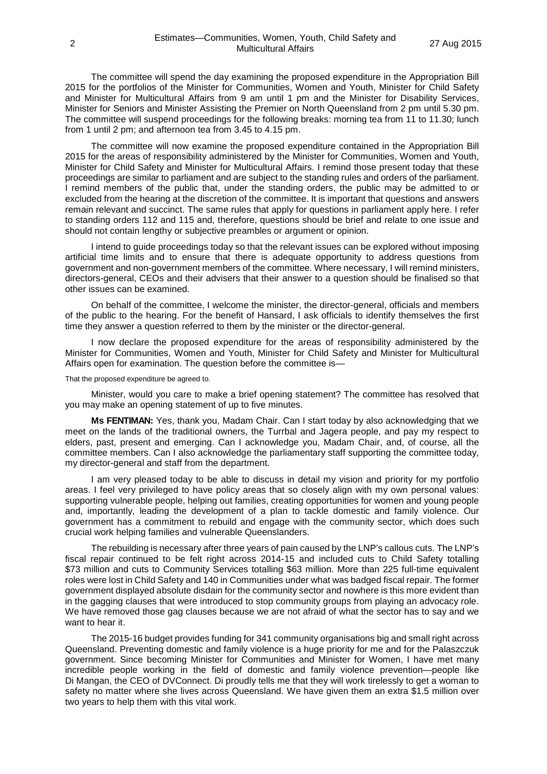The committee will spend the day examining the proposed expenditure in the Appropriation Bill 2015 for the portfolios of the Minister for Communities, Women and Youth, Minister for Child Safety and Minister for Multicultural Affairs from 9 am until 1 pm and the Minister for Disability Services, Minister for Seniors and Minister Assisting the Premier on North Queensland from 2 pm until 5.30 pm. The committee will suspend proceedings for the following breaks: morning tea from 11 to 11.30; lunch from 1 until 2 pm; and afternoon tea from 3.45 to 4.15 pm.

The committee will now examine the proposed expenditure contained in the Appropriation Bill 2015 for the areas of responsibility administered by the Minister for Communities, Women and Youth, Minister for Child Safety and Minister for Multicultural Affairs. I remind those present today that these proceedings are similar to parliament and are subject to the standing rules and orders of the parliament. I remind members of the public that, under the standing orders, the public may be admitted to or excluded from the hearing at the discretion of the committee. It is important that questions and answers remain relevant and succinct. The same rules that apply for questions in parliament apply here. I refer to standing orders 112 and 115 and, therefore, questions should be brief and relate to one issue and should not contain lengthy or subjective preambles or argument or opinion.

I intend to guide proceedings today so that the relevant issues can be explored without imposing artificial time limits and to ensure that there is adequate opportunity to address questions from government and non-government members of the committee. Where necessary, I will remind ministers, directors-general, CEOs and their advisers that their answer to a question should be finalised so that other issues can be examined.

On behalf of the committee, I welcome the minister, the director-general, officials and members of the public to the hearing. For the benefit of Hansard, I ask officials to identify themselves the first time they answer a question referred to them by the minister or the director-general.

I now declare the proposed expenditure for the areas of responsibility administered by the Minister for Communities, Women and Youth, Minister for Child Safety and Minister for Multicultural Affairs open for examination. The question before the committee is—

That the proposed expenditure be agreed to.

Minister, would you care to make a brief opening statement? The committee has resolved that you may make an opening statement of up to five minutes.

**Ms FENTIMAN:** Yes, thank you, Madam Chair. Can I start today by also acknowledging that we meet on the lands of the traditional owners, the Turrbal and Jagera people, and pay my respect to elders, past, present and emerging. Can I acknowledge you, Madam Chair, and, of course, all the committee members. Can I also acknowledge the parliamentary staff supporting the committee today, my director-general and staff from the department.

I am very pleased today to be able to discuss in detail my vision and priority for my portfolio areas. I feel very privileged to have policy areas that so closely align with my own personal values: supporting vulnerable people, helping out families, creating opportunities for women and young people and, importantly, leading the development of a plan to tackle domestic and family violence. Our government has a commitment to rebuild and engage with the community sector, which does such crucial work helping families and vulnerable Queenslanders.

The rebuilding is necessary after three years of pain caused by the LNP's callous cuts. The LNP's fiscal repair continued to be felt right across 2014-15 and included cuts to Child Safety totalling \$73 million and cuts to Community Services totalling \$63 million. More than 225 full-time equivalent roles were lost in Child Safety and 140 in Communities under what was badged fiscal repair. The former government displayed absolute disdain for the community sector and nowhere is this more evident than in the gagging clauses that were introduced to stop community groups from playing an advocacy role. We have removed those gag clauses because we are not afraid of what the sector has to say and we want to hear it.

The 2015-16 budget provides funding for 341 community organisations big and small right across Queensland. Preventing domestic and family violence is a huge priority for me and for the Palaszczuk government. Since becoming Minister for Communities and Minister for Women, I have met many incredible people working in the field of domestic and family violence prevention—people like Di Mangan, the CEO of DVConnect. Di proudly tells me that they will work tirelessly to get a woman to safety no matter where she lives across Queensland. We have given them an extra \$1.5 million over two years to help them with this vital work.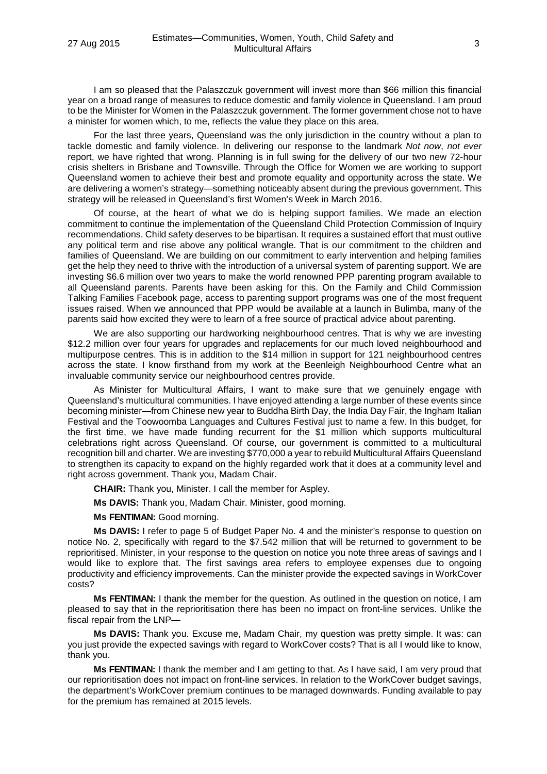I am so pleased that the Palaszczuk government will invest more than \$66 million this financial year on a broad range of measures to reduce domestic and family violence in Queensland. I am proud to be the Minister for Women in the Palaszczuk government. The former government chose not to have a minister for women which, to me, reflects the value they place on this area.

For the last three years, Queensland was the only jurisdiction in the country without a plan to tackle domestic and family violence. In delivering our response to the landmark *Not now*, *not ever* report, we have righted that wrong. Planning is in full swing for the delivery of our two new 72-hour crisis shelters in Brisbane and Townsville. Through the Office for Women we are working to support Queensland women to achieve their best and promote equality and opportunity across the state. We are delivering a women's strategy—something noticeably absent during the previous government. This strategy will be released in Queensland's first Women's Week in March 2016.

Of course, at the heart of what we do is helping support families. We made an election commitment to continue the implementation of the Queensland Child Protection Commission of Inquiry recommendations. Child safety deserves to be bipartisan. It requires a sustained effort that must outlive any political term and rise above any political wrangle. That is our commitment to the children and families of Queensland. We are building on our commitment to early intervention and helping families get the help they need to thrive with the introduction of a universal system of parenting support. We are investing \$6.6 million over two years to make the world renowned PPP parenting program available to all Queensland parents. Parents have been asking for this. On the Family and Child Commission Talking Families Facebook page, access to parenting support programs was one of the most frequent issues raised. When we announced that PPP would be available at a launch in Bulimba, many of the parents said how excited they were to learn of a free source of practical advice about parenting.

We are also supporting our hardworking neighbourhood centres. That is why we are investing \$12.2 million over four years for upgrades and replacements for our much loved neighbourhood and multipurpose centres. This is in addition to the \$14 million in support for 121 neighbourhood centres across the state. I know firsthand from my work at the Beenleigh Neighbourhood Centre what an invaluable community service our neighbourhood centres provide.

As Minister for Multicultural Affairs, I want to make sure that we genuinely engage with Queensland's multicultural communities. I have enjoyed attending a large number of these events since becoming minister—from Chinese new year to Buddha Birth Day, the India Day Fair, the Ingham Italian Festival and the Toowoomba Languages and Cultures Festival just to name a few. In this budget, for the first time, we have made funding recurrent for the \$1 million which supports multicultural celebrations right across Queensland. Of course, our government is committed to a multicultural recognition bill and charter. We are investing \$770,000 a year to rebuild Multicultural Affairs Queensland to strengthen its capacity to expand on the highly regarded work that it does at a community level and right across government. Thank you, Madam Chair.

**CHAIR:** Thank you, Minister. I call the member for Aspley.

**Ms DAVIS:** Thank you, Madam Chair. Minister, good morning.

**Ms FENTIMAN:** Good morning.

**Ms DAVIS:** I refer to page 5 of Budget Paper No. 4 and the minister's response to question on notice No. 2, specifically with regard to the \$7.542 million that will be returned to government to be reprioritised. Minister, in your response to the question on notice you note three areas of savings and I would like to explore that. The first savings area refers to employee expenses due to ongoing productivity and efficiency improvements. Can the minister provide the expected savings in WorkCover costs?

**Ms FENTIMAN:** I thank the member for the question. As outlined in the question on notice, I am pleased to say that in the reprioritisation there has been no impact on front-line services. Unlike the fiscal repair from the LNP—

**Ms DAVIS:** Thank you. Excuse me, Madam Chair, my question was pretty simple. It was: can you just provide the expected savings with regard to WorkCover costs? That is all I would like to know, thank you.

**Ms FENTIMAN:** I thank the member and I am getting to that. As I have said, I am very proud that our reprioritisation does not impact on front-line services. In relation to the WorkCover budget savings, the department's WorkCover premium continues to be managed downwards. Funding available to pay for the premium has remained at 2015 levels.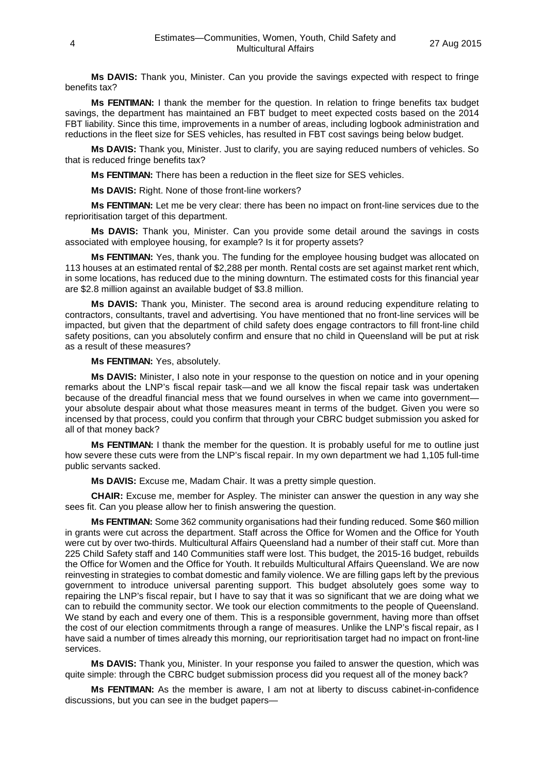**Ms DAVIS:** Thank you, Minister. Can you provide the savings expected with respect to fringe benefits tax?

**Ms FENTIMAN:** I thank the member for the question. In relation to fringe benefits tax budget savings, the department has maintained an FBT budget to meet expected costs based on the 2014 FBT liability. Since this time, improvements in a number of areas, including logbook administration and reductions in the fleet size for SES vehicles, has resulted in FBT cost savings being below budget.

**Ms DAVIS:** Thank you, Minister. Just to clarify, you are saying reduced numbers of vehicles. So that is reduced fringe benefits tax?

**Ms FENTIMAN:** There has been a reduction in the fleet size for SES vehicles.

**Ms DAVIS:** Right. None of those front-line workers?

**Ms FENTIMAN:** Let me be very clear: there has been no impact on front-line services due to the reprioritisation target of this department.

**Ms DAVIS:** Thank you, Minister. Can you provide some detail around the savings in costs associated with employee housing, for example? Is it for property assets?

**Ms FENTIMAN:** Yes, thank you. The funding for the employee housing budget was allocated on 113 houses at an estimated rental of \$2,288 per month. Rental costs are set against market rent which, in some locations, has reduced due to the mining downturn. The estimated costs for this financial year are \$2.8 million against an available budget of \$3.8 million.

**Ms DAVIS:** Thank you, Minister. The second area is around reducing expenditure relating to contractors, consultants, travel and advertising. You have mentioned that no front-line services will be impacted, but given that the department of child safety does engage contractors to fill front-line child safety positions, can you absolutely confirm and ensure that no child in Queensland will be put at risk as a result of these measures?

**Ms FENTIMAN:** Yes, absolutely.

**Ms DAVIS:** Minister, I also note in your response to the question on notice and in your opening remarks about the LNP's fiscal repair task—and we all know the fiscal repair task was undertaken because of the dreadful financial mess that we found ourselves in when we came into government your absolute despair about what those measures meant in terms of the budget. Given you were so incensed by that process, could you confirm that through your CBRC budget submission you asked for all of that money back?

**Ms FENTIMAN:** I thank the member for the question. It is probably useful for me to outline just how severe these cuts were from the LNP's fiscal repair. In my own department we had 1,105 full-time public servants sacked.

**Ms DAVIS:** Excuse me, Madam Chair. It was a pretty simple question.

**CHAIR:** Excuse me, member for Aspley. The minister can answer the question in any way she sees fit. Can you please allow her to finish answering the question.

**Ms FENTIMAN:** Some 362 community organisations had their funding reduced. Some \$60 million in grants were cut across the department. Staff across the Office for Women and the Office for Youth were cut by over two-thirds. Multicultural Affairs Queensland had a number of their staff cut. More than 225 Child Safety staff and 140 Communities staff were lost. This budget, the 2015-16 budget, rebuilds the Office for Women and the Office for Youth. It rebuilds Multicultural Affairs Queensland. We are now reinvesting in strategies to combat domestic and family violence. We are filling gaps left by the previous government to introduce universal parenting support. This budget absolutely goes some way to repairing the LNP's fiscal repair, but I have to say that it was so significant that we are doing what we can to rebuild the community sector. We took our election commitments to the people of Queensland. We stand by each and every one of them. This is a responsible government, having more than offset the cost of our election commitments through a range of measures. Unlike the LNP's fiscal repair, as I have said a number of times already this morning, our reprioritisation target had no impact on front-line services.

**Ms DAVIS:** Thank you, Minister. In your response you failed to answer the question, which was quite simple: through the CBRC budget submission process did you request all of the money back?

**Ms FENTIMAN:** As the member is aware, I am not at liberty to discuss cabinet-in-confidence discussions, but you can see in the budget papers—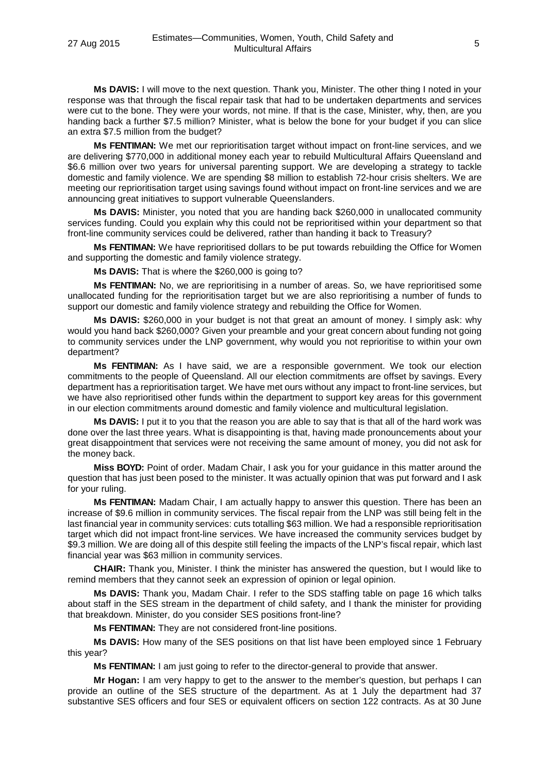**Ms DAVIS:** I will move to the next question. Thank you, Minister. The other thing I noted in your response was that through the fiscal repair task that had to be undertaken departments and services were cut to the bone. They were your words, not mine. If that is the case, Minister, why, then, are you handing back a further \$7.5 million? Minister, what is below the bone for your budget if you can slice an extra \$7.5 million from the budget?

**Ms FENTIMAN:** We met our reprioritisation target without impact on front-line services, and we are delivering \$770,000 in additional money each year to rebuild Multicultural Affairs Queensland and \$6.6 million over two years for universal parenting support. We are developing a strategy to tackle domestic and family violence. We are spending \$8 million to establish 72-hour crisis shelters. We are meeting our reprioritisation target using savings found without impact on front-line services and we are announcing great initiatives to support vulnerable Queenslanders.

**Ms DAVIS:** Minister, you noted that you are handing back \$260,000 in unallocated community services funding. Could you explain why this could not be reprioritised within your department so that front-line community services could be delivered, rather than handing it back to Treasury?

**Ms FENTIMAN:** We have reprioritised dollars to be put towards rebuilding the Office for Women and supporting the domestic and family violence strategy.

**Ms DAVIS:** That is where the \$260,000 is going to?

**Ms FENTIMAN:** No, we are reprioritising in a number of areas. So, we have reprioritised some unallocated funding for the reprioritisation target but we are also reprioritising a number of funds to support our domestic and family violence strategy and rebuilding the Office for Women.

**Ms DAVIS:** \$260,000 in your budget is not that great an amount of money. I simply ask: why would vou hand back \$260,000? Given your preamble and your great concern about funding not going to community services under the LNP government, why would you not reprioritise to within your own department?

**Ms FENTIMAN:** As I have said, we are a responsible government. We took our election commitments to the people of Queensland. All our election commitments are offset by savings. Every department has a reprioritisation target. We have met ours without any impact to front-line services, but we have also reprioritised other funds within the department to support key areas for this government in our election commitments around domestic and family violence and multicultural legislation.

**Ms DAVIS:** I put it to you that the reason you are able to say that is that all of the hard work was done over the last three years. What is disappointing is that, having made pronouncements about your great disappointment that services were not receiving the same amount of money, you did not ask for the money back.

**Miss BOYD:** Point of order. Madam Chair, I ask you for your guidance in this matter around the question that has just been posed to the minister. It was actually opinion that was put forward and I ask for your ruling.

**Ms FENTIMAN:** Madam Chair, I am actually happy to answer this question. There has been an increase of \$9.6 million in community services. The fiscal repair from the LNP was still being felt in the last financial year in community services: cuts totalling \$63 million. We had a responsible reprioritisation target which did not impact front-line services. We have increased the community services budget by \$9.3 million. We are doing all of this despite still feeling the impacts of the LNP's fiscal repair, which last financial year was \$63 million in community services.

**CHAIR:** Thank you, Minister. I think the minister has answered the question, but I would like to remind members that they cannot seek an expression of opinion or legal opinion.

**Ms DAVIS:** Thank you, Madam Chair. I refer to the SDS staffing table on page 16 which talks about staff in the SES stream in the department of child safety, and I thank the minister for providing that breakdown. Minister, do you consider SES positions front-line?

**Ms FENTIMAN:** They are not considered front-line positions.

**Ms DAVIS:** How many of the SES positions on that list have been employed since 1 February this year?

**Ms FENTIMAN:** I am just going to refer to the director-general to provide that answer.

**Mr Hogan:** I am very happy to get to the answer to the member's question, but perhaps I can provide an outline of the SES structure of the department. As at 1 July the department had 37 substantive SES officers and four SES or equivalent officers on section 122 contracts. As at 30 June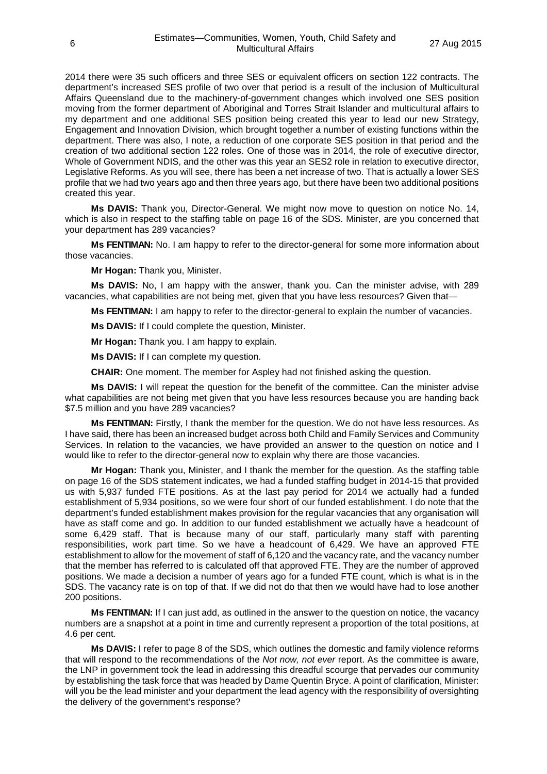2014 there were 35 such officers and three SES or equivalent officers on section 122 contracts. The department's increased SES profile of two over that period is a result of the inclusion of Multicultural Affairs Queensland due to the machinery-of-government changes which involved one SES position moving from the former department of Aboriginal and Torres Strait Islander and multicultural affairs to my department and one additional SES position being created this year to lead our new Strategy, Engagement and Innovation Division, which brought together a number of existing functions within the department. There was also, I note, a reduction of one corporate SES position in that period and the creation of two additional section 122 roles. One of those was in 2014, the role of executive director, Whole of Government NDIS, and the other was this year an SES2 role in relation to executive director, Legislative Reforms. As you will see, there has been a net increase of two. That is actually a lower SES profile that we had two years ago and then three years ago, but there have been two additional positions created this year.

**Ms DAVIS:** Thank you, Director-General. We might now move to question on notice No. 14, which is also in respect to the staffing table on page 16 of the SDS. Minister, are you concerned that your department has 289 vacancies?

**Ms FENTIMAN:** No. I am happy to refer to the director-general for some more information about those vacancies.

**Mr Hogan:** Thank you, Minister.

**Ms DAVIS:** No, I am happy with the answer, thank you. Can the minister advise, with 289 vacancies, what capabilities are not being met, given that you have less resources? Given that—

**Ms FENTIMAN:** I am happy to refer to the director-general to explain the number of vacancies.

**Ms DAVIS:** If I could complete the question, Minister.

**Mr Hogan:** Thank you. I am happy to explain.

**Ms DAVIS:** If I can complete my question.

**CHAIR:** One moment. The member for Aspley had not finished asking the question.

**Ms DAVIS:** I will repeat the question for the benefit of the committee. Can the minister advise what capabilities are not being met given that you have less resources because you are handing back \$7.5 million and you have 289 vacancies?

**Ms FENTIMAN:** Firstly, I thank the member for the question. We do not have less resources. As I have said, there has been an increased budget across both Child and Family Services and Community Services. In relation to the vacancies, we have provided an answer to the question on notice and I would like to refer to the director-general now to explain why there are those vacancies.

**Mr Hogan:** Thank you, Minister, and I thank the member for the question. As the staffing table on page 16 of the SDS statement indicates, we had a funded staffing budget in 2014-15 that provided us with 5,937 funded FTE positions. As at the last pay period for 2014 we actually had a funded establishment of 5,934 positions, so we were four short of our funded establishment. I do note that the department's funded establishment makes provision for the regular vacancies that any organisation will have as staff come and go. In addition to our funded establishment we actually have a headcount of some 6,429 staff. That is because many of our staff, particularly many staff with parenting responsibilities, work part time. So we have a headcount of 6,429. We have an approved FTE establishment to allow for the movement of staff of 6,120 and the vacancy rate, and the vacancy number that the member has referred to is calculated off that approved FTE. They are the number of approved positions. We made a decision a number of years ago for a funded FTE count, which is what is in the SDS. The vacancy rate is on top of that. If we did not do that then we would have had to lose another 200 positions.

**Ms FENTIMAN:** If I can just add, as outlined in the answer to the question on notice, the vacancy numbers are a snapshot at a point in time and currently represent a proportion of the total positions, at 4.6 per cent.

**Ms DAVIS:** I refer to page 8 of the SDS, which outlines the domestic and family violence reforms that will respond to the recommendations of the *Not now, not ever* report. As the committee is aware, the LNP in government took the lead in addressing this dreadful scourge that pervades our community by establishing the task force that was headed by Dame Quentin Bryce. A point of clarification, Minister: will you be the lead minister and your department the lead agency with the responsibility of oversighting the delivery of the government's response?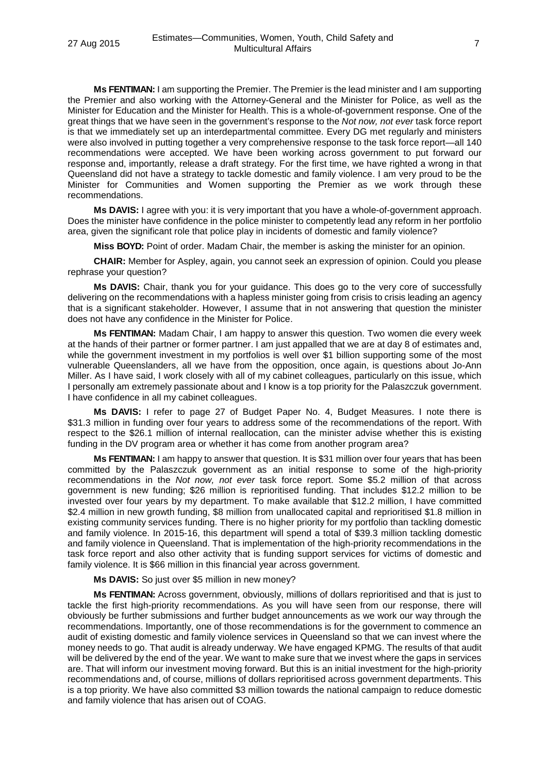**Ms FENTIMAN:** I am supporting the Premier. The Premier is the lead minister and I am supporting the Premier and also working with the Attorney-General and the Minister for Police, as well as the Minister for Education and the Minister for Health. This is a whole-of-government response. One of the great things that we have seen in the government's response to the *Not now, not ever* task force report is that we immediately set up an interdepartmental committee. Every DG met regularly and ministers were also involved in putting together a very comprehensive response to the task force report—all 140 recommendations were accepted. We have been working across government to put forward our response and, importantly, release a draft strategy. For the first time, we have righted a wrong in that Queensland did not have a strategy to tackle domestic and family violence. I am very proud to be the Minister for Communities and Women supporting the Premier as we work through these recommendations.

**Ms DAVIS:** I agree with you: it is very important that you have a whole-of-government approach. Does the minister have confidence in the police minister to competently lead any reform in her portfolio area, given the significant role that police play in incidents of domestic and family violence?

**Miss BOYD:** Point of order. Madam Chair, the member is asking the minister for an opinion.

**CHAIR:** Member for Aspley, again, you cannot seek an expression of opinion. Could you please rephrase your question?

**Ms DAVIS:** Chair, thank you for your guidance. This does go to the very core of successfully delivering on the recommendations with a hapless minister going from crisis to crisis leading an agency that is a significant stakeholder. However, I assume that in not answering that question the minister does not have any confidence in the Minister for Police.

**Ms FENTIMAN:** Madam Chair, I am happy to answer this question. Two women die every week at the hands of their partner or former partner. I am just appalled that we are at day 8 of estimates and, while the government investment in my portfolios is well over \$1 billion supporting some of the most vulnerable Queenslanders, all we have from the opposition, once again, is questions about Jo-Ann Miller. As I have said, I work closely with all of my cabinet colleagues, particularly on this issue, which I personally am extremely passionate about and I know is a top priority for the Palaszczuk government. I have confidence in all my cabinet colleagues.

**Ms DAVIS:** I refer to page 27 of Budget Paper No. 4, Budget Measures. I note there is \$31.3 million in funding over four years to address some of the recommendations of the report. With respect to the \$26.1 million of internal reallocation, can the minister advise whether this is existing funding in the DV program area or whether it has come from another program area?

**Ms FENTIMAN:** I am happy to answer that question. It is \$31 million over four years that has been committed by the Palaszczuk government as an initial response to some of the high-priority recommendations in the *Not now, not ever* task force report. Some \$5.2 million of that across government is new funding; \$26 million is reprioritised funding. That includes \$12.2 million to be invested over four years by my department. To make available that \$12.2 million, I have committed \$2.4 million in new growth funding, \$8 million from unallocated capital and reprioritised \$1.8 million in existing community services funding. There is no higher priority for my portfolio than tackling domestic and family violence. In 2015-16, this department will spend a total of \$39.3 million tackling domestic and family violence in Queensland. That is implementation of the high-priority recommendations in the task force report and also other activity that is funding support services for victims of domestic and family violence. It is \$66 million in this financial year across government.

**Ms DAVIS:** So just over \$5 million in new money?

**Ms FENTIMAN:** Across government, obviously, millions of dollars reprioritised and that is just to tackle the first high-priority recommendations. As you will have seen from our response, there will obviously be further submissions and further budget announcements as we work our way through the recommendations. Importantly, one of those recommendations is for the government to commence an audit of existing domestic and family violence services in Queensland so that we can invest where the money needs to go. That audit is already underway. We have engaged KPMG. The results of that audit will be delivered by the end of the year. We want to make sure that we invest where the gaps in services are. That will inform our investment moving forward. But this is an initial investment for the high-priority recommendations and, of course, millions of dollars reprioritised across government departments. This is a top priority. We have also committed \$3 million towards the national campaign to reduce domestic and family violence that has arisen out of COAG.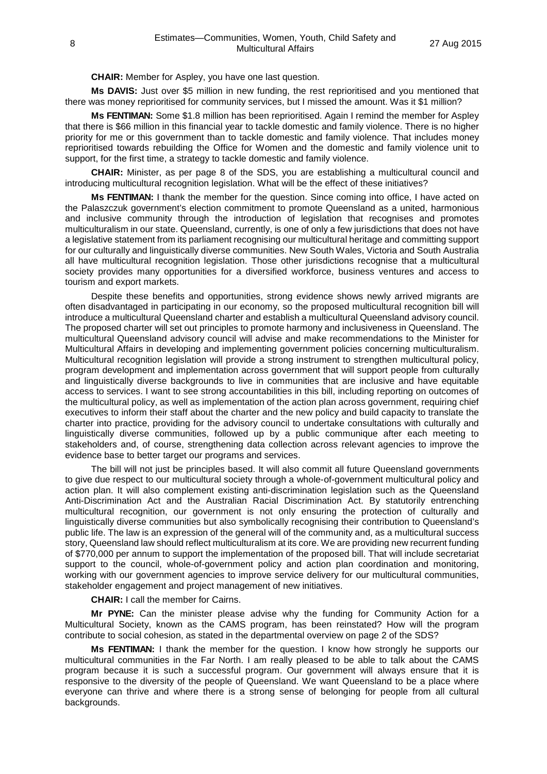**CHAIR:** Member for Aspley, you have one last question.

**Ms DAVIS:** Just over \$5 million in new funding, the rest reprioritised and you mentioned that there was money reprioritised for community services, but I missed the amount. Was it \$1 million?

**Ms FENTIMAN:** Some \$1.8 million has been reprioritised. Again I remind the member for Aspley that there is \$66 million in this financial year to tackle domestic and family violence. There is no higher priority for me or this government than to tackle domestic and family violence. That includes money reprioritised towards rebuilding the Office for Women and the domestic and family violence unit to support, for the first time, a strategy to tackle domestic and family violence.

**CHAIR:** Minister, as per page 8 of the SDS, you are establishing a multicultural council and introducing multicultural recognition legislation. What will be the effect of these initiatives?

**Ms FENTIMAN:** I thank the member for the question. Since coming into office, I have acted on the Palaszczuk government's election commitment to promote Queensland as a united, harmonious and inclusive community through the introduction of legislation that recognises and promotes multiculturalism in our state. Queensland, currently, is one of only a few jurisdictions that does not have a legislative statement from its parliament recognising our multicultural heritage and committing support for our culturally and linguistically diverse communities. New South Wales, Victoria and South Australia all have multicultural recognition legislation. Those other jurisdictions recognise that a multicultural society provides many opportunities for a diversified workforce, business ventures and access to tourism and export markets.

Despite these benefits and opportunities, strong evidence shows newly arrived migrants are often disadvantaged in participating in our economy, so the proposed multicultural recognition bill will introduce a multicultural Queensland charter and establish a multicultural Queensland advisory council. The proposed charter will set out principles to promote harmony and inclusiveness in Queensland. The multicultural Queensland advisory council will advise and make recommendations to the Minister for Multicultural Affairs in developing and implementing government policies concerning multiculturalism. Multicultural recognition legislation will provide a strong instrument to strengthen multicultural policy, program development and implementation across government that will support people from culturally and linguistically diverse backgrounds to live in communities that are inclusive and have equitable access to services. I want to see strong accountabilities in this bill, including reporting on outcomes of the multicultural policy, as well as implementation of the action plan across government, requiring chief executives to inform their staff about the charter and the new policy and build capacity to translate the charter into practice, providing for the advisory council to undertake consultations with culturally and linguistically diverse communities, followed up by a public communique after each meeting to stakeholders and, of course, strengthening data collection across relevant agencies to improve the evidence base to better target our programs and services.

The bill will not just be principles based. It will also commit all future Queensland governments to give due respect to our multicultural society through a whole-of-government multicultural policy and action plan. It will also complement existing anti-discrimination legislation such as the Queensland Anti-Discrimination Act and the Australian Racial Discrimination Act. By statutorily entrenching multicultural recognition, our government is not only ensuring the protection of culturally and linguistically diverse communities but also symbolically recognising their contribution to Queensland's public life. The law is an expression of the general will of the community and, as a multicultural success story, Queensland law should reflect multiculturalism at its core. We are providing new recurrent funding of \$770,000 per annum to support the implementation of the proposed bill. That will include secretariat support to the council, whole-of-government policy and action plan coordination and monitoring, working with our government agencies to improve service delivery for our multicultural communities, stakeholder engagement and project management of new initiatives.

**CHAIR:** I call the member for Cairns.

**Mr PYNE:** Can the minister please advise why the funding for Community Action for a Multicultural Society, known as the CAMS program, has been reinstated? How will the program contribute to social cohesion, as stated in the departmental overview on page 2 of the SDS?

**Ms FENTIMAN:** I thank the member for the question. I know how strongly he supports our multicultural communities in the Far North. I am really pleased to be able to talk about the CAMS program because it is such a successful program. Our government will always ensure that it is responsive to the diversity of the people of Queensland. We want Queensland to be a place where everyone can thrive and where there is a strong sense of belonging for people from all cultural backgrounds.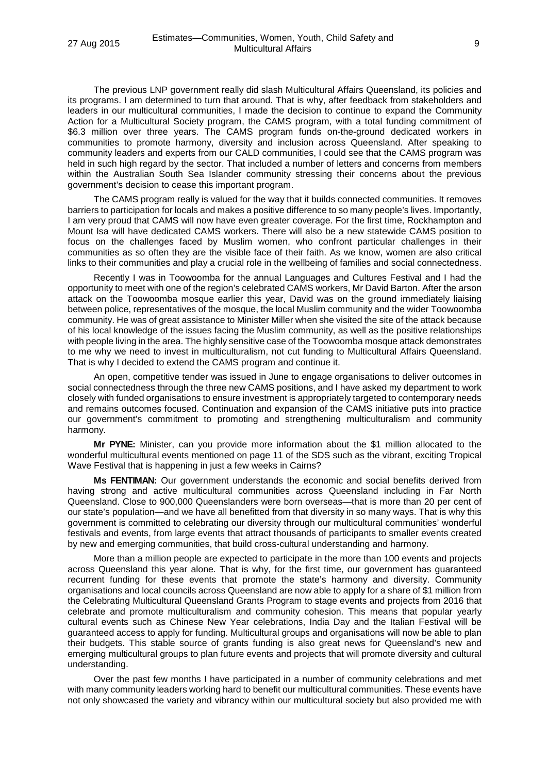The previous LNP government really did slash Multicultural Affairs Queensland, its policies and its programs. I am determined to turn that around. That is why, after feedback from stakeholders and leaders in our multicultural communities, I made the decision to continue to expand the Community Action for a Multicultural Society program, the CAMS program, with a total funding commitment of \$6.3 million over three years. The CAMS program funds on-the-ground dedicated workers in communities to promote harmony, diversity and inclusion across Queensland. After speaking to community leaders and experts from our CALD communities, I could see that the CAMS program was held in such high regard by the sector. That included a number of letters and concerns from members within the Australian South Sea Islander community stressing their concerns about the previous government's decision to cease this important program.

The CAMS program really is valued for the way that it builds connected communities. It removes barriers to participation for locals and makes a positive difference to so many people's lives. Importantly, I am very proud that CAMS will now have even greater coverage. For the first time, Rockhampton and Mount Isa will have dedicated CAMS workers. There will also be a new statewide CAMS position to focus on the challenges faced by Muslim women, who confront particular challenges in their communities as so often they are the visible face of their faith. As we know, women are also critical links to their communities and play a crucial role in the wellbeing of families and social connectedness.

Recently I was in Toowoomba for the annual Languages and Cultures Festival and I had the opportunity to meet with one of the region's celebrated CAMS workers, Mr David Barton. After the arson attack on the Toowoomba mosque earlier this year, David was on the ground immediately liaising between police, representatives of the mosque, the local Muslim community and the wider Toowoomba community. He was of great assistance to Minister Miller when she visited the site of the attack because of his local knowledge of the issues facing the Muslim community, as well as the positive relationships with people living in the area. The highly sensitive case of the Toowoomba mosque attack demonstrates to me why we need to invest in multiculturalism, not cut funding to Multicultural Affairs Queensland. That is why I decided to extend the CAMS program and continue it.

An open, competitive tender was issued in June to engage organisations to deliver outcomes in social connectedness through the three new CAMS positions, and I have asked my department to work closely with funded organisations to ensure investment is appropriately targeted to contemporary needs and remains outcomes focused. Continuation and expansion of the CAMS initiative puts into practice our government's commitment to promoting and strengthening multiculturalism and community harmony.

**Mr PYNE:** Minister, can you provide more information about the \$1 million allocated to the wonderful multicultural events mentioned on page 11 of the SDS such as the vibrant, exciting Tropical Wave Festival that is happening in just a few weeks in Cairns?

**Ms FENTIMAN:** Our government understands the economic and social benefits derived from having strong and active multicultural communities across Queensland including in Far North Queensland. Close to 900,000 Queenslanders were born overseas—that is more than 20 per cent of our state's population—and we have all benefitted from that diversity in so many ways. That is why this government is committed to celebrating our diversity through our multicultural communities' wonderful festivals and events, from large events that attract thousands of participants to smaller events created by new and emerging communities, that build cross-cultural understanding and harmony.

More than a million people are expected to participate in the more than 100 events and projects across Queensland this year alone. That is why, for the first time, our government has guaranteed recurrent funding for these events that promote the state's harmony and diversity. Community organisations and local councils across Queensland are now able to apply for a share of \$1 million from the Celebrating Multicultural Queensland Grants Program to stage events and projects from 2016 that celebrate and promote multiculturalism and community cohesion. This means that popular yearly cultural events such as Chinese New Year celebrations, India Day and the Italian Festival will be guaranteed access to apply for funding. Multicultural groups and organisations will now be able to plan their budgets. This stable source of grants funding is also great news for Queensland's new and emerging multicultural groups to plan future events and projects that will promote diversity and cultural understanding.

Over the past few months I have participated in a number of community celebrations and met with many community leaders working hard to benefit our multicultural communities. These events have not only showcased the variety and vibrancy within our multicultural society but also provided me with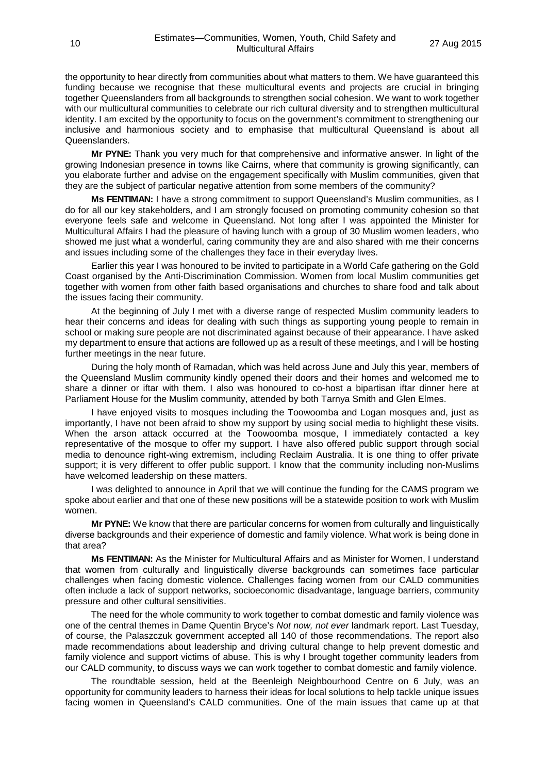the opportunity to hear directly from communities about what matters to them. We have guaranteed this funding because we recognise that these multicultural events and projects are crucial in bringing together Queenslanders from all backgrounds to strengthen social cohesion. We want to work together with our multicultural communities to celebrate our rich cultural diversity and to strengthen multicultural identity. I am excited by the opportunity to focus on the government's commitment to strengthening our inclusive and harmonious society and to emphasise that multicultural Queensland is about all Queenslanders.

**Mr PYNE:** Thank you very much for that comprehensive and informative answer. In light of the growing Indonesian presence in towns like Cairns, where that community is growing significantly, can you elaborate further and advise on the engagement specifically with Muslim communities, given that they are the subject of particular negative attention from some members of the community?

**Ms FENTIMAN:** I have a strong commitment to support Queensland's Muslim communities, as I do for all our key stakeholders, and I am strongly focused on promoting community cohesion so that everyone feels safe and welcome in Queensland. Not long after I was appointed the Minister for Multicultural Affairs I had the pleasure of having lunch with a group of 30 Muslim women leaders, who showed me just what a wonderful, caring community they are and also shared with me their concerns and issues including some of the challenges they face in their everyday lives.

Earlier this year I was honoured to be invited to participate in a World Cafe gathering on the Gold Coast organised by the Anti-Discrimination Commission. Women from local Muslim communities get together with women from other faith based organisations and churches to share food and talk about the issues facing their community.

At the beginning of July I met with a diverse range of respected Muslim community leaders to hear their concerns and ideas for dealing with such things as supporting young people to remain in school or making sure people are not discriminated against because of their appearance. I have asked my department to ensure that actions are followed up as a result of these meetings, and I will be hosting further meetings in the near future.

During the holy month of Ramadan, which was held across June and July this year, members of the Queensland Muslim community kindly opened their doors and their homes and welcomed me to share a dinner or iftar with them. I also was honoured to co-host a bipartisan iftar dinner here at Parliament House for the Muslim community, attended by both Tarnya Smith and Glen Elmes.

I have enjoyed visits to mosques including the Toowoomba and Logan mosques and, just as importantly, I have not been afraid to show my support by using social media to highlight these visits. When the arson attack occurred at the Toowoomba mosque, I immediately contacted a key representative of the mosque to offer my support. I have also offered public support through social media to denounce right-wing extremism, including Reclaim Australia. It is one thing to offer private support; it is very different to offer public support. I know that the community including non-Muslims have welcomed leadership on these matters.

I was delighted to announce in April that we will continue the funding for the CAMS program we spoke about earlier and that one of these new positions will be a statewide position to work with Muslim women.

**Mr PYNE:** We know that there are particular concerns for women from culturally and linguistically diverse backgrounds and their experience of domestic and family violence. What work is being done in that area?

**Ms FENTIMAN:** As the Minister for Multicultural Affairs and as Minister for Women, I understand that women from culturally and linguistically diverse backgrounds can sometimes face particular challenges when facing domestic violence. Challenges facing women from our CALD communities often include a lack of support networks, socioeconomic disadvantage, language barriers, community pressure and other cultural sensitivities.

The need for the whole community to work together to combat domestic and family violence was one of the central themes in Dame Quentin Bryce's *Not now, not ever* landmark report. Last Tuesday, of course, the Palaszczuk government accepted all 140 of those recommendations. The report also made recommendations about leadership and driving cultural change to help prevent domestic and family violence and support victims of abuse. This is why I brought together community leaders from our CALD community, to discuss ways we can work together to combat domestic and family violence.

The roundtable session, held at the Beenleigh Neighbourhood Centre on 6 July, was an opportunity for community leaders to harness their ideas for local solutions to help tackle unique issues facing women in Queensland's CALD communities. One of the main issues that came up at that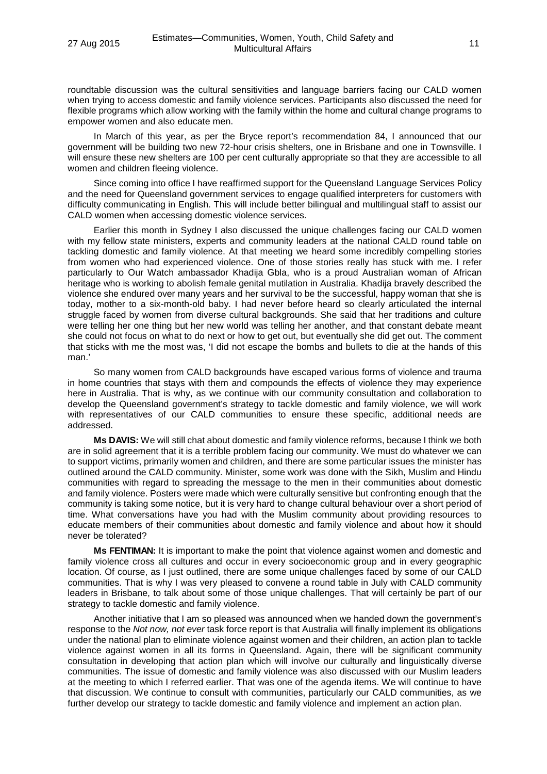roundtable discussion was the cultural sensitivities and language barriers facing our CALD women when trying to access domestic and family violence services. Participants also discussed the need for flexible programs which allow working with the family within the home and cultural change programs to empower women and also educate men.

In March of this year, as per the Bryce report's recommendation 84, I announced that our government will be building two new 72-hour crisis shelters, one in Brisbane and one in Townsville. I will ensure these new shelters are 100 per cent culturally appropriate so that they are accessible to all women and children fleeing violence.

Since coming into office I have reaffirmed support for the Queensland Language Services Policy and the need for Queensland government services to engage qualified interpreters for customers with difficulty communicating in English. This will include better bilingual and multilingual staff to assist our CALD women when accessing domestic violence services.

Earlier this month in Sydney I also discussed the unique challenges facing our CALD women with my fellow state ministers, experts and community leaders at the national CALD round table on tackling domestic and family violence. At that meeting we heard some incredibly compelling stories from women who had experienced violence. One of those stories really has stuck with me. I refer particularly to Our Watch ambassador Khadija Gbla, who is a proud Australian woman of African heritage who is working to abolish female genital mutilation in Australia. Khadija bravely described the violence she endured over many years and her survival to be the successful, happy woman that she is today, mother to a six-month-old baby. I had never before heard so clearly articulated the internal struggle faced by women from diverse cultural backgrounds. She said that her traditions and culture were telling her one thing but her new world was telling her another, and that constant debate meant she could not focus on what to do next or how to get out, but eventually she did get out. The comment that sticks with me the most was, 'I did not escape the bombs and bullets to die at the hands of this man.'

So many women from CALD backgrounds have escaped various forms of violence and trauma in home countries that stays with them and compounds the effects of violence they may experience here in Australia. That is why, as we continue with our community consultation and collaboration to develop the Queensland government's strategy to tackle domestic and family violence, we will work with representatives of our CALD communities to ensure these specific, additional needs are addressed.

**Ms DAVIS:** We will still chat about domestic and family violence reforms, because I think we both are in solid agreement that it is a terrible problem facing our community. We must do whatever we can to support victims, primarily women and children, and there are some particular issues the minister has outlined around the CALD community. Minister, some work was done with the Sikh, Muslim and Hindu communities with regard to spreading the message to the men in their communities about domestic and family violence. Posters were made which were culturally sensitive but confronting enough that the community is taking some notice, but it is very hard to change cultural behaviour over a short period of time. What conversations have you had with the Muslim community about providing resources to educate members of their communities about domestic and family violence and about how it should never be tolerated?

**Ms FENTIMAN:** It is important to make the point that violence against women and domestic and family violence cross all cultures and occur in every socioeconomic group and in every geographic location. Of course, as I just outlined, there are some unique challenges faced by some of our CALD communities. That is why I was very pleased to convene a round table in July with CALD community leaders in Brisbane, to talk about some of those unique challenges. That will certainly be part of our strategy to tackle domestic and family violence.

Another initiative that I am so pleased was announced when we handed down the government's response to the *Not now, not ever* task force report is that Australia will finally implement its obligations under the national plan to eliminate violence against women and their children, an action plan to tackle violence against women in all its forms in Queensland. Again, there will be significant community consultation in developing that action plan which will involve our culturally and linguistically diverse communities. The issue of domestic and family violence was also discussed with our Muslim leaders at the meeting to which I referred earlier. That was one of the agenda items. We will continue to have that discussion. We continue to consult with communities, particularly our CALD communities, as we further develop our strategy to tackle domestic and family violence and implement an action plan.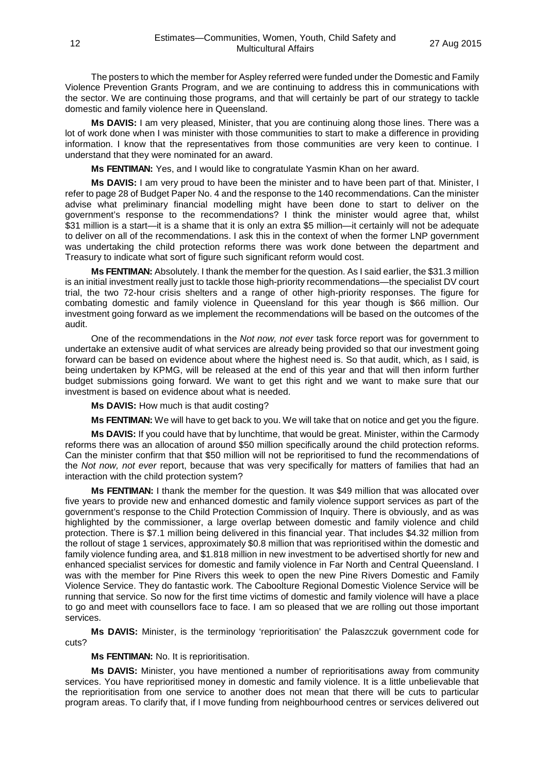The posters to which the member for Aspley referred were funded under the Domestic and Family Violence Prevention Grants Program, and we are continuing to address this in communications with the sector. We are continuing those programs, and that will certainly be part of our strategy to tackle domestic and family violence here in Queensland.

**Ms DAVIS:** I am very pleased, Minister, that you are continuing along those lines. There was a lot of work done when I was minister with those communities to start to make a difference in providing information. I know that the representatives from those communities are very keen to continue. I understand that they were nominated for an award.

**Ms FENTIMAN:** Yes, and I would like to congratulate Yasmin Khan on her award.

**Ms DAVIS:** I am very proud to have been the minister and to have been part of that. Minister, I refer to page 28 of Budget Paper No. 4 and the response to the 140 recommendations. Can the minister advise what preliminary financial modelling might have been done to start to deliver on the government's response to the recommendations? I think the minister would agree that, whilst \$31 million is a start—it is a shame that it is only an extra \$5 million—it certainly will not be adequate to deliver on all of the recommendations. I ask this in the context of when the former LNP government was undertaking the child protection reforms there was work done between the department and Treasury to indicate what sort of figure such significant reform would cost.

**Ms FENTIMAN:** Absolutely. I thank the member for the question. As I said earlier, the \$31.3 million is an initial investment really just to tackle those high-priority recommendations—the specialist DV court trial, the two 72-hour crisis shelters and a range of other high-priority responses. The figure for combating domestic and family violence in Queensland for this year though is \$66 million. Our investment going forward as we implement the recommendations will be based on the outcomes of the audit.

One of the recommendations in the *Not now, not ever* task force report was for government to undertake an extensive audit of what services are already being provided so that our investment going forward can be based on evidence about where the highest need is. So that audit, which, as I said, is being undertaken by KPMG, will be released at the end of this year and that will then inform further budget submissions going forward. We want to get this right and we want to make sure that our investment is based on evidence about what is needed.

**Ms DAVIS:** How much is that audit costing?

**Ms FENTIMAN:** We will have to get back to you. We will take that on notice and get you the figure.

**Ms DAVIS:** If you could have that by lunchtime, that would be great. Minister, within the Carmody reforms there was an allocation of around \$50 million specifically around the child protection reforms. Can the minister confirm that that \$50 million will not be reprioritised to fund the recommendations of the *Not now, not ever* report, because that was very specifically for matters of families that had an interaction with the child protection system?

**Ms FENTIMAN:** I thank the member for the question. It was \$49 million that was allocated over five years to provide new and enhanced domestic and family violence support services as part of the government's response to the Child Protection Commission of Inquiry. There is obviously, and as was highlighted by the commissioner, a large overlap between domestic and family violence and child protection. There is \$7.1 million being delivered in this financial year. That includes \$4.32 million from the rollout of stage 1 services, approximately \$0.8 million that was reprioritised within the domestic and family violence funding area, and \$1.818 million in new investment to be advertised shortly for new and enhanced specialist services for domestic and family violence in Far North and Central Queensland. I was with the member for Pine Rivers this week to open the new Pine Rivers Domestic and Family Violence Service. They do fantastic work. The Caboolture Regional Domestic Violence Service will be running that service. So now for the first time victims of domestic and family violence will have a place to go and meet with counsellors face to face. I am so pleased that we are rolling out those important services.

**Ms DAVIS:** Minister, is the terminology 'reprioritisation' the Palaszczuk government code for cuts?

**Ms FENTIMAN:** No. It is reprioritisation.

**Ms DAVIS:** Minister, you have mentioned a number of reprioritisations away from community services. You have reprioritised money in domestic and family violence. It is a little unbelievable that the reprioritisation from one service to another does not mean that there will be cuts to particular program areas. To clarify that, if I move funding from neighbourhood centres or services delivered out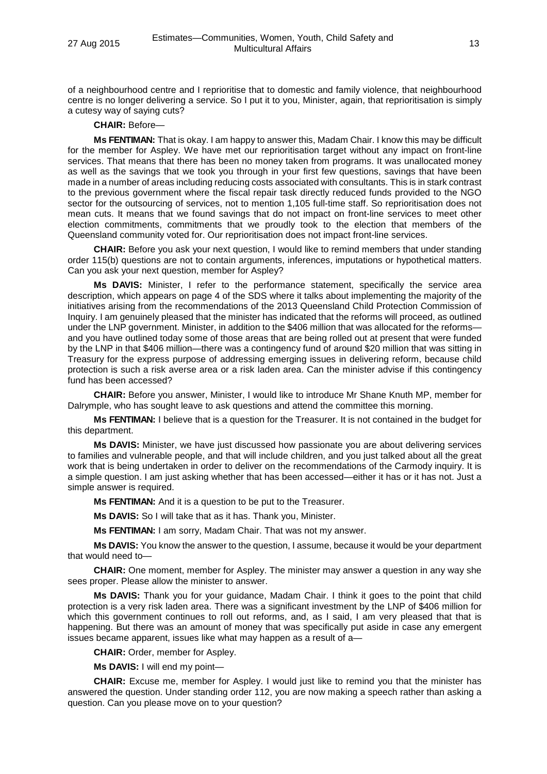of a neighbourhood centre and I reprioritise that to domestic and family violence, that neighbourhood centre is no longer delivering a service. So I put it to you, Minister, again, that reprioritisation is simply a cutesy way of saying cuts?

# **CHAIR:** Before—

**Ms FENTIMAN:** That is okay. I am happy to answer this, Madam Chair. I know this may be difficult for the member for Aspley. We have met our reprioritisation target without any impact on front-line services. That means that there has been no money taken from programs. It was unallocated money as well as the savings that we took you through in your first few questions, savings that have been made in a number of areas including reducing costs associated with consultants. This is in stark contrast to the previous government where the fiscal repair task directly reduced funds provided to the NGO sector for the outsourcing of services, not to mention 1,105 full-time staff. So reprioritisation does not mean cuts. It means that we found savings that do not impact on front-line services to meet other election commitments, commitments that we proudly took to the election that members of the Queensland community voted for. Our reprioritisation does not impact front-line services.

**CHAIR:** Before you ask your next question, I would like to remind members that under standing order 115(b) questions are not to contain arguments, inferences, imputations or hypothetical matters. Can you ask your next question, member for Aspley?

**Ms DAVIS:** Minister, I refer to the performance statement, specifically the service area description, which appears on page 4 of the SDS where it talks about implementing the majority of the initiatives arising from the recommendations of the 2013 Queensland Child Protection Commission of Inquiry. I am genuinely pleased that the minister has indicated that the reforms will proceed, as outlined under the LNP government. Minister, in addition to the \$406 million that was allocated for the reforms and you have outlined today some of those areas that are being rolled out at present that were funded by the LNP in that \$406 million—there was a contingency fund of around \$20 million that was sitting in Treasury for the express purpose of addressing emerging issues in delivering reform, because child protection is such a risk averse area or a risk laden area. Can the minister advise if this contingency fund has been accessed?

**CHAIR:** Before you answer, Minister, I would like to introduce Mr Shane Knuth MP, member for Dalrymple, who has sought leave to ask questions and attend the committee this morning.

**Ms FENTIMAN:** I believe that is a question for the Treasurer. It is not contained in the budget for this department.

**Ms DAVIS:** Minister, we have just discussed how passionate you are about delivering services to families and vulnerable people, and that will include children, and you just talked about all the great work that is being undertaken in order to deliver on the recommendations of the Carmody inquiry. It is a simple question. I am just asking whether that has been accessed—either it has or it has not. Just a simple answer is required.

**Ms FENTIMAN:** And it is a question to be put to the Treasurer.

**Ms DAVIS:** So I will take that as it has. Thank you, Minister.

**Ms FENTIMAN:** I am sorry, Madam Chair. That was not my answer.

**Ms DAVIS:** You know the answer to the question, I assume, because it would be your department that would need to—

**CHAIR:** One moment, member for Aspley. The minister may answer a question in any way she sees proper. Please allow the minister to answer.

**Ms DAVIS:** Thank you for your guidance, Madam Chair. I think it goes to the point that child protection is a very risk laden area. There was a significant investment by the LNP of \$406 million for which this government continues to roll out reforms, and, as I said, I am very pleased that that is happening. But there was an amount of money that was specifically put aside in case any emergent issues became apparent, issues like what may happen as a result of a—

**CHAIR:** Order, member for Aspley.

**Ms DAVIS:** I will end my point—

**CHAIR:** Excuse me, member for Aspley. I would just like to remind you that the minister has answered the question. Under standing order 112, you are now making a speech rather than asking a question. Can you please move on to your question?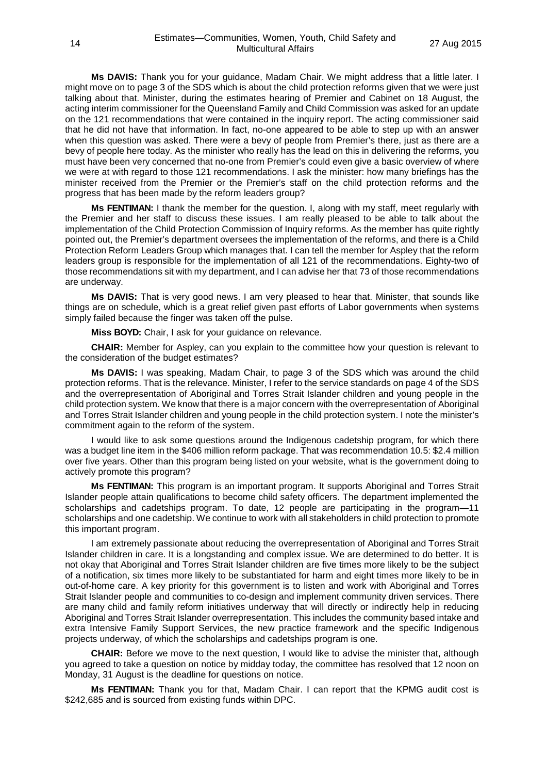**Ms DAVIS:** Thank you for your guidance, Madam Chair. We might address that a little later. I might move on to page 3 of the SDS which is about the child protection reforms given that we were just talking about that. Minister, during the estimates hearing of Premier and Cabinet on 18 August, the acting interim commissioner for the Queensland Family and Child Commission was asked for an update on the 121 recommendations that were contained in the inquiry report. The acting commissioner said that he did not have that information. In fact, no-one appeared to be able to step up with an answer when this question was asked. There were a bevy of people from Premier's there, just as there are a bevy of people here today. As the minister who really has the lead on this in delivering the reforms, you must have been very concerned that no-one from Premier's could even give a basic overview of where we were at with regard to those 121 recommendations. I ask the minister: how many briefings has the minister received from the Premier or the Premier's staff on the child protection reforms and the progress that has been made by the reform leaders group?

**Ms FENTIMAN:** I thank the member for the question. I, along with my staff, meet regularly with the Premier and her staff to discuss these issues. I am really pleased to be able to talk about the implementation of the Child Protection Commission of Inquiry reforms. As the member has quite rightly pointed out, the Premier's department oversees the implementation of the reforms, and there is a Child Protection Reform Leaders Group which manages that. I can tell the member for Aspley that the reform leaders group is responsible for the implementation of all 121 of the recommendations. Eighty-two of those recommendations sit with my department, and I can advise her that 73 of those recommendations are underway.

**Ms DAVIS:** That is very good news. I am very pleased to hear that. Minister, that sounds like things are on schedule, which is a great relief given past efforts of Labor governments when systems simply failed because the finger was taken off the pulse.

**Miss BOYD:** Chair, I ask for your guidance on relevance.

**CHAIR:** Member for Aspley, can you explain to the committee how your question is relevant to the consideration of the budget estimates?

**Ms DAVIS:** I was speaking, Madam Chair, to page 3 of the SDS which was around the child protection reforms. That is the relevance. Minister, I refer to the service standards on page 4 of the SDS and the overrepresentation of Aboriginal and Torres Strait Islander children and young people in the child protection system. We know that there is a major concern with the overrepresentation of Aboriginal and Torres Strait Islander children and young people in the child protection system. I note the minister's commitment again to the reform of the system.

I would like to ask some questions around the Indigenous cadetship program, for which there was a budget line item in the \$406 million reform package. That was recommendation 10.5: \$2.4 million over five years. Other than this program being listed on your website, what is the government doing to actively promote this program?

**Ms FENTIMAN:** This program is an important program. It supports Aboriginal and Torres Strait Islander people attain qualifications to become child safety officers. The department implemented the scholarships and cadetships program. To date, 12 people are participating in the program—11 scholarships and one cadetship. We continue to work with all stakeholders in child protection to promote this important program.

I am extremely passionate about reducing the overrepresentation of Aboriginal and Torres Strait Islander children in care. It is a longstanding and complex issue. We are determined to do better. It is not okay that Aboriginal and Torres Strait Islander children are five times more likely to be the subject of a notification, six times more likely to be substantiated for harm and eight times more likely to be in out-of-home care. A key priority for this government is to listen and work with Aboriginal and Torres Strait Islander people and communities to co-design and implement community driven services. There are many child and family reform initiatives underway that will directly or indirectly help in reducing Aboriginal and Torres Strait Islander overrepresentation. This includes the community based intake and extra Intensive Family Support Services, the new practice framework and the specific Indigenous projects underway, of which the scholarships and cadetships program is one.

**CHAIR:** Before we move to the next question, I would like to advise the minister that, although you agreed to take a question on notice by midday today, the committee has resolved that 12 noon on Monday, 31 August is the deadline for questions on notice.

**Ms FENTIMAN:** Thank you for that, Madam Chair. I can report that the KPMG audit cost is \$242,685 and is sourced from existing funds within DPC.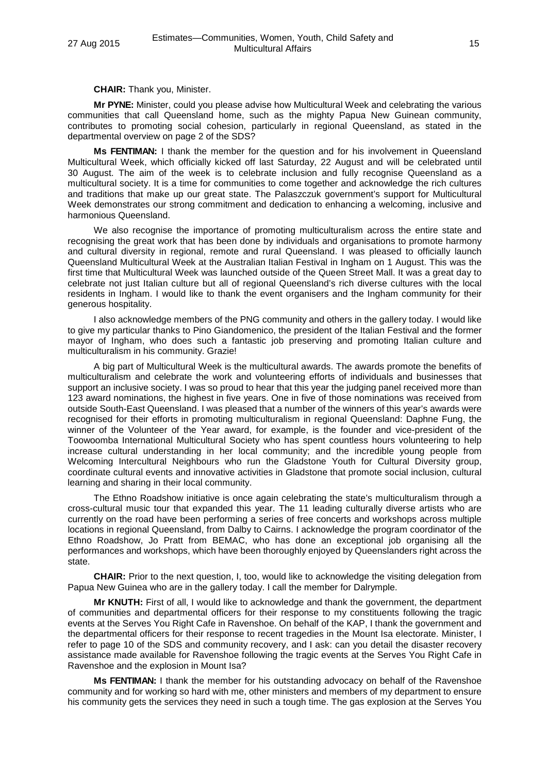**CHAIR:** Thank you, Minister.

**Mr PYNE:** Minister, could you please advise how Multicultural Week and celebrating the various communities that call Queensland home, such as the mighty Papua New Guinean community, contributes to promoting social cohesion, particularly in regional Queensland, as stated in the departmental overview on page 2 of the SDS?

**Ms FENTIMAN:** I thank the member for the question and for his involvement in Queensland Multicultural Week, which officially kicked off last Saturday, 22 August and will be celebrated until 30 August. The aim of the week is to celebrate inclusion and fully recognise Queensland as a multicultural society. It is a time for communities to come together and acknowledge the rich cultures and traditions that make up our great state. The Palaszczuk government's support for Multicultural Week demonstrates our strong commitment and dedication to enhancing a welcoming, inclusive and harmonious Queensland.

We also recognise the importance of promoting multiculturalism across the entire state and recognising the great work that has been done by individuals and organisations to promote harmony and cultural diversity in regional, remote and rural Queensland. I was pleased to officially launch Queensland Multicultural Week at the Australian Italian Festival in Ingham on 1 August. This was the first time that Multicultural Week was launched outside of the Queen Street Mall. It was a great day to celebrate not just Italian culture but all of regional Queensland's rich diverse cultures with the local residents in Ingham. I would like to thank the event organisers and the Ingham community for their generous hospitality.

I also acknowledge members of the PNG community and others in the gallery today. I would like to give my particular thanks to Pino Giandomenico, the president of the Italian Festival and the former mayor of Ingham, who does such a fantastic job preserving and promoting Italian culture and multiculturalism in his community. Grazie!

A big part of Multicultural Week is the multicultural awards. The awards promote the benefits of multiculturalism and celebrate the work and volunteering efforts of individuals and businesses that support an inclusive society. I was so proud to hear that this year the judging panel received more than 123 award nominations, the highest in five years. One in five of those nominations was received from outside South-East Queensland. I was pleased that a number of the winners of this year's awards were recognised for their efforts in promoting multiculturalism in regional Queensland: Daphne Fung, the winner of the Volunteer of the Year award, for example, is the founder and vice-president of the Toowoomba International Multicultural Society who has spent countless hours volunteering to help increase cultural understanding in her local community; and the incredible young people from Welcoming Intercultural Neighbours who run the Gladstone Youth for Cultural Diversity group, coordinate cultural events and innovative activities in Gladstone that promote social inclusion, cultural learning and sharing in their local community.

The Ethno Roadshow initiative is once again celebrating the state's multiculturalism through a cross-cultural music tour that expanded this year. The 11 leading culturally diverse artists who are currently on the road have been performing a series of free concerts and workshops across multiple locations in regional Queensland, from Dalby to Cairns. I acknowledge the program coordinator of the Ethno Roadshow, Jo Pratt from BEMAC, who has done an exceptional job organising all the performances and workshops, which have been thoroughly enjoyed by Queenslanders right across the state.

**CHAIR:** Prior to the next question, I, too, would like to acknowledge the visiting delegation from Papua New Guinea who are in the gallery today. I call the member for Dalrymple.

**Mr KNUTH:** First of all, I would like to acknowledge and thank the government, the department of communities and departmental officers for their response to my constituents following the tragic events at the Serves You Right Cafe in Ravenshoe. On behalf of the KAP, I thank the government and the departmental officers for their response to recent tragedies in the Mount Isa electorate. Minister, I refer to page 10 of the SDS and community recovery, and I ask: can you detail the disaster recovery assistance made available for Ravenshoe following the tragic events at the Serves You Right Cafe in Ravenshoe and the explosion in Mount Isa?

**Ms FENTIMAN:** I thank the member for his outstanding advocacy on behalf of the Ravenshoe community and for working so hard with me, other ministers and members of my department to ensure his community gets the services they need in such a tough time. The gas explosion at the Serves You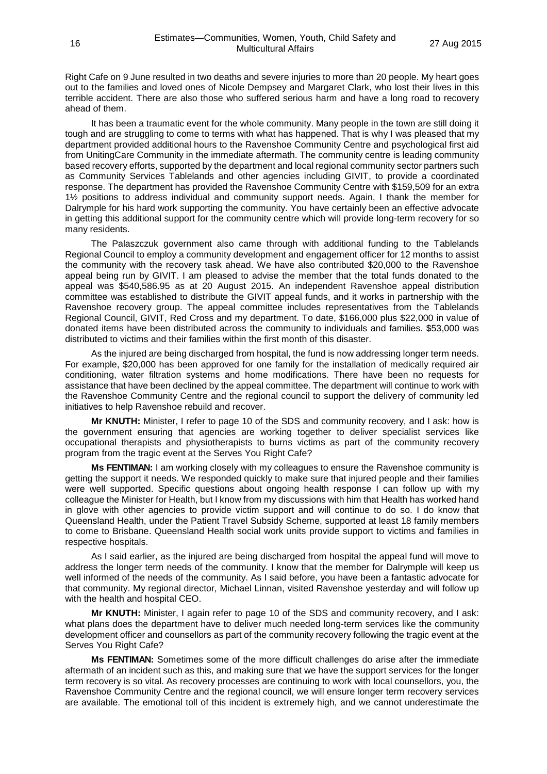Right Cafe on 9 June resulted in two deaths and severe injuries to more than 20 people. My heart goes out to the families and loved ones of Nicole Dempsey and Margaret Clark, who lost their lives in this terrible accident. There are also those who suffered serious harm and have a long road to recovery ahead of them.

It has been a traumatic event for the whole community. Many people in the town are still doing it tough and are struggling to come to terms with what has happened. That is why I was pleased that my department provided additional hours to the Ravenshoe Community Centre and psychological first aid from UnitingCare Community in the immediate aftermath. The community centre is leading community based recovery efforts, supported by the department and local regional community sector partners such as Community Services Tablelands and other agencies including GIVIT, to provide a coordinated response. The department has provided the Ravenshoe Community Centre with \$159,509 for an extra 1½ positions to address individual and community support needs. Again, I thank the member for Dalrymple for his hard work supporting the community. You have certainly been an effective advocate in getting this additional support for the community centre which will provide long-term recovery for so many residents.

The Palaszczuk government also came through with additional funding to the Tablelands Regional Council to employ a community development and engagement officer for 12 months to assist the community with the recovery task ahead. We have also contributed \$20,000 to the Ravenshoe appeal being run by GIVIT. I am pleased to advise the member that the total funds donated to the appeal was \$540,586.95 as at 20 August 2015. An independent Ravenshoe appeal distribution committee was established to distribute the GIVIT appeal funds, and it works in partnership with the Ravenshoe recovery group. The appeal committee includes representatives from the Tablelands Regional Council, GIVIT, Red Cross and my department. To date, \$166,000 plus \$22,000 in value of donated items have been distributed across the community to individuals and families. \$53,000 was distributed to victims and their families within the first month of this disaster.

As the injured are being discharged from hospital, the fund is now addressing longer term needs. For example, \$20,000 has been approved for one family for the installation of medically required air conditioning, water filtration systems and home modifications. There have been no requests for assistance that have been declined by the appeal committee. The department will continue to work with the Ravenshoe Community Centre and the regional council to support the delivery of community led initiatives to help Ravenshoe rebuild and recover.

**Mr KNUTH:** Minister, I refer to page 10 of the SDS and community recovery, and I ask: how is the government ensuring that agencies are working together to deliver specialist services like occupational therapists and physiotherapists to burns victims as part of the community recovery program from the tragic event at the Serves You Right Cafe?

**Ms FENTIMAN:** I am working closely with my colleagues to ensure the Ravenshoe community is getting the support it needs. We responded quickly to make sure that injured people and their families were well supported. Specific questions about ongoing health response I can follow up with my colleague the Minister for Health, but I know from my discussions with him that Health has worked hand in glove with other agencies to provide victim support and will continue to do so. I do know that Queensland Health, under the Patient Travel Subsidy Scheme, supported at least 18 family members to come to Brisbane. Queensland Health social work units provide support to victims and families in respective hospitals.

As I said earlier, as the injured are being discharged from hospital the appeal fund will move to address the longer term needs of the community. I know that the member for Dalrymple will keep us well informed of the needs of the community. As I said before, you have been a fantastic advocate for that community. My regional director, Michael Linnan, visited Ravenshoe yesterday and will follow up with the health and hospital CEO.

**Mr KNUTH:** Minister, I again refer to page 10 of the SDS and community recovery, and I ask: what plans does the department have to deliver much needed long-term services like the community development officer and counsellors as part of the community recovery following the tragic event at the Serves You Right Cafe?

**Ms FENTIMAN:** Sometimes some of the more difficult challenges do arise after the immediate aftermath of an incident such as this, and making sure that we have the support services for the longer term recovery is so vital. As recovery processes are continuing to work with local counsellors, you, the Ravenshoe Community Centre and the regional council, we will ensure longer term recovery services are available. The emotional toll of this incident is extremely high, and we cannot underestimate the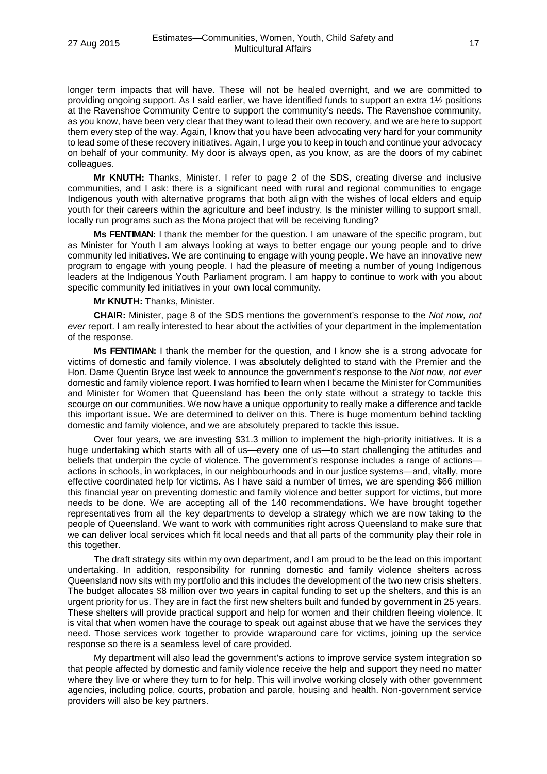longer term impacts that will have. These will not be healed overnight, and we are committed to providing ongoing support. As I said earlier, we have identified funds to support an extra 1½ positions at the Ravenshoe Community Centre to support the community's needs. The Ravenshoe community, as you know, have been very clear that they want to lead their own recovery, and we are here to support them every step of the way. Again, I know that you have been advocating very hard for your community to lead some of these recovery initiatives. Again, I urge you to keep in touch and continue your advocacy on behalf of your community. My door is always open, as you know, as are the doors of my cabinet colleagues.

**Mr KNUTH:** Thanks, Minister. I refer to page 2 of the SDS, creating diverse and inclusive communities, and I ask: there is a significant need with rural and regional communities to engage Indigenous youth with alternative programs that both align with the wishes of local elders and equip youth for their careers within the agriculture and beef industry. Is the minister willing to support small, locally run programs such as the Mona project that will be receiving funding?

**Ms FENTIMAN:** I thank the member for the question. I am unaware of the specific program, but as Minister for Youth I am always looking at ways to better engage our young people and to drive community led initiatives. We are continuing to engage with young people. We have an innovative new program to engage with young people. I had the pleasure of meeting a number of young Indigenous leaders at the Indigenous Youth Parliament program. I am happy to continue to work with you about specific community led initiatives in your own local community.

**Mr KNUTH:** Thanks, Minister.

**CHAIR:** Minister, page 8 of the SDS mentions the government's response to the *Not now, not ever* report. I am really interested to hear about the activities of your department in the implementation of the response.

**Ms FENTIMAN:** I thank the member for the question, and I know she is a strong advocate for victims of domestic and family violence. I was absolutely delighted to stand with the Premier and the Hon. Dame Quentin Bryce last week to announce the government's response to the *Not now, not ever* domestic and family violence report. I was horrified to learn when I became the Minister for Communities and Minister for Women that Queensland has been the only state without a strategy to tackle this scourge on our communities. We now have a unique opportunity to really make a difference and tackle this important issue. We are determined to deliver on this. There is huge momentum behind tackling domestic and family violence, and we are absolutely prepared to tackle this issue.

Over four years, we are investing \$31.3 million to implement the high-priority initiatives. It is a huge undertaking which starts with all of us—every one of us—to start challenging the attitudes and beliefs that underpin the cycle of violence. The government's response includes a range of actions actions in schools, in workplaces, in our neighbourhoods and in our justice systems—and, vitally, more effective coordinated help for victims. As I have said a number of times, we are spending \$66 million this financial year on preventing domestic and family violence and better support for victims, but more needs to be done. We are accepting all of the 140 recommendations. We have brought together representatives from all the key departments to develop a strategy which we are now taking to the people of Queensland. We want to work with communities right across Queensland to make sure that we can deliver local services which fit local needs and that all parts of the community play their role in this together.

The draft strategy sits within my own department, and I am proud to be the lead on this important undertaking. In addition, responsibility for running domestic and family violence shelters across Queensland now sits with my portfolio and this includes the development of the two new crisis shelters. The budget allocates \$8 million over two years in capital funding to set up the shelters, and this is an urgent priority for us. They are in fact the first new shelters built and funded by government in 25 years. These shelters will provide practical support and help for women and their children fleeing violence. It is vital that when women have the courage to speak out against abuse that we have the services they need. Those services work together to provide wraparound care for victims, joining up the service response so there is a seamless level of care provided.

My department will also lead the government's actions to improve service system integration so that people affected by domestic and family violence receive the help and support they need no matter where they live or where they turn to for help. This will involve working closely with other government agencies, including police, courts, probation and parole, housing and health. Non-government service providers will also be key partners.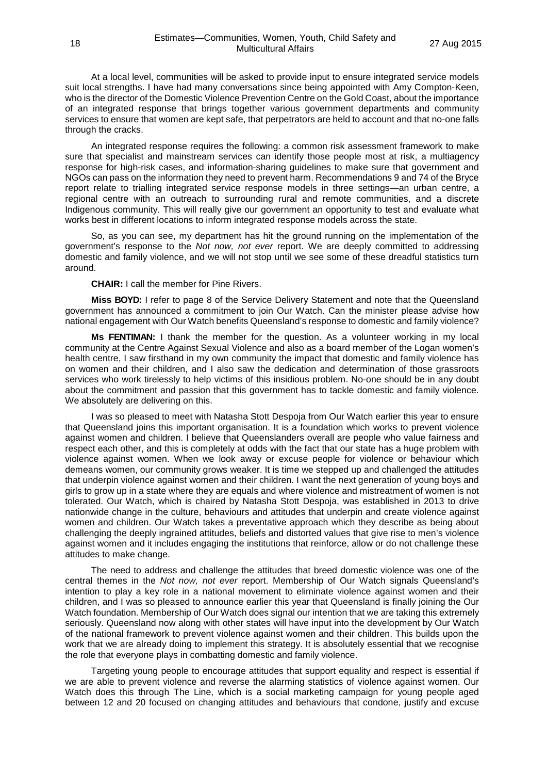At a local level, communities will be asked to provide input to ensure integrated service models suit local strengths. I have had many conversations since being appointed with Amy Compton-Keen, who is the director of the Domestic Violence Prevention Centre on the Gold Coast, about the importance of an integrated response that brings together various government departments and community services to ensure that women are kept safe, that perpetrators are held to account and that no-one falls through the cracks.

An integrated response requires the following: a common risk assessment framework to make sure that specialist and mainstream services can identify those people most at risk, a multiagency response for high-risk cases, and information-sharing guidelines to make sure that government and NGOs can pass on the information they need to prevent harm. Recommendations 9 and 74 of the Bryce report relate to trialling integrated service response models in three settings—an urban centre, a regional centre with an outreach to surrounding rural and remote communities, and a discrete Indigenous community. This will really give our government an opportunity to test and evaluate what works best in different locations to inform integrated response models across the state.

So, as you can see, my department has hit the ground running on the implementation of the government's response to the *Not now, not ever* report. We are deeply committed to addressing domestic and family violence, and we will not stop until we see some of these dreadful statistics turn around.

**CHAIR:** I call the member for Pine Rivers.

**Miss BOYD:** I refer to page 8 of the Service Delivery Statement and note that the Queensland government has announced a commitment to join Our Watch. Can the minister please advise how national engagement with Our Watch benefits Queensland's response to domestic and family violence?

**Ms FENTIMAN:** I thank the member for the question. As a volunteer working in my local community at the Centre Against Sexual Violence and also as a board member of the Logan women's health centre, I saw firsthand in my own community the impact that domestic and family violence has on women and their children, and I also saw the dedication and determination of those grassroots services who work tirelessly to help victims of this insidious problem. No-one should be in any doubt about the commitment and passion that this government has to tackle domestic and family violence. We absolutely are delivering on this.

I was so pleased to meet with Natasha Stott Despoja from Our Watch earlier this year to ensure that Queensland joins this important organisation. It is a foundation which works to prevent violence against women and children. I believe that Queenslanders overall are people who value fairness and respect each other, and this is completely at odds with the fact that our state has a huge problem with violence against women. When we look away or excuse people for violence or behaviour which demeans women, our community grows weaker. It is time we stepped up and challenged the attitudes that underpin violence against women and their children. I want the next generation of young boys and girls to grow up in a state where they are equals and where violence and mistreatment of women is not tolerated. Our Watch, which is chaired by Natasha Stott Despoja, was established in 2013 to drive nationwide change in the culture, behaviours and attitudes that underpin and create violence against women and children. Our Watch takes a preventative approach which they describe as being about challenging the deeply ingrained attitudes, beliefs and distorted values that give rise to men's violence against women and it includes engaging the institutions that reinforce, allow or do not challenge these attitudes to make change.

The need to address and challenge the attitudes that breed domestic violence was one of the central themes in the *Not now, not ever* report. Membership of Our Watch signals Queensland's intention to play a key role in a national movement to eliminate violence against women and their children, and I was so pleased to announce earlier this year that Queensland is finally joining the Our Watch foundation. Membership of Our Watch does signal our intention that we are taking this extremely seriously. Queensland now along with other states will have input into the development by Our Watch of the national framework to prevent violence against women and their children. This builds upon the work that we are already doing to implement this strategy. It is absolutely essential that we recognise the role that everyone plays in combatting domestic and family violence.

Targeting young people to encourage attitudes that support equality and respect is essential if we are able to prevent violence and reverse the alarming statistics of violence against women. Our Watch does this through The Line, which is a social marketing campaign for young people aged between 12 and 20 focused on changing attitudes and behaviours that condone, justify and excuse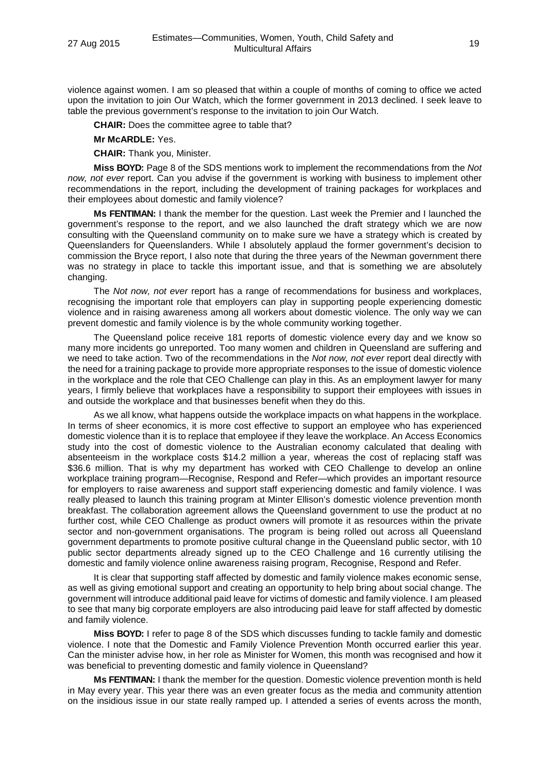violence against women. I am so pleased that within a couple of months of coming to office we acted upon the invitation to join Our Watch, which the former government in 2013 declined. I seek leave to table the previous government's response to the invitation to join Our Watch.

**CHAIR:** Does the committee agree to table that?

**Mr McARDLE:** Yes.

**CHAIR:** Thank you, Minister.

**Miss BOYD:** Page 8 of the SDS mentions work to implement the recommendations from the *Not now, not ever* report. Can you advise if the government is working with business to implement other recommendations in the report, including the development of training packages for workplaces and their employees about domestic and family violence?

**Ms FENTIMAN:** I thank the member for the question. Last week the Premier and I launched the government's response to the report, and we also launched the draft strategy which we are now consulting with the Queensland community on to make sure we have a strategy which is created by Queenslanders for Queenslanders. While I absolutely applaud the former government's decision to commission the Bryce report, I also note that during the three years of the Newman government there was no strategy in place to tackle this important issue, and that is something we are absolutely changing.

The *Not now, not ever* report has a range of recommendations for business and workplaces, recognising the important role that employers can play in supporting people experiencing domestic violence and in raising awareness among all workers about domestic violence. The only way we can prevent domestic and family violence is by the whole community working together.

The Queensland police receive 181 reports of domestic violence every day and we know so many more incidents go unreported. Too many women and children in Queensland are suffering and we need to take action. Two of the recommendations in the *Not now, not ever* report deal directly with the need for a training package to provide more appropriate responses to the issue of domestic violence in the workplace and the role that CEO Challenge can play in this. As an employment lawyer for many years, I firmly believe that workplaces have a responsibility to support their employees with issues in and outside the workplace and that businesses benefit when they do this.

As we all know, what happens outside the workplace impacts on what happens in the workplace. In terms of sheer economics, it is more cost effective to support an employee who has experienced domestic violence than it is to replace that employee if they leave the workplace. An Access Economics study into the cost of domestic violence to the Australian economy calculated that dealing with absenteeism in the workplace costs \$14.2 million a year, whereas the cost of replacing staff was \$36.6 million. That is why my department has worked with CEO Challenge to develop an online workplace training program—Recognise, Respond and Refer—which provides an important resource for employers to raise awareness and support staff experiencing domestic and family violence. I was really pleased to launch this training program at Minter Ellison's domestic violence prevention month breakfast. The collaboration agreement allows the Queensland government to use the product at no further cost, while CEO Challenge as product owners will promote it as resources within the private sector and non-government organisations. The program is being rolled out across all Queensland government departments to promote positive cultural change in the Queensland public sector, with 10 public sector departments already signed up to the CEO Challenge and 16 currently utilising the domestic and family violence online awareness raising program, Recognise, Respond and Refer.

It is clear that supporting staff affected by domestic and family violence makes economic sense, as well as giving emotional support and creating an opportunity to help bring about social change. The government will introduce additional paid leave for victims of domestic and family violence. I am pleased to see that many big corporate employers are also introducing paid leave for staff affected by domestic and family violence.

**Miss BOYD:** I refer to page 8 of the SDS which discusses funding to tackle family and domestic violence. I note that the Domestic and Family Violence Prevention Month occurred earlier this year. Can the minister advise how, in her role as Minister for Women, this month was recognised and how it was beneficial to preventing domestic and family violence in Queensland?

**Ms FENTIMAN:** I thank the member for the question. Domestic violence prevention month is held in May every year. This year there was an even greater focus as the media and community attention on the insidious issue in our state really ramped up. I attended a series of events across the month,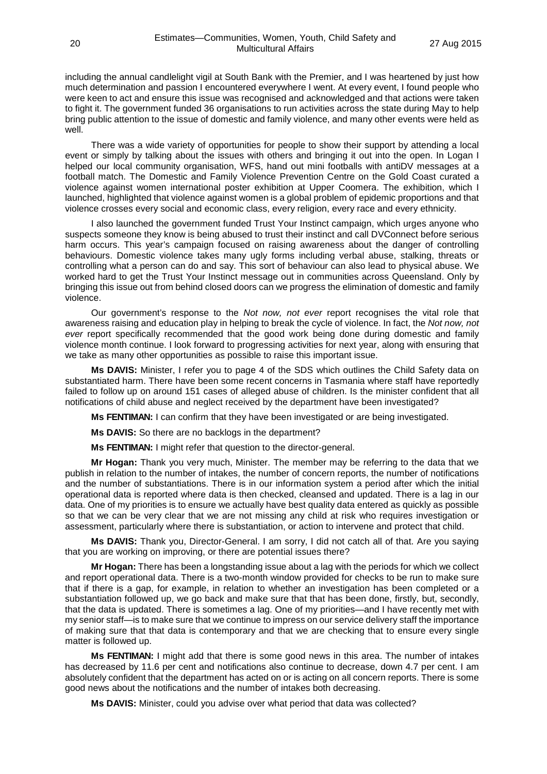including the annual candlelight vigil at South Bank with the Premier, and I was heartened by just how much determination and passion I encountered everywhere I went. At every event, I found people who were keen to act and ensure this issue was recognised and acknowledged and that actions were taken to fight it. The government funded 36 organisations to run activities across the state during May to help bring public attention to the issue of domestic and family violence, and many other events were held as well.

There was a wide variety of opportunities for people to show their support by attending a local event or simply by talking about the issues with others and bringing it out into the open. In Logan I helped our local community organisation, WFS, hand out mini footballs with antiDV messages at a football match. The Domestic and Family Violence Prevention Centre on the Gold Coast curated a violence against women international poster exhibition at Upper Coomera. The exhibition, which I launched, highlighted that violence against women is a global problem of epidemic proportions and that violence crosses every social and economic class, every religion, every race and every ethnicity.

I also launched the government funded Trust Your Instinct campaign, which urges anyone who suspects someone they know is being abused to trust their instinct and call DVConnect before serious harm occurs. This year's campaign focused on raising awareness about the danger of controlling behaviours. Domestic violence takes many ugly forms including verbal abuse, stalking, threats or controlling what a person can do and say. This sort of behaviour can also lead to physical abuse. We worked hard to get the Trust Your Instinct message out in communities across Queensland. Only by bringing this issue out from behind closed doors can we progress the elimination of domestic and family violence.

Our government's response to the *Not now, not ever* report recognises the vital role that awareness raising and education play in helping to break the cycle of violence. In fact, the *Not now, not ever* report specifically recommended that the good work being done during domestic and family violence month continue. I look forward to progressing activities for next year, along with ensuring that we take as many other opportunities as possible to raise this important issue.

**Ms DAVIS:** Minister, I refer you to page 4 of the SDS which outlines the Child Safety data on substantiated harm. There have been some recent concerns in Tasmania where staff have reportedly failed to follow up on around 151 cases of alleged abuse of children. Is the minister confident that all notifications of child abuse and neglect received by the department have been investigated?

**Ms FENTIMAN:** I can confirm that they have been investigated or are being investigated.

**Ms DAVIS:** So there are no backlogs in the department?

**Ms FENTIMAN:** I might refer that question to the director-general.

**Mr Hogan:** Thank you very much, Minister. The member may be referring to the data that we publish in relation to the number of intakes, the number of concern reports, the number of notifications and the number of substantiations. There is in our information system a period after which the initial operational data is reported where data is then checked, cleansed and updated. There is a lag in our data. One of my priorities is to ensure we actually have best quality data entered as quickly as possible so that we can be very clear that we are not missing any child at risk who requires investigation or assessment, particularly where there is substantiation, or action to intervene and protect that child.

**Ms DAVIS:** Thank you, Director-General. I am sorry, I did not catch all of that. Are you saying that you are working on improving, or there are potential issues there?

**Mr Hogan:** There has been a longstanding issue about a lag with the periods for which we collect and report operational data. There is a two-month window provided for checks to be run to make sure that if there is a gap, for example, in relation to whether an investigation has been completed or a substantiation followed up, we go back and make sure that that has been done, firstly, but, secondly, that the data is updated. There is sometimes a lag. One of my priorities—and I have recently met with my senior staff—is to make sure that we continue to impress on our service delivery staff the importance of making sure that that data is contemporary and that we are checking that to ensure every single matter is followed up.

**Ms FENTIMAN:** I might add that there is some good news in this area. The number of intakes has decreased by 11.6 per cent and notifications also continue to decrease, down 4.7 per cent. I am absolutely confident that the department has acted on or is acting on all concern reports. There is some good news about the notifications and the number of intakes both decreasing.

**Ms DAVIS:** Minister, could you advise over what period that data was collected?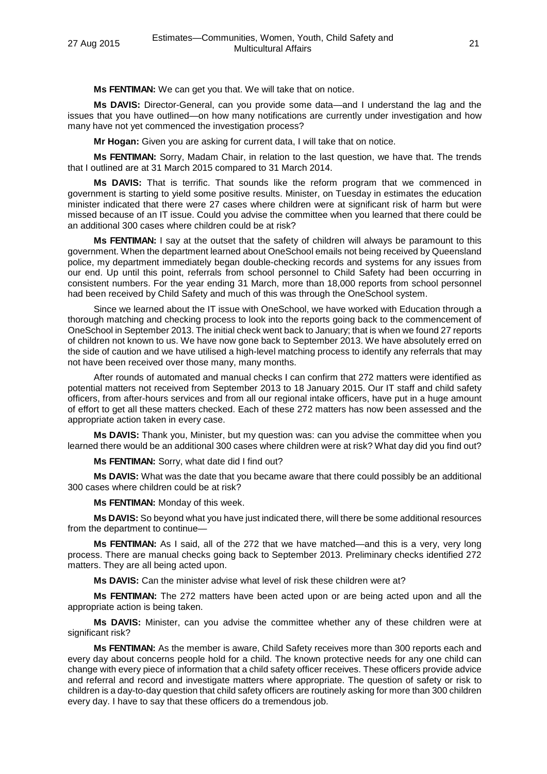**Ms FENTIMAN:** We can get you that. We will take that on notice.

**Ms DAVIS:** Director-General, can you provide some data—and I understand the lag and the issues that you have outlined—on how many notifications are currently under investigation and how many have not yet commenced the investigation process?

**Mr Hogan:** Given you are asking for current data, I will take that on notice.

**Ms FENTIMAN:** Sorry, Madam Chair, in relation to the last question, we have that. The trends that I outlined are at 31 March 2015 compared to 31 March 2014.

**Ms DAVIS:** That is terrific. That sounds like the reform program that we commenced in government is starting to yield some positive results. Minister, on Tuesday in estimates the education minister indicated that there were 27 cases where children were at significant risk of harm but were missed because of an IT issue. Could you advise the committee when you learned that there could be an additional 300 cases where children could be at risk?

**Ms FENTIMAN:** I say at the outset that the safety of children will always be paramount to this government. When the department learned about OneSchool emails not being received by Queensland police, my department immediately began double-checking records and systems for any issues from our end. Up until this point, referrals from school personnel to Child Safety had been occurring in consistent numbers. For the year ending 31 March, more than 18,000 reports from school personnel had been received by Child Safety and much of this was through the OneSchool system.

Since we learned about the IT issue with OneSchool, we have worked with Education through a thorough matching and checking process to look into the reports going back to the commencement of OneSchool in September 2013. The initial check went back to January; that is when we found 27 reports of children not known to us. We have now gone back to September 2013. We have absolutely erred on the side of caution and we have utilised a high-level matching process to identify any referrals that may not have been received over those many, many months.

After rounds of automated and manual checks I can confirm that 272 matters were identified as potential matters not received from September 2013 to 18 January 2015. Our IT staff and child safety officers, from after-hours services and from all our regional intake officers, have put in a huge amount of effort to get all these matters checked. Each of these 272 matters has now been assessed and the appropriate action taken in every case.

**Ms DAVIS:** Thank you, Minister, but my question was: can you advise the committee when you learned there would be an additional 300 cases where children were at risk? What day did you find out?

**Ms FENTIMAN:** Sorry, what date did I find out?

**Ms DAVIS:** What was the date that you became aware that there could possibly be an additional 300 cases where children could be at risk?

**Ms FENTIMAN:** Monday of this week.

**Ms DAVIS:** So beyond what you have just indicated there, will there be some additional resources from the department to continue—

**Ms FENTIMAN:** As I said, all of the 272 that we have matched—and this is a very, very long process. There are manual checks going back to September 2013. Preliminary checks identified 272 matters. They are all being acted upon.

**Ms DAVIS:** Can the minister advise what level of risk these children were at?

**Ms FENTIMAN:** The 272 matters have been acted upon or are being acted upon and all the appropriate action is being taken.

**Ms DAVIS:** Minister, can you advise the committee whether any of these children were at significant risk?

**Ms FENTIMAN:** As the member is aware, Child Safety receives more than 300 reports each and every day about concerns people hold for a child. The known protective needs for any one child can change with every piece of information that a child safety officer receives. These officers provide advice and referral and record and investigate matters where appropriate. The question of safety or risk to children is a day-to-day question that child safety officers are routinely asking for more than 300 children every day. I have to say that these officers do a tremendous job.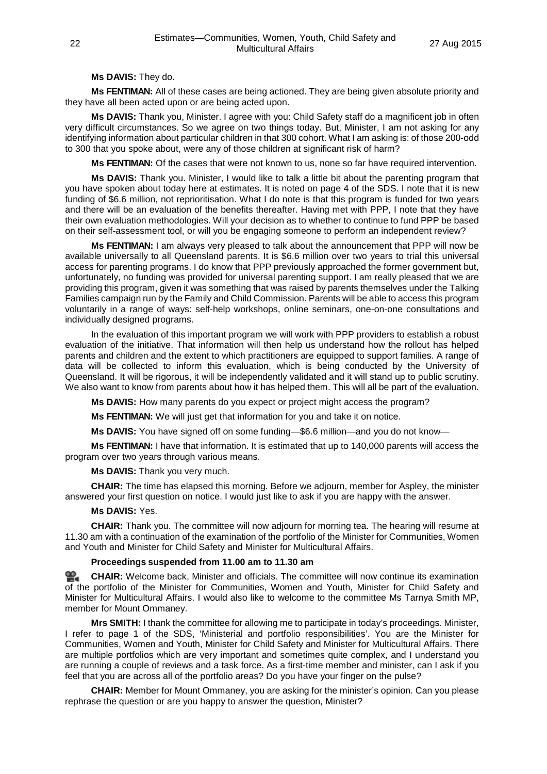# **Ms DAVIS:** They do.

**Ms FENTIMAN:** All of these cases are being actioned. They are being given absolute priority and they have all been acted upon or are being acted upon.

**Ms DAVIS:** Thank you, Minister. I agree with you: Child Safety staff do a magnificent job in often very difficult circumstances. So we agree on two things today. But, Minister, I am not asking for any identifying information about particular children in that 300 cohort. What I am asking is: of those 200-odd to 300 that you spoke about, were any of those children at significant risk of harm?

**Ms FENTIMAN:** Of the cases that were not known to us, none so far have required intervention.

**Ms DAVIS:** Thank you. Minister, I would like to talk a little bit about the parenting program that you have spoken about today here at estimates. It is noted on page 4 of the SDS. I note that it is new funding of \$6.6 million, not reprioritisation. What I do note is that this program is funded for two years and there will be an evaluation of the benefits thereafter. Having met with PPP, I note that they have their own evaluation methodologies. Will your decision as to whether to continue to fund PPP be based on their self-assessment tool, or will you be engaging someone to perform an independent review?

**Ms FENTIMAN:** I am always very pleased to talk about the announcement that PPP will now be available universally to all Queensland parents. It is \$6.6 million over two years to trial this universal access for parenting programs. I do know that PPP previously approached the former government but, unfortunately, no funding was provided for universal parenting support. I am really pleased that we are providing this program, given it was something that was raised by parents themselves under the Talking Families campaign run by the Family and Child Commission. Parents will be able to access this program voluntarily in a range of ways: self-help workshops, online seminars, one-on-one consultations and individually designed programs.

In the evaluation of this important program we will work with PPP providers to establish a robust evaluation of the initiative. That information will then help us understand how the rollout has helped parents and children and the extent to which practitioners are equipped to support families. A range of data will be collected to inform this evaluation, which is being conducted by the University of Queensland. It will be rigorous, it will be independently validated and it will stand up to public scrutiny. We also want to know from parents about how it has helped them. This will all be part of the evaluation.

**Ms DAVIS:** How many parents do you expect or project might access the program?

**Ms FENTIMAN:** We will just get that information for you and take it on notice.

**Ms DAVIS:** You have signed off on some funding—\$6.6 million—and you do not know—

**Ms FENTIMAN:** I have that information. It is estimated that up to 140,000 parents will access the program over two years through various means.

**Ms DAVIS:** Thank you very much.

**CHAIR:** The time has elapsed this morning. Before we adjourn, member for Aspley, the minister answered your first question on notice. I would just like to ask if you are happy with the answer.

#### **Ms DAVIS:** Yes.

**CHAIR:** Thank you. The committee will now adjourn for morning tea. The hearing will resume at 11.30 am with a continuation of the examination of the portfolio of the Minister for Communities, Women and Youth and Minister for Child Safety and Minister for Multicultural Affairs.

### **Proceedings suspended from 11.00 am to 11.30 am**

**[CHAIR:](http://www.parliament.qld.gov.au/docs/find.aspx?id=0Mba20150827_113027)** Welcome back, Minister and officials. The committee will now continue its examination of the portfolio of the Minister for Communities, Women and Youth, Minister for Child Safety and Minister for Multicultural Affairs. I would also like to welcome to the committee Ms Tarnya Smith MP, member for Mount Ommaney.

**Mrs SMITH:** I thank the committee for allowing me to participate in today's proceedings. Minister, I refer to page 1 of the SDS, 'Ministerial and portfolio responsibilities'. You are the Minister for Communities, Women and Youth, Minister for Child Safety and Minister for Multicultural Affairs. There are multiple portfolios which are very important and sometimes quite complex, and I understand you are running a couple of reviews and a task force. As a first-time member and minister, can I ask if you feel that you are across all of the portfolio areas? Do you have your finger on the pulse?

**CHAIR:** Member for Mount Ommaney, you are asking for the minister's opinion. Can you please rephrase the question or are you happy to answer the question, Minister?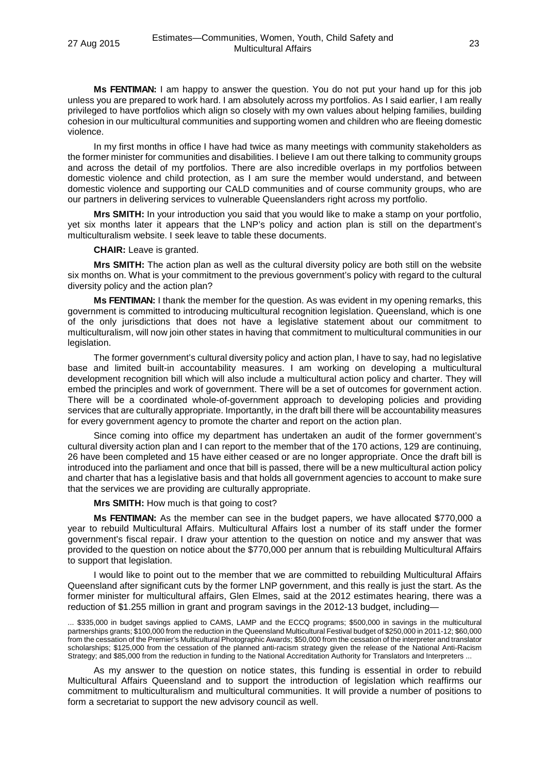**Ms FENTIMAN:** I am happy to answer the question. You do not put your hand up for this job unless you are prepared to work hard. I am absolutely across my portfolios. As I said earlier, I am really privileged to have portfolios which align so closely with my own values about helping families, building cohesion in our multicultural communities and supporting women and children who are fleeing domestic violence.

In my first months in office I have had twice as many meetings with community stakeholders as the former minister for communities and disabilities. I believe I am out there talking to community groups and across the detail of my portfolios. There are also incredible overlaps in my portfolios between domestic violence and child protection, as I am sure the member would understand, and between domestic violence and supporting our CALD communities and of course community groups, who are our partners in delivering services to vulnerable Queenslanders right across my portfolio.

**Mrs SMITH:** In your introduction you said that you would like to make a stamp on your portfolio, yet six months later it appears that the LNP's policy and action plan is still on the department's multiculturalism website. I seek leave to table these documents.

**CHAIR:** Leave is granted.

**Mrs SMITH:** The action plan as well as the cultural diversity policy are both still on the website six months on. What is your commitment to the previous government's policy with regard to the cultural diversity policy and the action plan?

**Ms FENTIMAN:** I thank the member for the question. As was evident in my opening remarks, this government is committed to introducing multicultural recognition legislation. Queensland, which is one of the only jurisdictions that does not have a legislative statement about our commitment to multiculturalism, will now join other states in having that commitment to multicultural communities in our legislation.

The former government's cultural diversity policy and action plan, I have to say, had no legislative base and limited built-in accountability measures. I am working on developing a multicultural development recognition bill which will also include a multicultural action policy and charter. They will embed the principles and work of government. There will be a set of outcomes for government action. There will be a coordinated whole-of-government approach to developing policies and providing services that are culturally appropriate. Importantly, in the draft bill there will be accountability measures for every government agency to promote the charter and report on the action plan.

Since coming into office my department has undertaken an audit of the former government's cultural diversity action plan and I can report to the member that of the 170 actions, 129 are continuing, 26 have been completed and 15 have either ceased or are no longer appropriate. Once the draft bill is introduced into the parliament and once that bill is passed, there will be a new multicultural action policy and charter that has a legislative basis and that holds all government agencies to account to make sure that the services we are providing are culturally appropriate.

**Mrs SMITH:** How much is that going to cost?

**Ms FENTIMAN:** As the member can see in the budget papers, we have allocated \$770,000 a year to rebuild Multicultural Affairs. Multicultural Affairs lost a number of its staff under the former government's fiscal repair. I draw your attention to the question on notice and my answer that was provided to the question on notice about the \$770,000 per annum that is rebuilding Multicultural Affairs to support that legislation.

I would like to point out to the member that we are committed to rebuilding Multicultural Affairs Queensland after significant cuts by the former LNP government, and this really is just the start. As the former minister for multicultural affairs, Glen Elmes, said at the 2012 estimates hearing, there was a reduction of \$1.255 million in grant and program savings in the 2012-13 budget, including—

... \$335,000 in budget savings applied to CAMS, LAMP and the ECCQ programs; \$500,000 in savings in the multicultural partnerships grants; \$100,000 from the reduction in the Queensland Multicultural Festival budget of \$250,000 in 2011-12; \$60,000 from the cessation of the Premier's Multicultural Photographic Awards; \$50,000 from the cessation of the interpreter and translator scholarships; \$125,000 from the cessation of the planned anti-racism strategy given the release of the National Anti-Racism Strategy; and \$85,000 from the reduction in funding to the National Accreditation Authority for Translators and Interpreters ...

As my answer to the question on notice states, this funding is essential in order to rebuild Multicultural Affairs Queensland and to support the introduction of legislation which reaffirms our commitment to multiculturalism and multicultural communities. It will provide a number of positions to form a secretariat to support the new advisory council as well.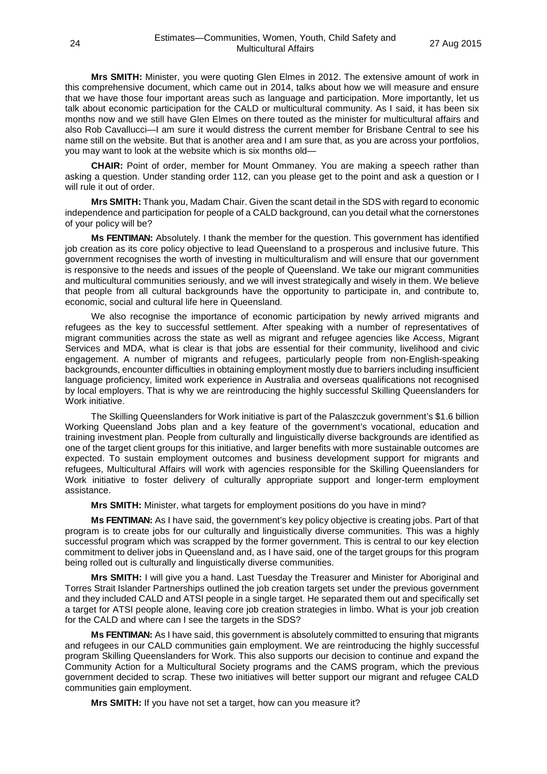**Mrs SMITH:** Minister, you were quoting Glen Elmes in 2012. The extensive amount of work in this comprehensive document, which came out in 2014, talks about how we will measure and ensure that we have those four important areas such as language and participation. More importantly, let us talk about economic participation for the CALD or multicultural community. As I said, it has been six months now and we still have Glen Elmes on there touted as the minister for multicultural affairs and also Rob Cavallucci—I am sure it would distress the current member for Brisbane Central to see his name still on the website. But that is another area and I am sure that, as you are across your portfolios, you may want to look at the website which is six months old—

**CHAIR:** Point of order, member for Mount Ommaney. You are making a speech rather than asking a question. Under standing order 112, can you please get to the point and ask a question or I will rule it out of order.

**Mrs SMITH:** Thank you, Madam Chair. Given the scant detail in the SDS with regard to economic independence and participation for people of a CALD background, can you detail what the cornerstones of your policy will be?

**Ms FENTIMAN:** Absolutely. I thank the member for the question. This government has identified job creation as its core policy objective to lead Queensland to a prosperous and inclusive future. This government recognises the worth of investing in multiculturalism and will ensure that our government is responsive to the needs and issues of the people of Queensland. We take our migrant communities and multicultural communities seriously, and we will invest strategically and wisely in them. We believe that people from all cultural backgrounds have the opportunity to participate in, and contribute to, economic, social and cultural life here in Queensland.

We also recognise the importance of economic participation by newly arrived migrants and refugees as the key to successful settlement. After speaking with a number of representatives of migrant communities across the state as well as migrant and refugee agencies like Access, Migrant Services and MDA, what is clear is that jobs are essential for their community, livelihood and civic engagement. A number of migrants and refugees, particularly people from non-English-speaking backgrounds, encounter difficulties in obtaining employment mostly due to barriers including insufficient language proficiency, limited work experience in Australia and overseas qualifications not recognised by local employers. That is why we are reintroducing the highly successful Skilling Queenslanders for Work initiative.

The Skilling Queenslanders for Work initiative is part of the Palaszczuk government's \$1.6 billion Working Queensland Jobs plan and a key feature of the government's vocational, education and training investment plan. People from culturally and linguistically diverse backgrounds are identified as one of the target client groups for this initiative, and larger benefits with more sustainable outcomes are expected. To sustain employment outcomes and business development support for migrants and refugees, Multicultural Affairs will work with agencies responsible for the Skilling Queenslanders for Work initiative to foster delivery of culturally appropriate support and longer-term employment assistance.

**Mrs SMITH:** Minister, what targets for employment positions do you have in mind?

**Ms FENTIMAN:** As I have said, the government's key policy objective is creating jobs. Part of that program is to create jobs for our culturally and linguistically diverse communities. This was a highly successful program which was scrapped by the former government. This is central to our key election commitment to deliver jobs in Queensland and, as I have said, one of the target groups for this program being rolled out is culturally and linguistically diverse communities.

**Mrs SMITH:** I will give you a hand. Last Tuesday the Treasurer and Minister for Aboriginal and Torres Strait Islander Partnerships outlined the job creation targets set under the previous government and they included CALD and ATSI people in a single target. He separated them out and specifically set a target for ATSI people alone, leaving core job creation strategies in limbo. What is your job creation for the CALD and where can I see the targets in the SDS?

**Ms FENTIMAN:** As I have said, this government is absolutely committed to ensuring that migrants and refugees in our CALD communities gain employment. We are reintroducing the highly successful program Skilling Queenslanders for Work. This also supports our decision to continue and expand the Community Action for a Multicultural Society programs and the CAMS program, which the previous government decided to scrap. These two initiatives will better support our migrant and refugee CALD communities gain employment.

**Mrs SMITH:** If you have not set a target, how can you measure it?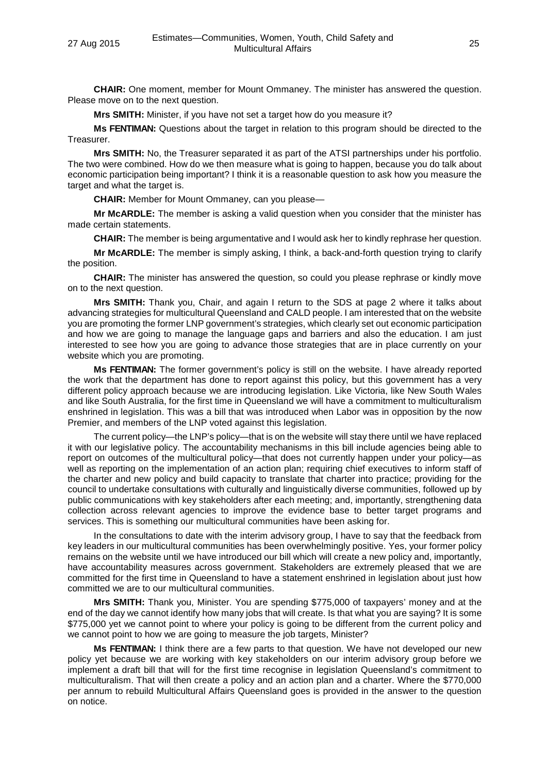**CHAIR:** One moment, member for Mount Ommaney. The minister has answered the question. Please move on to the next question.

**Mrs SMITH:** Minister, if you have not set a target how do you measure it?

**Ms FENTIMAN:** Questions about the target in relation to this program should be directed to the Treasurer.

**Mrs SMITH:** No, the Treasurer separated it as part of the ATSI partnerships under his portfolio. The two were combined. How do we then measure what is going to happen, because you do talk about economic participation being important? I think it is a reasonable question to ask how you measure the target and what the target is.

**CHAIR:** Member for Mount Ommaney, can you please—

**Mr McARDLE:** The member is asking a valid question when you consider that the minister has made certain statements.

**CHAIR:** The member is being argumentative and I would ask her to kindly rephrase her question.

**Mr McARDLE:** The member is simply asking, I think, a back-and-forth question trying to clarify the position.

**CHAIR:** The minister has answered the question, so could you please rephrase or kindly move on to the next question.

**Mrs SMITH:** Thank you, Chair, and again I return to the SDS at page 2 where it talks about advancing strategies for multicultural Queensland and CALD people. I am interested that on the website you are promoting the former LNP government's strategies, which clearly set out economic participation and how we are going to manage the language gaps and barriers and also the education. I am just interested to see how you are going to advance those strategies that are in place currently on your website which you are promoting.

**Ms FENTIMAN:** The former government's policy is still on the website. I have already reported the work that the department has done to report against this policy, but this government has a very different policy approach because we are introducing legislation. Like Victoria, like New South Wales and like South Australia, for the first time in Queensland we will have a commitment to multiculturalism enshrined in legislation. This was a bill that was introduced when Labor was in opposition by the now Premier, and members of the LNP voted against this legislation.

The current policy—the LNP's policy—that is on the website will stay there until we have replaced it with our legislative policy. The accountability mechanisms in this bill include agencies being able to report on outcomes of the multicultural policy—that does not currently happen under your policy—as well as reporting on the implementation of an action plan; requiring chief executives to inform staff of the charter and new policy and build capacity to translate that charter into practice; providing for the council to undertake consultations with culturally and linguistically diverse communities, followed up by public communications with key stakeholders after each meeting; and, importantly, strengthening data collection across relevant agencies to improve the evidence base to better target programs and services. This is something our multicultural communities have been asking for.

In the consultations to date with the interim advisory group, I have to say that the feedback from key leaders in our multicultural communities has been overwhelmingly positive. Yes, your former policy remains on the website until we have introduced our bill which will create a new policy and, importantly, have accountability measures across government. Stakeholders are extremely pleased that we are committed for the first time in Queensland to have a statement enshrined in legislation about just how committed we are to our multicultural communities.

**Mrs SMITH:** Thank you, Minister. You are spending \$775,000 of taxpayers' money and at the end of the day we cannot identify how many jobs that will create. Is that what you are saying? It is some \$775,000 yet we cannot point to where your policy is going to be different from the current policy and we cannot point to how we are going to measure the job targets, Minister?

**Ms FENTIMAN:** I think there are a few parts to that question. We have not developed our new policy yet because we are working with key stakeholders on our interim advisory group before we implement a draft bill that will for the first time recognise in legislation Queensland's commitment to multiculturalism. That will then create a policy and an action plan and a charter. Where the \$770,000 per annum to rebuild Multicultural Affairs Queensland goes is provided in the answer to the question on notice.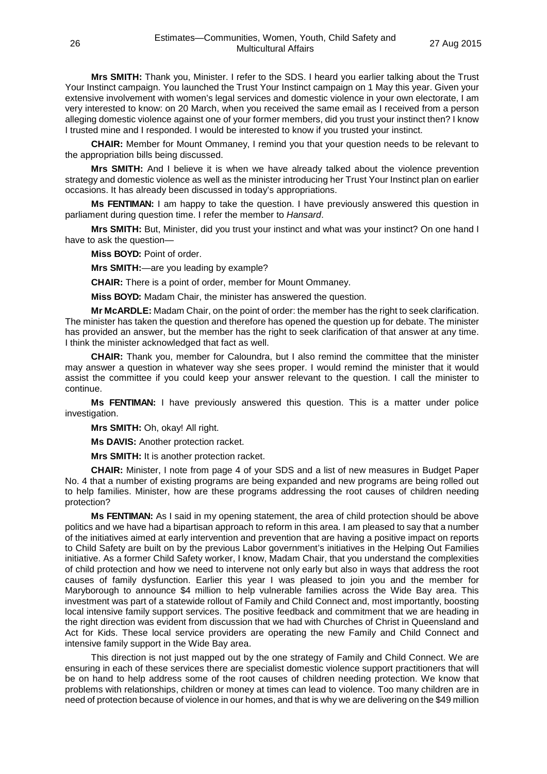**Mrs SMITH:** Thank you, Minister. I refer to the SDS. I heard you earlier talking about the Trust Your Instinct campaign. You launched the Trust Your Instinct campaign on 1 May this year. Given your extensive involvement with women's legal services and domestic violence in your own electorate. I am very interested to know: on 20 March, when you received the same email as I received from a person alleging domestic violence against one of your former members, did you trust your instinct then? I know I trusted mine and I responded. I would be interested to know if you trusted your instinct.

**CHAIR:** Member for Mount Ommaney, I remind you that your question needs to be relevant to the appropriation bills being discussed.

**Mrs SMITH:** And I believe it is when we have already talked about the violence prevention strategy and domestic violence as well as the minister introducing her Trust Your Instinct plan on earlier occasions. It has already been discussed in today's appropriations.

**Ms FENTIMAN:** I am happy to take the question. I have previously answered this question in parliament during question time. I refer the member to *Hansard*.

**Mrs SMITH:** But, Minister, did you trust your instinct and what was your instinct? On one hand I have to ask the question—

**Miss BOYD:** Point of order.

**Mrs SMITH:**—are you leading by example?

**CHAIR:** There is a point of order, member for Mount Ommaney.

**Miss BOYD:** Madam Chair, the minister has answered the question.

**Mr McARDLE:** Madam Chair, on the point of order: the member has the right to seek clarification. The minister has taken the question and therefore has opened the question up for debate. The minister has provided an answer, but the member has the right to seek clarification of that answer at any time. I think the minister acknowledged that fact as well.

**CHAIR:** Thank you, member for Caloundra, but I also remind the committee that the minister may answer a question in whatever way she sees proper. I would remind the minister that it would assist the committee if you could keep your answer relevant to the question. I call the minister to continue.

**Ms FENTIMAN:** I have previously answered this question. This is a matter under police investigation.

**Mrs SMITH:** Oh, okay! All right.

**Ms DAVIS:** Another protection racket.

**Mrs SMITH:** It is another protection racket.

**CHAIR:** Minister, I note from page 4 of your SDS and a list of new measures in Budget Paper No. 4 that a number of existing programs are being expanded and new programs are being rolled out to help families. Minister, how are these programs addressing the root causes of children needing protection?

**Ms FENTIMAN:** As I said in my opening statement, the area of child protection should be above politics and we have had a bipartisan approach to reform in this area. I am pleased to say that a number of the initiatives aimed at early intervention and prevention that are having a positive impact on reports to Child Safety are built on by the previous Labor government's initiatives in the Helping Out Families initiative. As a former Child Safety worker, I know, Madam Chair, that you understand the complexities of child protection and how we need to intervene not only early but also in ways that address the root causes of family dysfunction. Earlier this year I was pleased to join you and the member for Maryborough to announce \$4 million to help vulnerable families across the Wide Bay area. This investment was part of a statewide rollout of Family and Child Connect and, most importantly, boosting local intensive family support services. The positive feedback and commitment that we are heading in the right direction was evident from discussion that we had with Churches of Christ in Queensland and Act for Kids. These local service providers are operating the new Family and Child Connect and intensive family support in the Wide Bay area.

This direction is not just mapped out by the one strategy of Family and Child Connect. We are ensuring in each of these services there are specialist domestic violence support practitioners that will be on hand to help address some of the root causes of children needing protection. We know that problems with relationships, children or money at times can lead to violence. Too many children are in need of protection because of violence in our homes, and that is why we are delivering on the \$49 million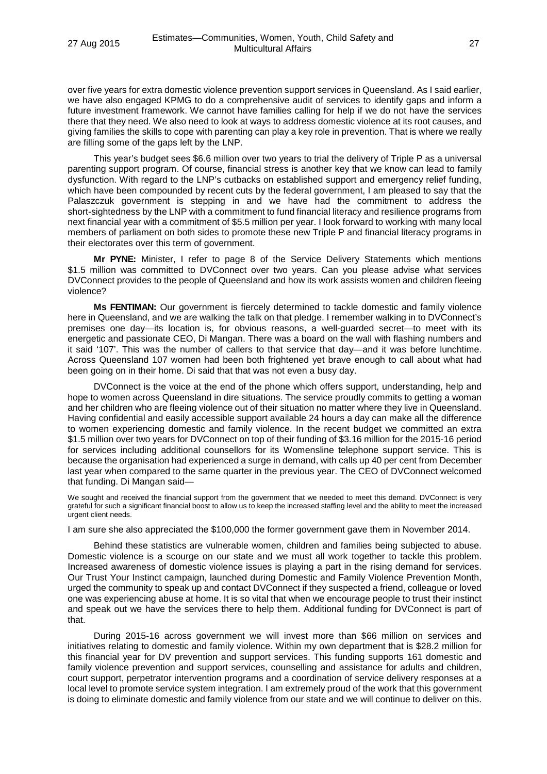over five years for extra domestic violence prevention support services in Queensland. As I said earlier, we have also engaged KPMG to do a comprehensive audit of services to identify gaps and inform a future investment framework. We cannot have families calling for help if we do not have the services there that they need. We also need to look at ways to address domestic violence at its root causes, and giving families the skills to cope with parenting can play a key role in prevention. That is where we really are filling some of the gaps left by the LNP.

This year's budget sees \$6.6 million over two years to trial the delivery of Triple P as a universal parenting support program. Of course, financial stress is another key that we know can lead to family dysfunction. With regard to the LNP's cutbacks on established support and emergency relief funding, which have been compounded by recent cuts by the federal government, I am pleased to say that the Palaszczuk government is stepping in and we have had the commitment to address the short-sightedness by the LNP with a commitment to fund financial literacy and resilience programs from next financial year with a commitment of \$5.5 million per year. I look forward to working with many local members of parliament on both sides to promote these new Triple P and financial literacy programs in their electorates over this term of government.

**Mr PYNE:** Minister, I refer to page 8 of the Service Delivery Statements which mentions \$1.5 million was committed to DVConnect over two years. Can you please advise what services DVConnect provides to the people of Queensland and how its work assists women and children fleeing violence?

**Ms FENTIMAN:** Our government is fiercely determined to tackle domestic and family violence here in Queensland, and we are walking the talk on that pledge. I remember walking in to DVConnect's premises one day—its location is, for obvious reasons, a well-guarded secret—to meet with its energetic and passionate CEO, Di Mangan. There was a board on the wall with flashing numbers and it said '107'. This was the number of callers to that service that day—and it was before lunchtime. Across Queensland 107 women had been both frightened yet brave enough to call about what had been going on in their home. Di said that that was not even a busy day.

DVConnect is the voice at the end of the phone which offers support, understanding, help and hope to women across Queensland in dire situations. The service proudly commits to getting a woman and her children who are fleeing violence out of their situation no matter where they live in Queensland. Having confidential and easily accessible support available 24 hours a day can make all the difference to women experiencing domestic and family violence. In the recent budget we committed an extra \$1.5 million over two years for DVConnect on top of their funding of \$3.16 million for the 2015-16 period for services including additional counsellors for its Womensline telephone support service. This is because the organisation had experienced a surge in demand, with calls up 40 per cent from December last year when compared to the same quarter in the previous year. The CEO of DVConnect welcomed that funding. Di Mangan said—

We sought and received the financial support from the government that we needed to meet this demand. DVConnect is very grateful for such a significant financial boost to allow us to keep the increased staffing level and the ability to meet the increased urgent client needs.

I am sure she also appreciated the \$100,000 the former government gave them in November 2014.

Behind these statistics are vulnerable women, children and families being subjected to abuse. Domestic violence is a scourge on our state and we must all work together to tackle this problem. Increased awareness of domestic violence issues is playing a part in the rising demand for services. Our Trust Your Instinct campaign, launched during Domestic and Family Violence Prevention Month, urged the community to speak up and contact DVConnect if they suspected a friend, colleague or loved one was experiencing abuse at home. It is so vital that when we encourage people to trust their instinct and speak out we have the services there to help them. Additional funding for DVConnect is part of that.

During 2015-16 across government we will invest more than \$66 million on services and initiatives relating to domestic and family violence. Within my own department that is \$28.2 million for this financial year for DV prevention and support services. This funding supports 161 domestic and family violence prevention and support services, counselling and assistance for adults and children, court support, perpetrator intervention programs and a coordination of service delivery responses at a local level to promote service system integration. I am extremely proud of the work that this government is doing to eliminate domestic and family violence from our state and we will continue to deliver on this.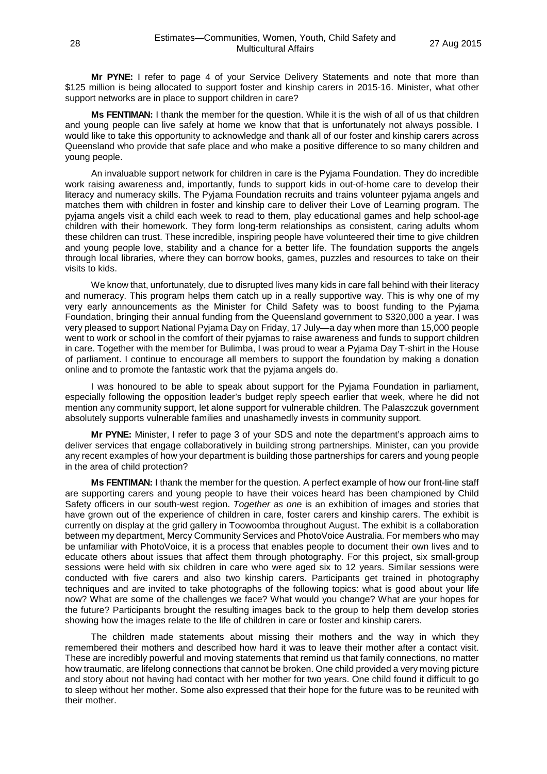**Mr PYNE:** I refer to page 4 of your Service Delivery Statements and note that more than \$125 million is being allocated to support foster and kinship carers in 2015-16. Minister, what other support networks are in place to support children in care?

**Ms FENTIMAN:** I thank the member for the question. While it is the wish of all of us that children and young people can live safely at home we know that that is unfortunately not always possible. I would like to take this opportunity to acknowledge and thank all of our foster and kinship carers across Queensland who provide that safe place and who make a positive difference to so many children and young people.

An invaluable support network for children in care is the Pyjama Foundation. They do incredible work raising awareness and, importantly, funds to support kids in out-of-home care to develop their literacy and numeracy skills. The Pyjama Foundation recruits and trains volunteer pyjama angels and matches them with children in foster and kinship care to deliver their Love of Learning program. The pyjama angels visit a child each week to read to them, play educational games and help school-age children with their homework. They form long-term relationships as consistent, caring adults whom these children can trust. These incredible, inspiring people have volunteered their time to give children and young people love, stability and a chance for a better life. The foundation supports the angels through local libraries, where they can borrow books, games, puzzles and resources to take on their visits to kids.

We know that, unfortunately, due to disrupted lives many kids in care fall behind with their literacy and numeracy. This program helps them catch up in a really supportive way. This is why one of my very early announcements as the Minister for Child Safety was to boost funding to the Pyjama Foundation, bringing their annual funding from the Queensland government to \$320,000 a year. I was very pleased to support National Pyjama Day on Friday, 17 July—a day when more than 15,000 people went to work or school in the comfort of their pyjamas to raise awareness and funds to support children in care. Together with the member for Bulimba, I was proud to wear a Pyjama Day T-shirt in the House of parliament. I continue to encourage all members to support the foundation by making a donation online and to promote the fantastic work that the pyjama angels do.

I was honoured to be able to speak about support for the Pyjama Foundation in parliament, especially following the opposition leader's budget reply speech earlier that week, where he did not mention any community support, let alone support for vulnerable children. The Palaszczuk government absolutely supports vulnerable families and unashamedly invests in community support.

**Mr PYNE:** Minister, I refer to page 3 of your SDS and note the department's approach aims to deliver services that engage collaboratively in building strong partnerships. Minister, can you provide any recent examples of how your department is building those partnerships for carers and young people in the area of child protection?

**Ms FENTIMAN:** I thank the member for the question. A perfect example of how our front-line staff are supporting carers and young people to have their voices heard has been championed by Child Safety officers in our south-west region. *Together as one* is an exhibition of images and stories that have grown out of the experience of children in care, foster carers and kinship carers. The exhibit is currently on display at the grid gallery in Toowoomba throughout August. The exhibit is a collaboration between my department, Mercy Community Services and PhotoVoice Australia. For members who may be unfamiliar with PhotoVoice, it is a process that enables people to document their own lives and to educate others about issues that affect them through photography. For this project, six small-group sessions were held with six children in care who were aged six to 12 years. Similar sessions were conducted with five carers and also two kinship carers. Participants get trained in photography techniques and are invited to take photographs of the following topics: what is good about your life now? What are some of the challenges we face? What would you change? What are your hopes for the future? Participants brought the resulting images back to the group to help them develop stories showing how the images relate to the life of children in care or foster and kinship carers.

The children made statements about missing their mothers and the way in which they remembered their mothers and described how hard it was to leave their mother after a contact visit. These are incredibly powerful and moving statements that remind us that family connections, no matter how traumatic, are lifelong connections that cannot be broken. One child provided a very moving picture and story about not having had contact with her mother for two years. One child found it difficult to go to sleep without her mother. Some also expressed that their hope for the future was to be reunited with their mother.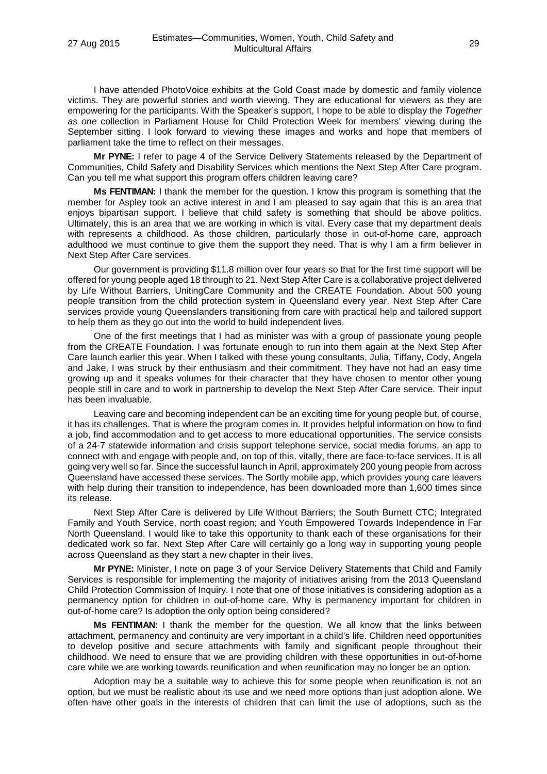I have attended PhotoVoice exhibits at the Gold Coast made by domestic and family violence victims. They are powerful stories and worth viewing. They are educational for viewers as they are empowering for the participants. With the Speaker's support, I hope to be able to display the *Together as one* collection in Parliament House for Child Protection Week for members' viewing during the September sitting. I look forward to viewing these images and works and hope that members of parliament take the time to reflect on their messages.

**Mr PYNE:** I refer to page 4 of the Service Delivery Statements released by the Department of Communities, Child Safety and Disability Services which mentions the Next Step After Care program. Can you tell me what support this program offers children leaving care?

**Ms FENTIMAN:** I thank the member for the question. I know this program is something that the member for Aspley took an active interest in and I am pleased to say again that this is an area that enjoys bipartisan support. I believe that child safety is something that should be above politics. Ultimately, this is an area that we are working in which is vital. Every case that my department deals with represents a childhood. As those children, particularly those in out-of-home care, approach adulthood we must continue to give them the support they need. That is why I am a firm believer in Next Step After Care services.

Our government is providing \$11.8 million over four years so that for the first time support will be offered for young people aged 18 through to 21. Next Step After Care is a collaborative project delivered by Life Without Barriers, UnitingCare Community and the CREATE Foundation. About 500 young people transition from the child protection system in Queensland every year. Next Step After Care services provide young Queenslanders transitioning from care with practical help and tailored support to help them as they go out into the world to build independent lives.

One of the first meetings that I had as minister was with a group of passionate young people from the CREATE Foundation. I was fortunate enough to run into them again at the Next Step After Care launch earlier this year. When I talked with these young consultants, Julia, Tiffany, Cody, Angela and Jake, I was struck by their enthusiasm and their commitment. They have not had an easy time growing up and it speaks volumes for their character that they have chosen to mentor other young people still in care and to work in partnership to develop the Next Step After Care service. Their input has been invaluable.

Leaving care and becoming independent can be an exciting time for young people but, of course, it has its challenges. That is where the program comes in. It provides helpful information on how to find a job, find accommodation and to get access to more educational opportunities. The service consists of a 24-7 statewide information and crisis support telephone service, social media forums, an app to connect with and engage with people and, on top of this, vitally, there are face-to-face services. It is all going very well so far. Since the successful launch in April, approximately 200 young people from across Queensland have accessed these services. The Sortly mobile app, which provides young care leavers with help during their transition to independence, has been downloaded more than 1,600 times since its release.

Next Step After Care is delivered by Life Without Barriers; the South Burnett CTC; Integrated Family and Youth Service, north coast region; and Youth Empowered Towards Independence in Far North Queensland. I would like to take this opportunity to thank each of these organisations for their dedicated work so far. Next Step After Care will certainly go a long way in supporting young people across Queensland as they start a new chapter in their lives.

**Mr PYNE:** Minister, I note on page 3 of your Service Delivery Statements that Child and Family Services is responsible for implementing the majority of initiatives arising from the 2013 Queensland Child Protection Commission of Inquiry. I note that one of those initiatives is considering adoption as a permanency option for children in out-of-home care. Why is permanency important for children in out-of-home care? Is adoption the only option being considered?

**Ms FENTIMAN:** I thank the member for the question. We all know that the links between attachment, permanency and continuity are very important in a child's life. Children need opportunities to develop positive and secure attachments with family and significant people throughout their childhood. We need to ensure that we are providing children with these opportunities in out-of-home care while we are working towards reunification and when reunification may no longer be an option.

Adoption may be a suitable way to achieve this for some people when reunification is not an option, but we must be realistic about its use and we need more options than just adoption alone. We often have other goals in the interests of children that can limit the use of adoptions, such as the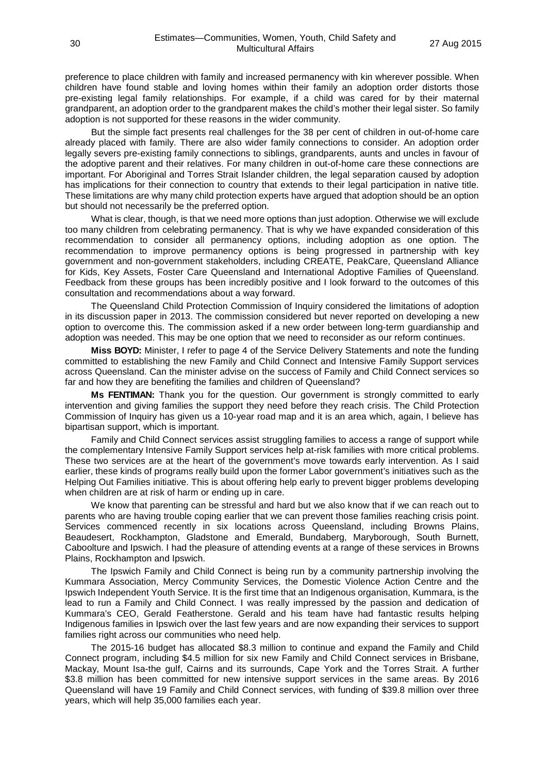preference to place children with family and increased permanency with kin wherever possible. When children have found stable and loving homes within their family an adoption order distorts those pre-existing legal family relationships. For example, if a child was cared for by their maternal grandparent, an adoption order to the grandparent makes the child's mother their legal sister. So family adoption is not supported for these reasons in the wider community.

But the simple fact presents real challenges for the 38 per cent of children in out-of-home care already placed with family. There are also wider family connections to consider. An adoption order legally severs pre-existing family connections to siblings, grandparents, aunts and uncles in favour of the adoptive parent and their relatives. For many children in out-of-home care these connections are important. For Aboriginal and Torres Strait Islander children, the legal separation caused by adoption has implications for their connection to country that extends to their legal participation in native title. These limitations are why many child protection experts have argued that adoption should be an option but should not necessarily be the preferred option.

What is clear, though, is that we need more options than just adoption. Otherwise we will exclude too many children from celebrating permanency. That is why we have expanded consideration of this recommendation to consider all permanency options, including adoption as one option. The recommendation to improve permanency options is being progressed in partnership with key government and non-government stakeholders, including CREATE, PeakCare, Queensland Alliance for Kids, Key Assets, Foster Care Queensland and International Adoptive Families of Queensland. Feedback from these groups has been incredibly positive and I look forward to the outcomes of this consultation and recommendations about a way forward.

The Queensland Child Protection Commission of Inquiry considered the limitations of adoption in its discussion paper in 2013. The commission considered but never reported on developing a new option to overcome this. The commission asked if a new order between long-term guardianship and adoption was needed. This may be one option that we need to reconsider as our reform continues.

**Miss BOYD:** Minister, I refer to page 4 of the Service Delivery Statements and note the funding committed to establishing the new Family and Child Connect and Intensive Family Support services across Queensland. Can the minister advise on the success of Family and Child Connect services so far and how they are benefiting the families and children of Queensland?

**Ms FENTIMAN:** Thank you for the question. Our government is strongly committed to early intervention and giving families the support they need before they reach crisis. The Child Protection Commission of Inquiry has given us a 10-year road map and it is an area which, again, I believe has bipartisan support, which is important.

Family and Child Connect services assist struggling families to access a range of support while the complementary Intensive Family Support services help at-risk families with more critical problems. These two services are at the heart of the government's move towards early intervention. As I said earlier, these kinds of programs really build upon the former Labor government's initiatives such as the Helping Out Families initiative. This is about offering help early to prevent bigger problems developing when children are at risk of harm or ending up in care.

We know that parenting can be stressful and hard but we also know that if we can reach out to parents who are having trouble coping earlier that we can prevent those families reaching crisis point. Services commenced recently in six locations across Queensland, including Browns Plains, Beaudesert, Rockhampton, Gladstone and Emerald, Bundaberg, Maryborough, South Burnett, Caboolture and Ipswich. I had the pleasure of attending events at a range of these services in Browns Plains, Rockhampton and Ipswich.

The Ipswich Family and Child Connect is being run by a community partnership involving the Kummara Association, Mercy Community Services, the Domestic Violence Action Centre and the Ipswich Independent Youth Service. It is the first time that an Indigenous organisation, Kummara, is the lead to run a Family and Child Connect. I was really impressed by the passion and dedication of Kummara's CEO, Gerald Featherstone. Gerald and his team have had fantastic results helping Indigenous families in Ipswich over the last few years and are now expanding their services to support families right across our communities who need help.

The 2015-16 budget has allocated \$8.3 million to continue and expand the Family and Child Connect program, including \$4.5 million for six new Family and Child Connect services in Brisbane, Mackay, Mount Isa-the gulf, Cairns and its surrounds, Cape York and the Torres Strait. A further \$3.8 million has been committed for new intensive support services in the same areas. By 2016 Queensland will have 19 Family and Child Connect services, with funding of \$39.8 million over three years, which will help 35,000 families each year.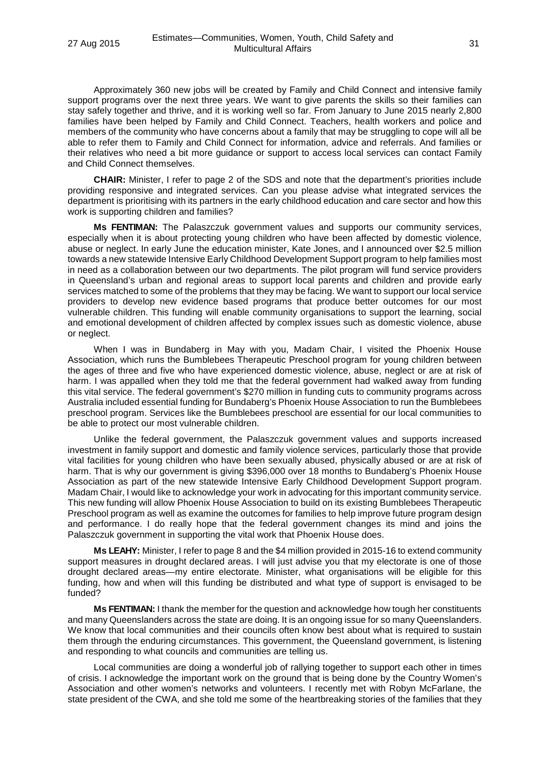Approximately 360 new jobs will be created by Family and Child Connect and intensive family support programs over the next three years. We want to give parents the skills so their families can stay safely together and thrive, and it is working well so far. From January to June 2015 nearly 2,800 families have been helped by Family and Child Connect. Teachers, health workers and police and members of the community who have concerns about a family that may be struggling to cope will all be able to refer them to Family and Child Connect for information, advice and referrals. And families or their relatives who need a bit more guidance or support to access local services can contact Family and Child Connect themselves.

**CHAIR:** Minister, I refer to page 2 of the SDS and note that the department's priorities include providing responsive and integrated services. Can you please advise what integrated services the department is prioritising with its partners in the early childhood education and care sector and how this work is supporting children and families?

**Ms FENTIMAN:** The Palaszczuk government values and supports our community services, especially when it is about protecting young children who have been affected by domestic violence, abuse or neglect. In early June the education minister, Kate Jones, and I announced over \$2.5 million towards a new statewide Intensive Early Childhood Development Support program to help families most in need as a collaboration between our two departments. The pilot program will fund service providers in Queensland's urban and regional areas to support local parents and children and provide early services matched to some of the problems that they may be facing. We want to support our local service providers to develop new evidence based programs that produce better outcomes for our most vulnerable children. This funding will enable community organisations to support the learning, social and emotional development of children affected by complex issues such as domestic violence, abuse or neglect.

When I was in Bundaberg in May with you, Madam Chair, I visited the Phoenix House Association, which runs the Bumblebees Therapeutic Preschool program for young children between the ages of three and five who have experienced domestic violence, abuse, neglect or are at risk of harm. I was appalled when they told me that the federal government had walked away from funding this vital service. The federal government's \$270 million in funding cuts to community programs across Australia included essential funding for Bundaberg's Phoenix House Association to run the Bumblebees preschool program. Services like the Bumblebees preschool are essential for our local communities to be able to protect our most vulnerable children.

Unlike the federal government, the Palaszczuk government values and supports increased investment in family support and domestic and family violence services, particularly those that provide vital facilities for young children who have been sexually abused, physically abused or are at risk of harm. That is why our government is giving \$396,000 over 18 months to Bundaberg's Phoenix House Association as part of the new statewide Intensive Early Childhood Development Support program. Madam Chair, I would like to acknowledge your work in advocating for this important community service. This new funding will allow Phoenix House Association to build on its existing Bumblebees Therapeutic Preschool program as well as examine the outcomes for families to help improve future program design and performance. I do really hope that the federal government changes its mind and joins the Palaszczuk government in supporting the vital work that Phoenix House does.

**Ms LEAHY:** Minister, I refer to page 8 and the \$4 million provided in 2015-16 to extend community support measures in drought declared areas. I will just advise you that my electorate is one of those drought declared areas—my entire electorate. Minister, what organisations will be eligible for this funding, how and when will this funding be distributed and what type of support is envisaged to be funded?

**Ms FENTIMAN:** I thank the member for the question and acknowledge how tough her constituents and many Queenslanders across the state are doing. It is an ongoing issue for so many Queenslanders. We know that local communities and their councils often know best about what is required to sustain them through the enduring circumstances. This government, the Queensland government, is listening and responding to what councils and communities are telling us.

Local communities are doing a wonderful job of rallying together to support each other in times of crisis. I acknowledge the important work on the ground that is being done by the Country Women's Association and other women's networks and volunteers. I recently met with Robyn McFarlane, the state president of the CWA, and she told me some of the heartbreaking stories of the families that they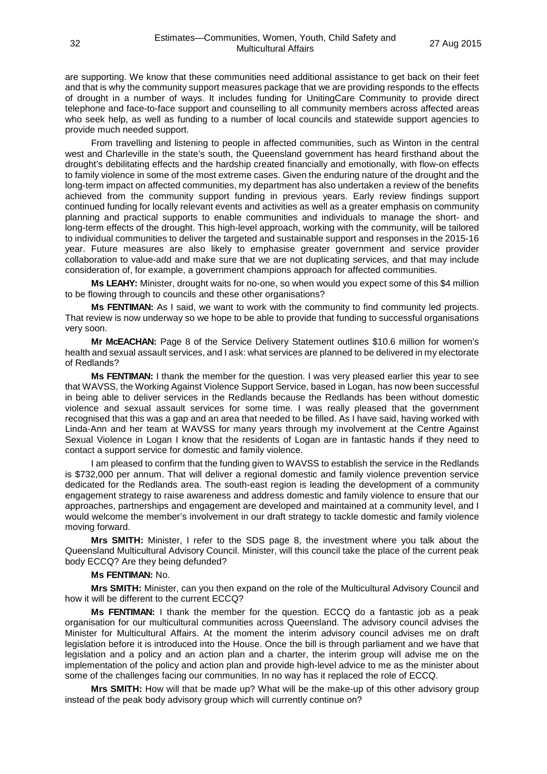are supporting. We know that these communities need additional assistance to get back on their feet and that is why the community support measures package that we are providing responds to the effects of drought in a number of ways. It includes funding for UnitingCare Community to provide direct telephone and face-to-face support and counselling to all community members across affected areas who seek help, as well as funding to a number of local councils and statewide support agencies to provide much needed support.

From travelling and listening to people in affected communities, such as Winton in the central west and Charleville in the state's south, the Queensland government has heard firsthand about the drought's debilitating effects and the hardship created financially and emotionally, with flow-on effects to family violence in some of the most extreme cases. Given the enduring nature of the drought and the long-term impact on affected communities, my department has also undertaken a review of the benefits achieved from the community support funding in previous years. Early review findings support continued funding for locally relevant events and activities as well as a greater emphasis on community planning and practical supports to enable communities and individuals to manage the short- and long-term effects of the drought. This high-level approach, working with the community, will be tailored to individual communities to deliver the targeted and sustainable support and responses in the 2015-16 year. Future measures are also likely to emphasise greater government and service provider collaboration to value-add and make sure that we are not duplicating services, and that may include consideration of, for example, a government champions approach for affected communities.

**Ms LEAHY:** Minister, drought waits for no-one, so when would you expect some of this \$4 million to be flowing through to councils and these other organisations?

**Ms FENTIMAN:** As I said, we want to work with the community to find community led projects. That review is now underway so we hope to be able to provide that funding to successful organisations very soon.

**Mr McEACHAN:** Page 8 of the Service Delivery Statement outlines \$10.6 million for women's health and sexual assault services, and I ask: what services are planned to be delivered in my electorate of Redlands?

**Ms FENTIMAN:** I thank the member for the question. I was very pleased earlier this year to see that WAVSS, the Working Against Violence Support Service, based in Logan, has now been successful in being able to deliver services in the Redlands because the Redlands has been without domestic violence and sexual assault services for some time. I was really pleased that the government recognised that this was a gap and an area that needed to be filled. As I have said, having worked with Linda-Ann and her team at WAVSS for many years through my involvement at the Centre Against Sexual Violence in Logan I know that the residents of Logan are in fantastic hands if they need to contact a support service for domestic and family violence.

I am pleased to confirm that the funding given to WAVSS to establish the service in the Redlands is \$732,000 per annum. That will deliver a regional domestic and family violence prevention service dedicated for the Redlands area. The south-east region is leading the development of a community engagement strategy to raise awareness and address domestic and family violence to ensure that our approaches, partnerships and engagement are developed and maintained at a community level, and I would welcome the member's involvement in our draft strategy to tackle domestic and family violence moving forward.

**Mrs SMITH:** Minister, I refer to the SDS page 8, the investment where you talk about the Queensland Multicultural Advisory Council. Minister, will this council take the place of the current peak body ECCQ? Are they being defunded?

#### **Ms FENTIMAN:** No.

**Mrs SMITH:** Minister, can you then expand on the role of the Multicultural Advisory Council and how it will be different to the current ECCQ?

**Ms FENTIMAN:** I thank the member for the question. ECCQ do a fantastic job as a peak organisation for our multicultural communities across Queensland. The advisory council advises the Minister for Multicultural Affairs. At the moment the interim advisory council advises me on draft legislation before it is introduced into the House. Once the bill is through parliament and we have that legislation and a policy and an action plan and a charter, the interim group will advise me on the implementation of the policy and action plan and provide high-level advice to me as the minister about some of the challenges facing our communities. In no way has it replaced the role of ECCQ.

**Mrs SMITH:** How will that be made up? What will be the make-up of this other advisory group instead of the peak body advisory group which will currently continue on?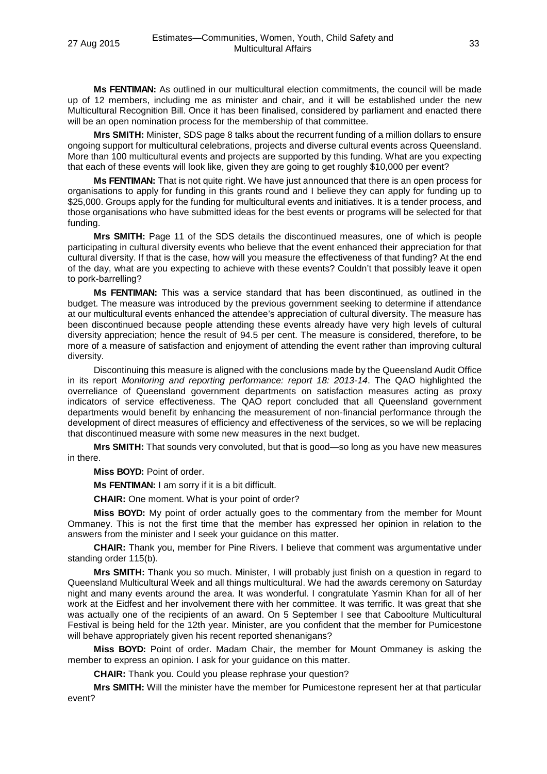**Ms FENTIMAN:** As outlined in our multicultural election commitments, the council will be made up of 12 members, including me as minister and chair, and it will be established under the new Multicultural Recognition Bill. Once it has been finalised, considered by parliament and enacted there will be an open nomination process for the membership of that committee.

**Mrs SMITH:** Minister, SDS page 8 talks about the recurrent funding of a million dollars to ensure ongoing support for multicultural celebrations, projects and diverse cultural events across Queensland. More than 100 multicultural events and projects are supported by this funding. What are you expecting that each of these events will look like, given they are going to get roughly \$10,000 per event?

**Ms FENTIMAN:** That is not quite right. We have just announced that there is an open process for organisations to apply for funding in this grants round and I believe they can apply for funding up to \$25,000. Groups apply for the funding for multicultural events and initiatives. It is a tender process, and those organisations who have submitted ideas for the best events or programs will be selected for that funding.

**Mrs SMITH:** Page 11 of the SDS details the discontinued measures, one of which is people participating in cultural diversity events who believe that the event enhanced their appreciation for that cultural diversity. If that is the case, how will you measure the effectiveness of that funding? At the end of the day, what are you expecting to achieve with these events? Couldn't that possibly leave it open to pork-barrelling?

**Ms FENTIMAN:** This was a service standard that has been discontinued, as outlined in the budget. The measure was introduced by the previous government seeking to determine if attendance at our multicultural events enhanced the attendee's appreciation of cultural diversity. The measure has been discontinued because people attending these events already have very high levels of cultural diversity appreciation; hence the result of 94.5 per cent. The measure is considered, therefore, to be more of a measure of satisfaction and enjoyment of attending the event rather than improving cultural diversity.

Discontinuing this measure is aligned with the conclusions made by the Queensland Audit Office in its report *Monitoring and reporting performance: report 18: 2013-14*. The QAO highlighted the overreliance of Queensland government departments on satisfaction measures acting as proxy indicators of service effectiveness. The QAO report concluded that all Queensland government departments would benefit by enhancing the measurement of non-financial performance through the development of direct measures of efficiency and effectiveness of the services, so we will be replacing that discontinued measure with some new measures in the next budget.

**Mrs SMITH:** That sounds very convoluted, but that is good—so long as you have new measures in there.

**Miss BOYD:** Point of order.

**Ms FENTIMAN:** I am sorry if it is a bit difficult.

**CHAIR:** One moment. What is your point of order?

**Miss BOYD:** My point of order actually goes to the commentary from the member for Mount Ommaney. This is not the first time that the member has expressed her opinion in relation to the answers from the minister and I seek your guidance on this matter.

**CHAIR:** Thank you, member for Pine Rivers. I believe that comment was argumentative under standing order 115(b).

**Mrs SMITH:** Thank you so much. Minister, I will probably just finish on a question in regard to Queensland Multicultural Week and all things multicultural. We had the awards ceremony on Saturday night and many events around the area. It was wonderful. I congratulate Yasmin Khan for all of her work at the Eidfest and her involvement there with her committee. It was terrific. It was great that she was actually one of the recipients of an award. On 5 September I see that Caboolture Multicultural Festival is being held for the 12th year. Minister, are you confident that the member for Pumicestone will behave appropriately given his recent reported shenanigans?

**Miss BOYD:** Point of order. Madam Chair, the member for Mount Ommaney is asking the member to express an opinion. I ask for your guidance on this matter.

**CHAIR:** Thank you. Could you please rephrase your question?

**Mrs SMITH:** Will the minister have the member for Pumicestone represent her at that particular event?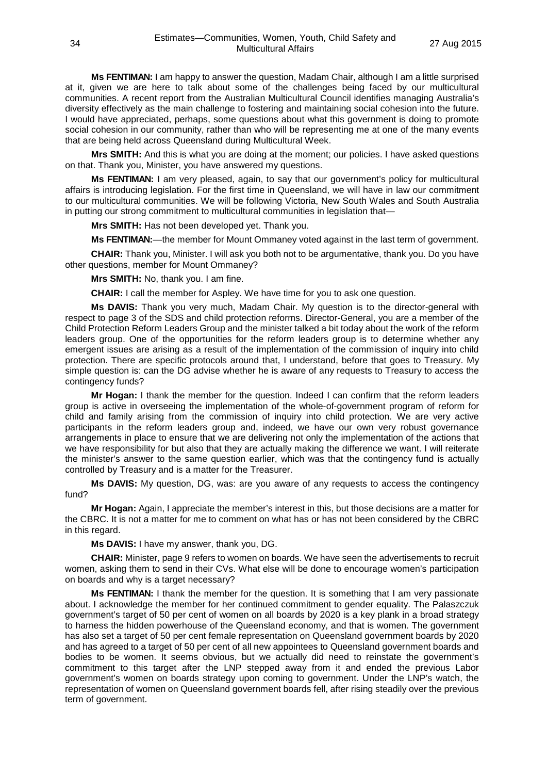**Ms FENTIMAN:** I am happy to answer the question, Madam Chair, although I am a little surprised at it, given we are here to talk about some of the challenges being faced by our multicultural communities. A recent report from the Australian Multicultural Council identifies managing Australia's diversity effectively as the main challenge to fostering and maintaining social cohesion into the future. I would have appreciated, perhaps, some questions about what this government is doing to promote social cohesion in our community, rather than who will be representing me at one of the many events that are being held across Queensland during Multicultural Week.

**Mrs SMITH:** And this is what you are doing at the moment; our policies. I have asked questions on that. Thank you, Minister, you have answered my questions.

**Ms FENTIMAN:** I am very pleased, again, to say that our government's policy for multicultural affairs is introducing legislation. For the first time in Queensland, we will have in law our commitment to our multicultural communities. We will be following Victoria, New South Wales and South Australia in putting our strong commitment to multicultural communities in legislation that—

**Mrs SMITH:** Has not been developed yet. Thank you.

**Ms FENTIMAN:**—the member for Mount Ommaney voted against in the last term of government.

**CHAIR:** Thank you, Minister. I will ask you both not to be argumentative, thank you. Do you have other questions, member for Mount Ommaney?

**Mrs SMITH:** No, thank you. I am fine.

**CHAIR:** I call the member for Aspley. We have time for you to ask one question.

**Ms DAVIS:** Thank you very much, Madam Chair. My question is to the director-general with respect to page 3 of the SDS and child protection reforms. Director-General, you are a member of the Child Protection Reform Leaders Group and the minister talked a bit today about the work of the reform leaders group. One of the opportunities for the reform leaders group is to determine whether any emergent issues are arising as a result of the implementation of the commission of inquiry into child protection. There are specific protocols around that, I understand, before that goes to Treasury. My simple question is: can the DG advise whether he is aware of any requests to Treasury to access the contingency funds?

**Mr Hogan:** I thank the member for the question. Indeed I can confirm that the reform leaders group is active in overseeing the implementation of the whole-of-government program of reform for child and family arising from the commission of inquiry into child protection. We are very active participants in the reform leaders group and, indeed, we have our own very robust governance arrangements in place to ensure that we are delivering not only the implementation of the actions that we have responsibility for but also that they are actually making the difference we want. I will reiterate the minister's answer to the same question earlier, which was that the contingency fund is actually controlled by Treasury and is a matter for the Treasurer.

**Ms DAVIS:** My question, DG, was: are you aware of any requests to access the contingency fund?

**Mr Hogan:** Again, I appreciate the member's interest in this, but those decisions are a matter for the CBRC. It is not a matter for me to comment on what has or has not been considered by the CBRC in this regard.

**Ms DAVIS:** I have my answer, thank you, DG.

**CHAIR:** Minister, page 9 refers to women on boards. We have seen the advertisements to recruit women, asking them to send in their CVs. What else will be done to encourage women's participation on boards and why is a target necessary?

**Ms FENTIMAN:** I thank the member for the question. It is something that I am very passionate about. I acknowledge the member for her continued commitment to gender equality. The Palaszczuk government's target of 50 per cent of women on all boards by 2020 is a key plank in a broad strategy to harness the hidden powerhouse of the Queensland economy, and that is women. The government has also set a target of 50 per cent female representation on Queensland government boards by 2020 and has agreed to a target of 50 per cent of all new appointees to Queensland government boards and bodies to be women. It seems obvious, but we actually did need to reinstate the government's commitment to this target after the LNP stepped away from it and ended the previous Labor government's women on boards strategy upon coming to government. Under the LNP's watch, the representation of women on Queensland government boards fell, after rising steadily over the previous term of government.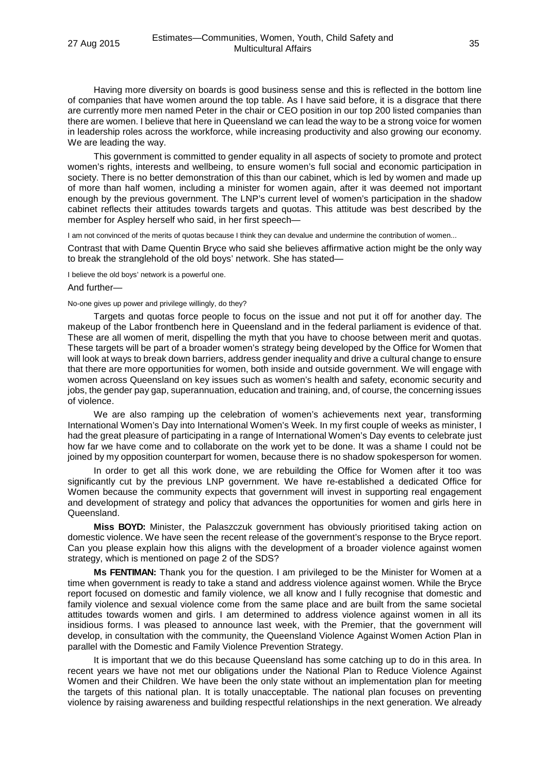Having more diversity on boards is good business sense and this is reflected in the bottom line of companies that have women around the top table. As I have said before, it is a disgrace that there are currently more men named Peter in the chair or CEO position in our top 200 listed companies than there are women. I believe that here in Queensland we can lead the way to be a strong voice for women in leadership roles across the workforce, while increasing productivity and also growing our economy. We are leading the way.

This government is committed to gender equality in all aspects of society to promote and protect women's rights, interests and wellbeing, to ensure women's full social and economic participation in society. There is no better demonstration of this than our cabinet, which is led by women and made up of more than half women, including a minister for women again, after it was deemed not important enough by the previous government. The LNP's current level of women's participation in the shadow cabinet reflects their attitudes towards targets and quotas. This attitude was best described by the member for Aspley herself who said, in her first speech—

I am not convinced of the merits of quotas because I think they can devalue and undermine the contribution of women...

Contrast that with Dame Quentin Bryce who said she believes affirmative action might be the only way to break the stranglehold of the old boys' network. She has stated—

I believe the old boys' network is a powerful one.

# And further—

#### No-one gives up power and privilege willingly, do they?

Targets and quotas force people to focus on the issue and not put it off for another day. The makeup of the Labor frontbench here in Queensland and in the federal parliament is evidence of that. These are all women of merit, dispelling the myth that you have to choose between merit and quotas. These targets will be part of a broader women's strategy being developed by the Office for Women that will look at ways to break down barriers, address gender inequality and drive a cultural change to ensure that there are more opportunities for women, both inside and outside government. We will engage with women across Queensland on key issues such as women's health and safety, economic security and jobs, the gender pay gap, superannuation, education and training, and, of course, the concerning issues of violence.

We are also ramping up the celebration of women's achievements next year, transforming International Women's Day into International Women's Week. In my first couple of weeks as minister, I had the great pleasure of participating in a range of International Women's Day events to celebrate just how far we have come and to collaborate on the work yet to be done. It was a shame I could not be joined by my opposition counterpart for women, because there is no shadow spokesperson for women.

In order to get all this work done, we are rebuilding the Office for Women after it too was significantly cut by the previous LNP government. We have re-established a dedicated Office for Women because the community expects that government will invest in supporting real engagement and development of strategy and policy that advances the opportunities for women and girls here in Queensland.

**Miss BOYD:** Minister, the Palaszczuk government has obviously prioritised taking action on domestic violence. We have seen the recent release of the government's response to the Bryce report. Can you please explain how this aligns with the development of a broader violence against women strategy, which is mentioned on page 2 of the SDS?

**Ms FENTIMAN:** Thank you for the question. I am privileged to be the Minister for Women at a time when government is ready to take a stand and address violence against women. While the Bryce report focused on domestic and family violence, we all know and I fully recognise that domestic and family violence and sexual violence come from the same place and are built from the same societal attitudes towards women and girls. I am determined to address violence against women in all its insidious forms. I was pleased to announce last week, with the Premier, that the government will develop, in consultation with the community, the Queensland Violence Against Women Action Plan in parallel with the Domestic and Family Violence Prevention Strategy.

It is important that we do this because Queensland has some catching up to do in this area. In recent years we have not met our obligations under the National Plan to Reduce Violence Against Women and their Children. We have been the only state without an implementation plan for meeting the targets of this national plan. It is totally unacceptable. The national plan focuses on preventing violence by raising awareness and building respectful relationships in the next generation. We already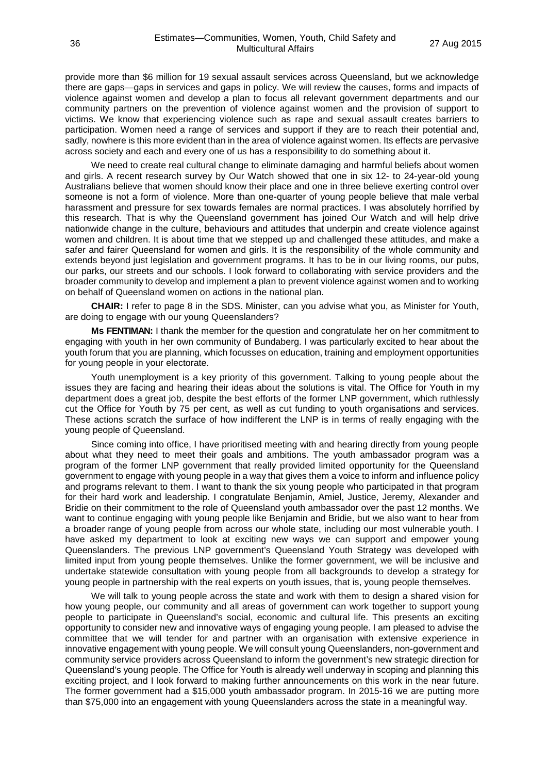provide more than \$6 million for 19 sexual assault services across Queensland, but we acknowledge there are gaps—gaps in services and gaps in policy. We will review the causes, forms and impacts of violence against women and develop a plan to focus all relevant government departments and our community partners on the prevention of violence against women and the provision of support to victims. We know that experiencing violence such as rape and sexual assault creates barriers to participation. Women need a range of services and support if they are to reach their potential and, sadly, nowhere is this more evident than in the area of violence against women. Its effects are pervasive across society and each and every one of us has a responsibility to do something about it.

We need to create real cultural change to eliminate damaging and harmful beliefs about women and girls. A recent research survey by Our Watch showed that one in six 12- to 24-year-old young Australians believe that women should know their place and one in three believe exerting control over someone is not a form of violence. More than one-quarter of young people believe that male verbal harassment and pressure for sex towards females are normal practices. I was absolutely horrified by this research. That is why the Queensland government has joined Our Watch and will help drive nationwide change in the culture, behaviours and attitudes that underpin and create violence against women and children. It is about time that we stepped up and challenged these attitudes, and make a safer and fairer Queensland for women and girls. It is the responsibility of the whole community and extends beyond just legislation and government programs. It has to be in our living rooms, our pubs, our parks, our streets and our schools. I look forward to collaborating with service providers and the broader community to develop and implement a plan to prevent violence against women and to working on behalf of Queensland women on actions in the national plan.

**CHAIR:** I refer to page 8 in the SDS. Minister, can you advise what you, as Minister for Youth, are doing to engage with our young Queenslanders?

**Ms FENTIMAN:** I thank the member for the question and congratulate her on her commitment to engaging with youth in her own community of Bundaberg. I was particularly excited to hear about the youth forum that you are planning, which focusses on education, training and employment opportunities for young people in your electorate.

Youth unemployment is a key priority of this government. Talking to young people about the issues they are facing and hearing their ideas about the solutions is vital. The Office for Youth in my department does a great job, despite the best efforts of the former LNP government, which ruthlessly cut the Office for Youth by 75 per cent, as well as cut funding to youth organisations and services. These actions scratch the surface of how indifferent the LNP is in terms of really engaging with the young people of Queensland.

Since coming into office, I have prioritised meeting with and hearing directly from young people about what they need to meet their goals and ambitions. The youth ambassador program was a program of the former LNP government that really provided limited opportunity for the Queensland government to engage with young people in a way that gives them a voice to inform and influence policy and programs relevant to them. I want to thank the six young people who participated in that program for their hard work and leadership. I congratulate Benjamin, Amiel, Justice, Jeremy, Alexander and Bridie on their commitment to the role of Queensland youth ambassador over the past 12 months. We want to continue engaging with young people like Benjamin and Bridie, but we also want to hear from a broader range of young people from across our whole state, including our most vulnerable youth. I have asked my department to look at exciting new ways we can support and empower young Queenslanders. The previous LNP government's Queensland Youth Strategy was developed with limited input from young people themselves. Unlike the former government, we will be inclusive and undertake statewide consultation with young people from all backgrounds to develop a strategy for young people in partnership with the real experts on youth issues, that is, young people themselves.

We will talk to young people across the state and work with them to design a shared vision for how young people, our community and all areas of government can work together to support young people to participate in Queensland's social, economic and cultural life. This presents an exciting opportunity to consider new and innovative ways of engaging young people. I am pleased to advise the committee that we will tender for and partner with an organisation with extensive experience in innovative engagement with young people. We will consult young Queenslanders, non-government and community service providers across Queensland to inform the government's new strategic direction for Queensland's young people. The Office for Youth is already well underway in scoping and planning this exciting project, and I look forward to making further announcements on this work in the near future. The former government had a \$15,000 youth ambassador program. In 2015-16 we are putting more than \$75,000 into an engagement with young Queenslanders across the state in a meaningful way.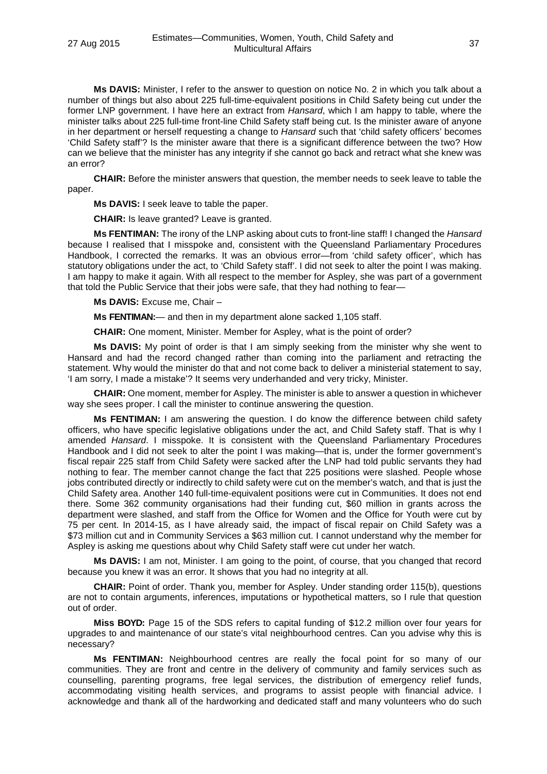**Ms DAVIS:** Minister, I refer to the answer to question on notice No. 2 in which you talk about a number of things but also about 225 full-time-equivalent positions in Child Safety being cut under the former LNP government. I have here an extract from *Hansard*, which I am happy to table, where the minister talks about 225 full-time front-line Child Safety staff being cut. Is the minister aware of anyone in her department or herself requesting a change to *Hansard* such that 'child safety officers' becomes 'Child Safety staff'? Is the minister aware that there is a significant difference between the two? How can we believe that the minister has any integrity if she cannot go back and retract what she knew was an error?

**CHAIR:** Before the minister answers that question, the member needs to seek leave to table the paper.

**Ms DAVIS:** I seek leave to table the paper.

**CHAIR:** Is leave granted? Leave is granted.

**Ms FENTIMAN:** The irony of the LNP asking about cuts to front-line staff! I changed the *Hansard* because I realised that I misspoke and, consistent with the Queensland Parliamentary Procedures Handbook, I corrected the remarks. It was an obvious error—from 'child safety officer', which has statutory obligations under the act, to 'Child Safety staff'. I did not seek to alter the point I was making. I am happy to make it again. With all respect to the member for Aspley, she was part of a government that told the Public Service that their jobs were safe, that they had nothing to fear—

**Ms DAVIS:** Excuse me, Chair –

**Ms FENTIMAN:**— and then in my department alone sacked 1,105 staff.

**CHAIR:** One moment, Minister. Member for Aspley, what is the point of order?

**Ms DAVIS:** My point of order is that I am simply seeking from the minister why she went to Hansard and had the record changed rather than coming into the parliament and retracting the statement. Why would the minister do that and not come back to deliver a ministerial statement to say, 'I am sorry, I made a mistake'? It seems very underhanded and very tricky, Minister.

**CHAIR:** One moment, member for Aspley. The minister is able to answer a question in whichever way she sees proper. I call the minister to continue answering the question.

**Ms FENTIMAN:** I am answering the question. I do know the difference between child safety officers, who have specific legislative obligations under the act, and Child Safety staff. That is why I amended *Hansard*. I misspoke. It is consistent with the Queensland Parliamentary Procedures Handbook and I did not seek to alter the point I was making—that is, under the former government's fiscal repair 225 staff from Child Safety were sacked after the LNP had told public servants they had nothing to fear. The member cannot change the fact that 225 positions were slashed. People whose jobs contributed directly or indirectly to child safety were cut on the member's watch, and that is just the Child Safety area. Another 140 full-time-equivalent positions were cut in Communities. It does not end there. Some 362 community organisations had their funding cut, \$60 million in grants across the department were slashed, and staff from the Office for Women and the Office for Youth were cut by 75 per cent. In 2014-15, as I have already said, the impact of fiscal repair on Child Safety was a \$73 million cut and in Community Services a \$63 million cut. I cannot understand why the member for Aspley is asking me questions about why Child Safety staff were cut under her watch.

**Ms DAVIS:** I am not, Minister. I am going to the point, of course, that you changed that record because you knew it was an error. It shows that you had no integrity at all.

**CHAIR:** Point of order. Thank you, member for Aspley. Under standing order 115(b), questions are not to contain arguments, inferences, imputations or hypothetical matters, so I rule that question out of order.

**Miss BOYD:** Page 15 of the SDS refers to capital funding of \$12.2 million over four years for upgrades to and maintenance of our state's vital neighbourhood centres. Can you advise why this is necessary?

**Ms FENTIMAN:** Neighbourhood centres are really the focal point for so many of our communities. They are front and centre in the delivery of community and family services such as counselling, parenting programs, free legal services, the distribution of emergency relief funds, accommodating visiting health services, and programs to assist people with financial advice. I acknowledge and thank all of the hardworking and dedicated staff and many volunteers who do such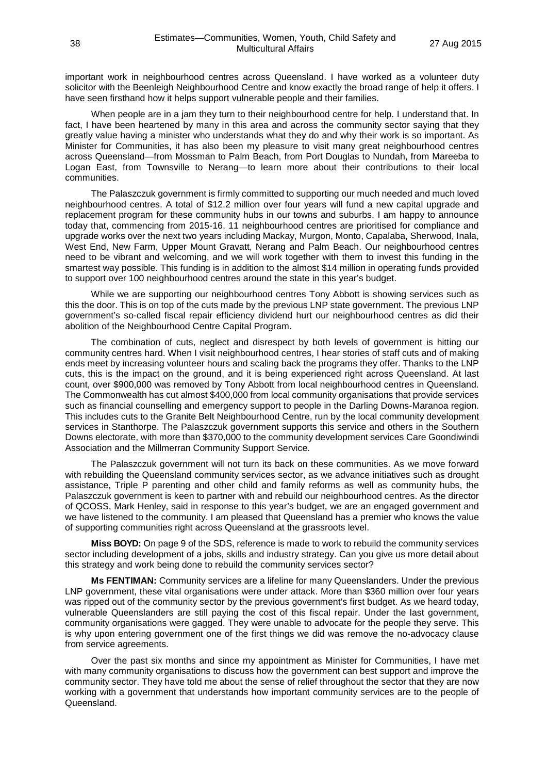important work in neighbourhood centres across Queensland. I have worked as a volunteer duty solicitor with the Beenleigh Neighbourhood Centre and know exactly the broad range of help it offers. I have seen firsthand how it helps support vulnerable people and their families.

When people are in a jam they turn to their neighbourhood centre for help. I understand that. In fact, I have been heartened by many in this area and across the community sector saying that they greatly value having a minister who understands what they do and why their work is so important. As Minister for Communities, it has also been my pleasure to visit many great neighbourhood centres across Queensland—from Mossman to Palm Beach, from Port Douglas to Nundah, from Mareeba to Logan East, from Townsville to Nerang—to learn more about their contributions to their local communities.

The Palaszczuk government is firmly committed to supporting our much needed and much loved neighbourhood centres. A total of \$12.2 million over four years will fund a new capital upgrade and replacement program for these community hubs in our towns and suburbs. I am happy to announce today that, commencing from 2015-16, 11 neighbourhood centres are prioritised for compliance and upgrade works over the next two years including Mackay, Murgon, Monto, Capalaba, Sherwood, Inala, West End, New Farm, Upper Mount Gravatt, Nerang and Palm Beach. Our neighbourhood centres need to be vibrant and welcoming, and we will work together with them to invest this funding in the smartest way possible. This funding is in addition to the almost \$14 million in operating funds provided to support over 100 neighbourhood centres around the state in this year's budget.

While we are supporting our neighbourhood centres Tony Abbott is showing services such as this the door. This is on top of the cuts made by the previous LNP state government. The previous LNP government's so-called fiscal repair efficiency dividend hurt our neighbourhood centres as did their abolition of the Neighbourhood Centre Capital Program.

The combination of cuts, neglect and disrespect by both levels of government is hitting our community centres hard. When I visit neighbourhood centres, I hear stories of staff cuts and of making ends meet by increasing volunteer hours and scaling back the programs they offer. Thanks to the LNP cuts, this is the impact on the ground, and it is being experienced right across Queensland. At last count, over \$900,000 was removed by Tony Abbott from local neighbourhood centres in Queensland. The Commonwealth has cut almost \$400,000 from local community organisations that provide services such as financial counselling and emergency support to people in the Darling Downs-Maranoa region. This includes cuts to the Granite Belt Neighbourhood Centre, run by the local community development services in Stanthorpe. The Palaszczuk government supports this service and others in the Southern Downs electorate, with more than \$370,000 to the community development services Care Goondiwindi Association and the Millmerran Community Support Service.

The Palaszczuk government will not turn its back on these communities. As we move forward with rebuilding the Queensland community services sector, as we advance initiatives such as drought assistance, Triple P parenting and other child and family reforms as well as community hubs, the Palaszczuk government is keen to partner with and rebuild our neighbourhood centres. As the director of QCOSS, Mark Henley, said in response to this year's budget, we are an engaged government and we have listened to the community. I am pleased that Queensland has a premier who knows the value of supporting communities right across Queensland at the grassroots level.

**Miss BOYD:** On page 9 of the SDS, reference is made to work to rebuild the community services sector including development of a jobs, skills and industry strategy. Can you give us more detail about this strategy and work being done to rebuild the community services sector?

**Ms FENTIMAN:** Community services are a lifeline for many Queenslanders. Under the previous LNP government, these vital organisations were under attack. More than \$360 million over four years was ripped out of the community sector by the previous government's first budget. As we heard today, vulnerable Queenslanders are still paying the cost of this fiscal repair. Under the last government, community organisations were gagged. They were unable to advocate for the people they serve. This is why upon entering government one of the first things we did was remove the no-advocacy clause from service agreements.

Over the past six months and since my appointment as Minister for Communities, I have met with many community organisations to discuss how the government can best support and improve the community sector. They have told me about the sense of relief throughout the sector that they are now working with a government that understands how important community services are to the people of Queensland.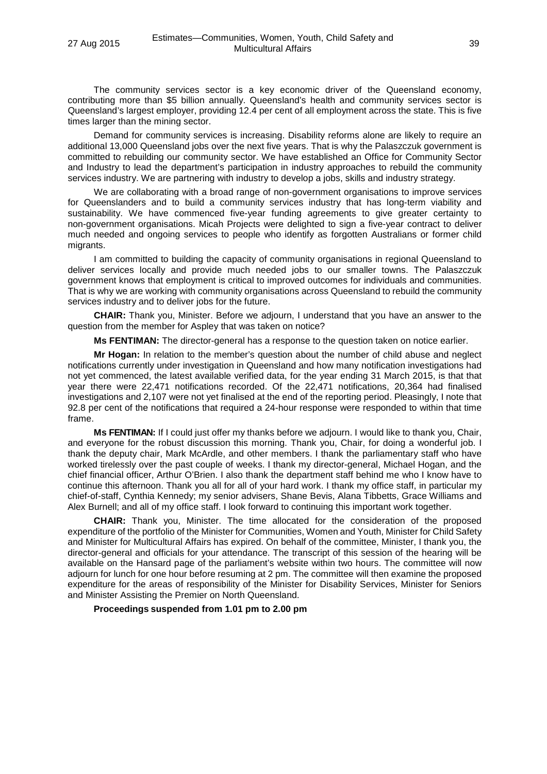The community services sector is a key economic driver of the Queensland economy, contributing more than \$5 billion annually. Queensland's health and community services sector is Queensland's largest employer, providing 12.4 per cent of all employment across the state. This is five times larger than the mining sector.

Demand for community services is increasing. Disability reforms alone are likely to require an additional 13,000 Queensland jobs over the next five years. That is why the Palaszczuk government is committed to rebuilding our community sector. We have established an Office for Community Sector and Industry to lead the department's participation in industry approaches to rebuild the community services industry. We are partnering with industry to develop a jobs, skills and industry strategy.

We are collaborating with a broad range of non-government organisations to improve services for Queenslanders and to build a community services industry that has long-term viability and sustainability. We have commenced five-year funding agreements to give greater certainty to non-government organisations. Micah Projects were delighted to sign a five-year contract to deliver much needed and ongoing services to people who identify as forgotten Australians or former child migrants.

I am committed to building the capacity of community organisations in regional Queensland to deliver services locally and provide much needed jobs to our smaller towns. The Palaszczuk government knows that employment is critical to improved outcomes for individuals and communities. That is why we are working with community organisations across Queensland to rebuild the community services industry and to deliver jobs for the future.

**CHAIR:** Thank you, Minister. Before we adjourn, I understand that you have an answer to the question from the member for Aspley that was taken on notice?

**Ms FENTIMAN:** The director-general has a response to the question taken on notice earlier.

**Mr Hogan:** In relation to the member's question about the number of child abuse and neglect notifications currently under investigation in Queensland and how many notification investigations had not yet commenced, the latest available verified data, for the year ending 31 March 2015, is that that year there were 22,471 notifications recorded. Of the 22,471 notifications, 20,364 had finalised investigations and 2,107 were not yet finalised at the end of the reporting period. Pleasingly, I note that 92.8 per cent of the notifications that required a 24-hour response were responded to within that time frame.

**Ms FENTIMAN:** If I could just offer my thanks before we adjourn. I would like to thank you, Chair, and everyone for the robust discussion this morning. Thank you, Chair, for doing a wonderful job. I thank the deputy chair, Mark McArdle, and other members. I thank the parliamentary staff who have worked tirelessly over the past couple of weeks. I thank my director-general, Michael Hogan, and the chief financial officer, Arthur O'Brien. I also thank the department staff behind me who I know have to continue this afternoon. Thank you all for all of your hard work. I thank my office staff, in particular my chief-of-staff, Cynthia Kennedy; my senior advisers, Shane Bevis, Alana Tibbetts, Grace Williams and Alex Burnell; and all of my office staff. I look forward to continuing this important work together.

**CHAIR:** Thank you, Minister. The time allocated for the consideration of the proposed expenditure of the portfolio of the Minister for Communities, Women and Youth, Minister for Child Safety and Minister for Multicultural Affairs has expired. On behalf of the committee, Minister, I thank you, the director-general and officials for your attendance. The transcript of this session of the hearing will be available on the Hansard page of the parliament's website within two hours. The committee will now adjourn for lunch for one hour before resuming at 2 pm. The committee will then examine the proposed expenditure for the areas of responsibility of the Minister for Disability Services, Minister for Seniors and Minister Assisting the Premier on North Queensland.

# **Proceedings suspended from 1.01 pm to 2.00 pm**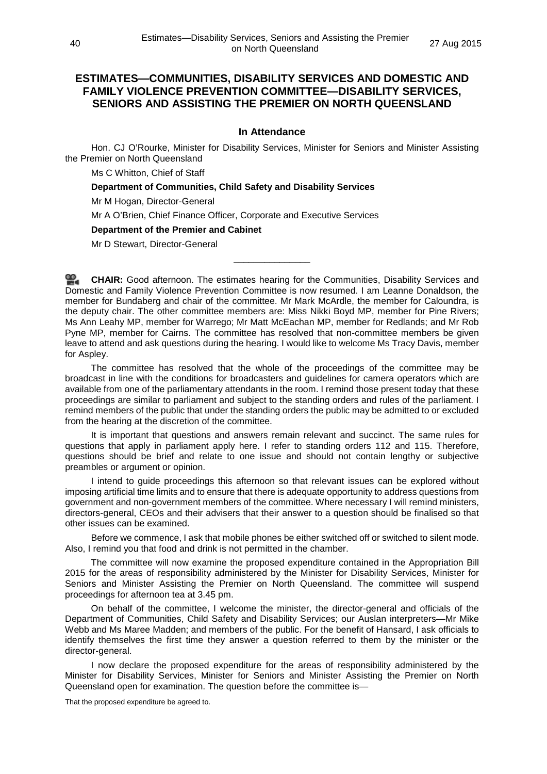# **ESTIMATES—COMMUNITIES, DISABILITY SERVICES AND DOMESTIC AND FAMILY VIOLENCE PREVENTION COMMITTEE—DISABILITY SERVICES, SENIORS AND ASSISTING THE PREMIER ON NORTH QUEENSLAND**

# **In Attendance**

Hon. CJ O'Rourke, Minister for Disability Services, Minister for Seniors and Minister Assisting the Premier on North Queensland

Ms C Whitton, Chief of Staff

**Department of Communities, Child Safety and Disability Services**

Mr M Hogan, Director-General

Mr A O'Brien, Chief Finance Officer, Corporate and Executive Services

### **Department of the Premier and Cabinet**

Mr D Stewart, Director-General

**[CHAIR:](http://www.parliament.qld.gov.au/docs/find.aspx?id=0Mba20150827_135957)** Good afternoon. The estimates hearing for the Communities, Disability Services and Domestic and Family Violence Prevention Committee is now resumed. I am Leanne Donaldson, the member for Bundaberg and chair of the committee. Mr Mark McArdle, the member for Caloundra, is the deputy chair. The other committee members are: Miss Nikki Boyd MP, member for Pine Rivers; Ms Ann Leahy MP, member for Warrego; Mr Matt McEachan MP, member for Redlands; and Mr Rob Pyne MP, member for Cairns. The committee has resolved that non-committee members be given leave to attend and ask questions during the hearing. I would like to welcome Ms Tracy Davis, member for Aspley.

\_\_\_\_\_\_\_\_\_\_\_\_\_\_\_

The committee has resolved that the whole of the proceedings of the committee may be broadcast in line with the conditions for broadcasters and guidelines for camera operators which are available from one of the parliamentary attendants in the room. I remind those present today that these proceedings are similar to parliament and subject to the standing orders and rules of the parliament. I remind members of the public that under the standing orders the public may be admitted to or excluded from the hearing at the discretion of the committee.

It is important that questions and answers remain relevant and succinct. The same rules for questions that apply in parliament apply here. I refer to standing orders 112 and 115. Therefore, questions should be brief and relate to one issue and should not contain lengthy or subjective preambles or argument or opinion.

I intend to guide proceedings this afternoon so that relevant issues can be explored without imposing artificial time limits and to ensure that there is adequate opportunity to address questions from government and non-government members of the committee. Where necessary I will remind ministers, directors-general, CEOs and their advisers that their answer to a question should be finalised so that other issues can be examined.

Before we commence, I ask that mobile phones be either switched off or switched to silent mode. Also, I remind you that food and drink is not permitted in the chamber.

The committee will now examine the proposed expenditure contained in the Appropriation Bill 2015 for the areas of responsibility administered by the Minister for Disability Services, Minister for Seniors and Minister Assisting the Premier on North Queensland. The committee will suspend proceedings for afternoon tea at 3.45 pm.

On behalf of the committee, I welcome the minister, the director-general and officials of the Department of Communities, Child Safety and Disability Services; our Auslan interpreters—Mr Mike Webb and Ms Maree Madden; and members of the public. For the benefit of Hansard, I ask officials to identify themselves the first time they answer a question referred to them by the minister or the director-general.

I now declare the proposed expenditure for the areas of responsibility administered by the Minister for Disability Services, Minister for Seniors and Minister Assisting the Premier on North Queensland open for examination. The question before the committee is—

That the proposed expenditure be agreed to.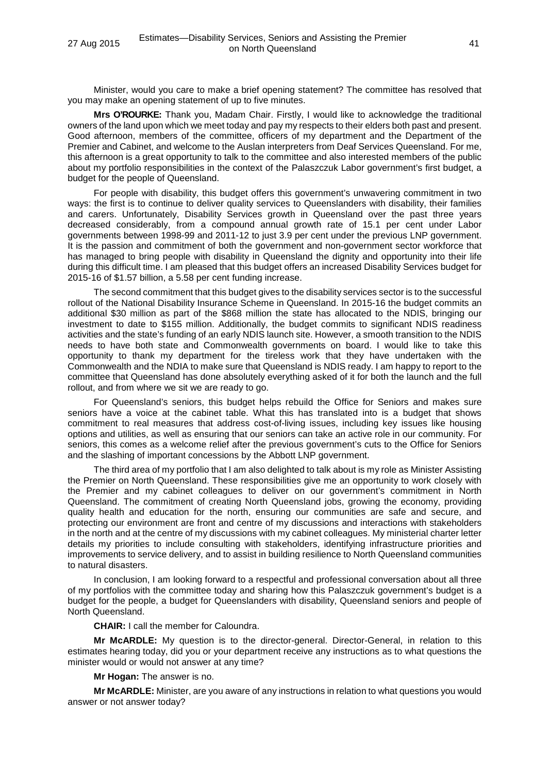Minister, would you care to make a brief opening statement? The committee has resolved that you may make an opening statement of up to five minutes.

**Mrs O'ROURKE:** Thank you, Madam Chair. Firstly, I would like to acknowledge the traditional owners of the land upon which we meet today and pay my respects to their elders both past and present. Good afternoon, members of the committee, officers of my department and the Department of the Premier and Cabinet, and welcome to the Auslan interpreters from Deaf Services Queensland. For me, this afternoon is a great opportunity to talk to the committee and also interested members of the public about my portfolio responsibilities in the context of the Palaszczuk Labor government's first budget, a budget for the people of Queensland.

For people with disability, this budget offers this government's unwavering commitment in two ways: the first is to continue to deliver quality services to Queenslanders with disability, their families and carers. Unfortunately, Disability Services growth in Queensland over the past three years decreased considerably, from a compound annual growth rate of 15.1 per cent under Labor governments between 1998-99 and 2011-12 to just 3.9 per cent under the previous LNP government. It is the passion and commitment of both the government and non-government sector workforce that has managed to bring people with disability in Queensland the dignity and opportunity into their life during this difficult time. I am pleased that this budget offers an increased Disability Services budget for 2015-16 of \$1.57 billion, a 5.58 per cent funding increase.

The second commitment that this budget gives to the disability services sector is to the successful rollout of the National Disability Insurance Scheme in Queensland. In 2015-16 the budget commits an additional \$30 million as part of the \$868 million the state has allocated to the NDIS, bringing our investment to date to \$155 million. Additionally, the budget commits to significant NDIS readiness activities and the state's funding of an early NDIS launch site. However, a smooth transition to the NDIS needs to have both state and Commonwealth governments on board. I would like to take this opportunity to thank my department for the tireless work that they have undertaken with the Commonwealth and the NDIA to make sure that Queensland is NDIS ready. I am happy to report to the committee that Queensland has done absolutely everything asked of it for both the launch and the full rollout, and from where we sit we are ready to go.

For Queensland's seniors, this budget helps rebuild the Office for Seniors and makes sure seniors have a voice at the cabinet table. What this has translated into is a budget that shows commitment to real measures that address cost-of-living issues, including key issues like housing options and utilities, as well as ensuring that our seniors can take an active role in our community. For seniors, this comes as a welcome relief after the previous government's cuts to the Office for Seniors and the slashing of important concessions by the Abbott LNP government.

The third area of my portfolio that I am also delighted to talk about is my role as Minister Assisting the Premier on North Queensland. These responsibilities give me an opportunity to work closely with the Premier and my cabinet colleagues to deliver on our government's commitment in North Queensland. The commitment of creating North Queensland jobs, growing the economy, providing quality health and education for the north, ensuring our communities are safe and secure, and protecting our environment are front and centre of my discussions and interactions with stakeholders in the north and at the centre of my discussions with my cabinet colleagues. My ministerial charter letter details my priorities to include consulting with stakeholders, identifying infrastructure priorities and improvements to service delivery, and to assist in building resilience to North Queensland communities to natural disasters.

In conclusion, I am looking forward to a respectful and professional conversation about all three of my portfolios with the committee today and sharing how this Palaszczuk government's budget is a budget for the people, a budget for Queenslanders with disability, Queensland seniors and people of North Queensland.

**CHAIR:** I call the member for Caloundra.

**Mr McARDLE:** My question is to the director-general. Director-General, in relation to this estimates hearing today, did you or your department receive any instructions as to what questions the minister would or would not answer at any time?

**Mr Hogan:** The answer is no.

**Mr McARDLE:** Minister, are you aware of any instructions in relation to what questions you would answer or not answer today?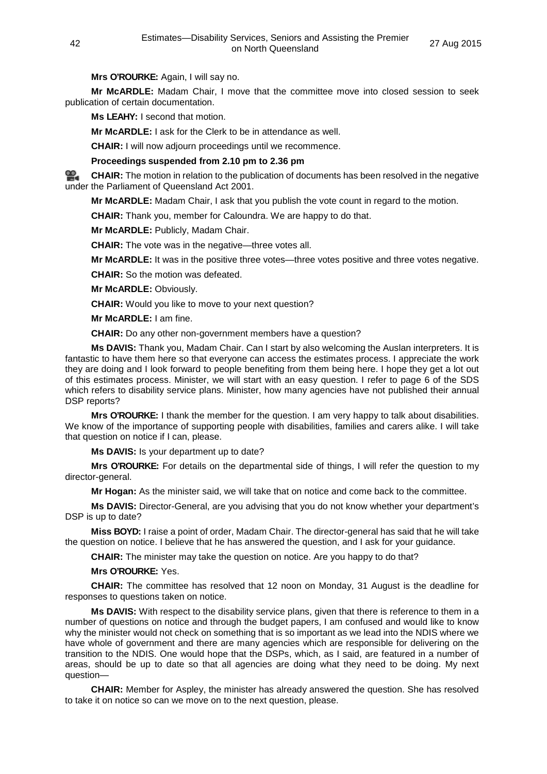**Mrs O'ROURKE:** Again, I will say no.

**Mr McARDLE:** Madam Chair, I move that the committee move into closed session to seek publication of certain documentation.

**Ms LEAHY:** I second that motion.

**Mr McARDLE:** I ask for the Clerk to be in attendance as well.

**CHAIR:** I will now adjourn proceedings until we recommence.

**Proceedings suspended from 2.10 pm to 2.36 pm**

**[CHAIR:](http://www.parliament.qld.gov.au/docs/find.aspx?id=0Mba20150827_135957)** The motion in relation to the publication of documents has been resolved in the negative under the Parliament of Queensland Act 2001.

**Mr McARDLE:** Madam Chair, I ask that you publish the vote count in regard to the motion.

**CHAIR:** Thank you, member for Caloundra. We are happy to do that.

**Mr McARDLE:** Publicly, Madam Chair.

**CHAIR:** The vote was in the negative—three votes all.

**Mr McARDLE:** It was in the positive three votes—three votes positive and three votes negative.

**CHAIR:** So the motion was defeated.

**Mr McARDLE:** Obviously.

**CHAIR:** Would you like to move to your next question?

**Mr McARDLE:** I am fine.

**CHAIR:** Do any other non-government members have a question?

**Ms DAVIS:** Thank you, Madam Chair. Can I start by also welcoming the Auslan interpreters. It is fantastic to have them here so that everyone can access the estimates process. I appreciate the work they are doing and I look forward to people benefiting from them being here. I hope they get a lot out of this estimates process. Minister, we will start with an easy question. I refer to page 6 of the SDS which refers to disability service plans. Minister, how many agencies have not published their annual DSP reports?

**Mrs O'ROURKE:** I thank the member for the question. I am very happy to talk about disabilities. We know of the importance of supporting people with disabilities, families and carers alike. I will take that question on notice if I can, please.

**Ms DAVIS:** Is your department up to date?

**Mrs O'ROURKE:** For details on the departmental side of things, I will refer the question to my director-general.

**Mr Hogan:** As the minister said, we will take that on notice and come back to the committee.

**Ms DAVIS:** Director-General, are you advising that you do not know whether your department's DSP is up to date?

**Miss BOYD:** I raise a point of order, Madam Chair. The director-general has said that he will take the question on notice. I believe that he has answered the question, and I ask for your guidance.

**CHAIR:** The minister may take the question on notice. Are you happy to do that?

**Mrs O'ROURKE:** Yes.

**CHAIR:** The committee has resolved that 12 noon on Monday, 31 August is the deadline for responses to questions taken on notice.

**Ms DAVIS:** With respect to the disability service plans, given that there is reference to them in a number of questions on notice and through the budget papers, I am confused and would like to know why the minister would not check on something that is so important as we lead into the NDIS where we have whole of government and there are many agencies which are responsible for delivering on the transition to the NDIS. One would hope that the DSPs, which, as I said, are featured in a number of areas, should be up to date so that all agencies are doing what they need to be doing. My next question—

**CHAIR:** Member for Aspley, the minister has already answered the question. She has resolved to take it on notice so can we move on to the next question, please.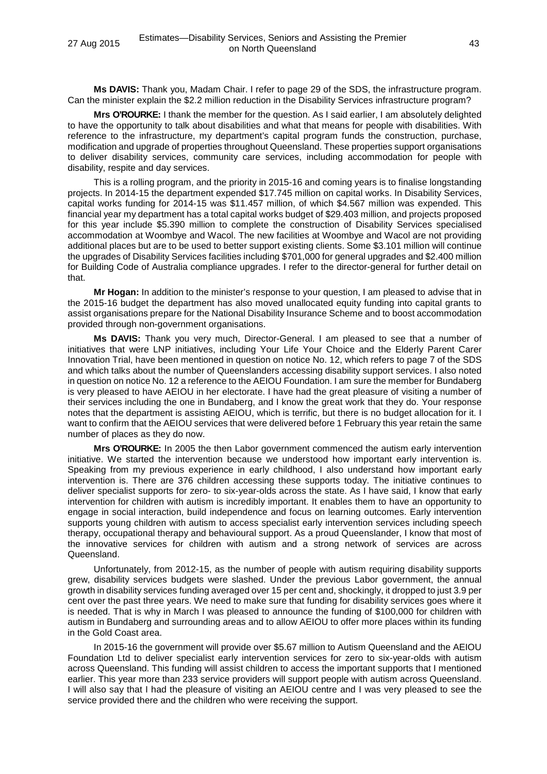**Ms DAVIS:** Thank you, Madam Chair. I refer to page 29 of the SDS, the infrastructure program. Can the minister explain the \$2.2 million reduction in the Disability Services infrastructure program?

**Mrs O'ROURKE:** I thank the member for the question. As I said earlier, I am absolutely delighted to have the opportunity to talk about disabilities and what that means for people with disabilities. With reference to the infrastructure, my department's capital program funds the construction, purchase, modification and upgrade of properties throughout Queensland. These properties support organisations to deliver disability services, community care services, including accommodation for people with disability, respite and day services.

This is a rolling program, and the priority in 2015-16 and coming years is to finalise longstanding projects. In 2014-15 the department expended \$17.745 million on capital works. In Disability Services, capital works funding for 2014-15 was \$11.457 million, of which \$4.567 million was expended. This financial year my department has a total capital works budget of \$29.403 million, and projects proposed for this year include \$5.390 million to complete the construction of Disability Services specialised accommodation at Woombye and Wacol. The new facilities at Woombye and Wacol are not providing additional places but are to be used to better support existing clients. Some \$3.101 million will continue the upgrades of Disability Services facilities including \$701,000 for general upgrades and \$2.400 million for Building Code of Australia compliance upgrades. I refer to the director-general for further detail on that.

**Mr Hogan:** In addition to the minister's response to your question, I am pleased to advise that in the 2015-16 budget the department has also moved unallocated equity funding into capital grants to assist organisations prepare for the National Disability Insurance Scheme and to boost accommodation provided through non-government organisations.

**Ms DAVIS:** Thank you very much, Director-General. I am pleased to see that a number of initiatives that were LNP initiatives, including Your Life Your Choice and the Elderly Parent Carer Innovation Trial, have been mentioned in question on notice No. 12, which refers to page 7 of the SDS and which talks about the number of Queenslanders accessing disability support services. I also noted in question on notice No. 12 a reference to the AEIOU Foundation. I am sure the member for Bundaberg is very pleased to have AEIOU in her electorate. I have had the great pleasure of visiting a number of their services including the one in Bundaberg, and I know the great work that they do. Your response notes that the department is assisting AEIOU, which is terrific, but there is no budget allocation for it. I want to confirm that the AEIOU services that were delivered before 1 February this year retain the same number of places as they do now.

**Mrs O'ROURKE:** In 2005 the then Labor government commenced the autism early intervention initiative. We started the intervention because we understood how important early intervention is. Speaking from my previous experience in early childhood, I also understand how important early intervention is. There are 376 children accessing these supports today. The initiative continues to deliver specialist supports for zero- to six-year-olds across the state. As I have said, I know that early intervention for children with autism is incredibly important. It enables them to have an opportunity to engage in social interaction, build independence and focus on learning outcomes. Early intervention supports young children with autism to access specialist early intervention services including speech therapy, occupational therapy and behavioural support. As a proud Queenslander, I know that most of the innovative services for children with autism and a strong network of services are across Queensland.

Unfortunately, from 2012-15, as the number of people with autism requiring disability supports grew, disability services budgets were slashed. Under the previous Labor government, the annual growth in disability services funding averaged over 15 per cent and, shockingly, it dropped to just 3.9 per cent over the past three years. We need to make sure that funding for disability services goes where it is needed. That is why in March I was pleased to announce the funding of \$100,000 for children with autism in Bundaberg and surrounding areas and to allow AEIOU to offer more places within its funding in the Gold Coast area.

In 2015-16 the government will provide over \$5.67 million to Autism Queensland and the AEIOU Foundation Ltd to deliver specialist early intervention services for zero to six-year-olds with autism across Queensland. This funding will assist children to access the important supports that I mentioned earlier. This year more than 233 service providers will support people with autism across Queensland. I will also say that I had the pleasure of visiting an AEIOU centre and I was very pleased to see the service provided there and the children who were receiving the support.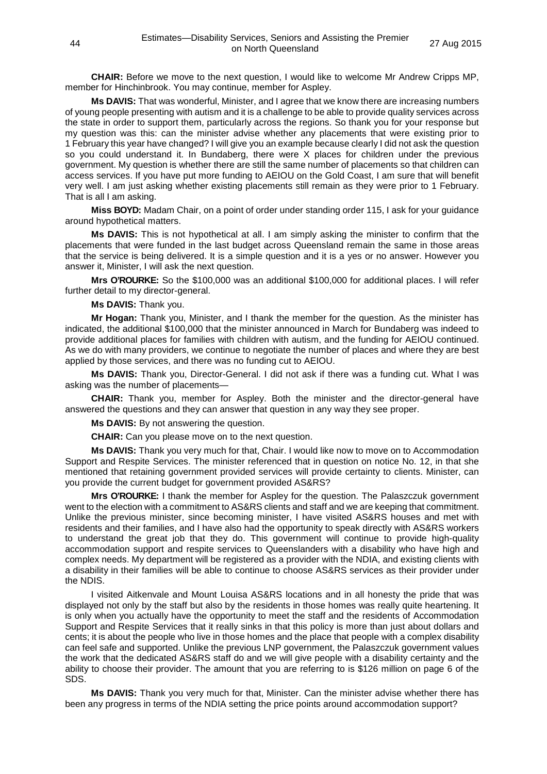**CHAIR:** Before we move to the next question, I would like to welcome Mr Andrew Cripps MP, member for Hinchinbrook. You may continue, member for Aspley.

**Ms DAVIS:** That was wonderful, Minister, and I agree that we know there are increasing numbers of young people presenting with autism and it is a challenge to be able to provide quality services across the state in order to support them, particularly across the regions. So thank you for your response but my question was this: can the minister advise whether any placements that were existing prior to 1 February this year have changed? I will give you an example because clearly I did not ask the question so you could understand it. In Bundaberg, there were X places for children under the previous government. My question is whether there are still the same number of placements so that children can access services. If you have put more funding to AEIOU on the Gold Coast, I am sure that will benefit very well. I am just asking whether existing placements still remain as they were prior to 1 February. That is all I am asking.

**Miss BOYD:** Madam Chair, on a point of order under standing order 115, I ask for your guidance around hypothetical matters.

**Ms DAVIS:** This is not hypothetical at all. I am simply asking the minister to confirm that the placements that were funded in the last budget across Queensland remain the same in those areas that the service is being delivered. It is a simple question and it is a yes or no answer. However you answer it, Minister, I will ask the next question.

**Mrs O'ROURKE:** So the \$100,000 was an additional \$100,000 for additional places. I will refer further detail to my director-general.

#### **Ms DAVIS:** Thank you.

**Mr Hogan:** Thank you, Minister, and I thank the member for the question. As the minister has indicated, the additional \$100,000 that the minister announced in March for Bundaberg was indeed to provide additional places for families with children with autism, and the funding for AEIOU continued. As we do with many providers, we continue to negotiate the number of places and where they are best applied by those services, and there was no funding cut to AEIOU.

**Ms DAVIS:** Thank you, Director-General. I did not ask if there was a funding cut. What I was asking was the number of placements—

**CHAIR:** Thank you, member for Aspley. Both the minister and the director-general have answered the questions and they can answer that question in any way they see proper.

**Ms DAVIS:** By not answering the question.

**CHAIR:** Can you please move on to the next question.

**Ms DAVIS:** Thank you very much for that, Chair. I would like now to move on to Accommodation Support and Respite Services. The minister referenced that in question on notice No. 12, in that she mentioned that retaining government provided services will provide certainty to clients. Minister, can you provide the current budget for government provided AS&RS?

**Mrs O'ROURKE:** I thank the member for Aspley for the question. The Palaszczuk government went to the election with a commitment to AS&RS clients and staff and we are keeping that commitment. Unlike the previous minister, since becoming minister, I have visited AS&RS houses and met with residents and their families, and I have also had the opportunity to speak directly with AS&RS workers to understand the great job that they do. This government will continue to provide high-quality accommodation support and respite services to Queenslanders with a disability who have high and complex needs. My department will be registered as a provider with the NDIA, and existing clients with a disability in their families will be able to continue to choose AS&RS services as their provider under the NDIS.

I visited Aitkenvale and Mount Louisa AS&RS locations and in all honesty the pride that was displayed not only by the staff but also by the residents in those homes was really quite heartening. It is only when you actually have the opportunity to meet the staff and the residents of Accommodation Support and Respite Services that it really sinks in that this policy is more than just about dollars and cents; it is about the people who live in those homes and the place that people with a complex disability can feel safe and supported. Unlike the previous LNP government, the Palaszczuk government values the work that the dedicated AS&RS staff do and we will give people with a disability certainty and the ability to choose their provider. The amount that you are referring to is \$126 million on page 6 of the SDS.

**Ms DAVIS:** Thank you very much for that, Minister. Can the minister advise whether there has been any progress in terms of the NDIA setting the price points around accommodation support?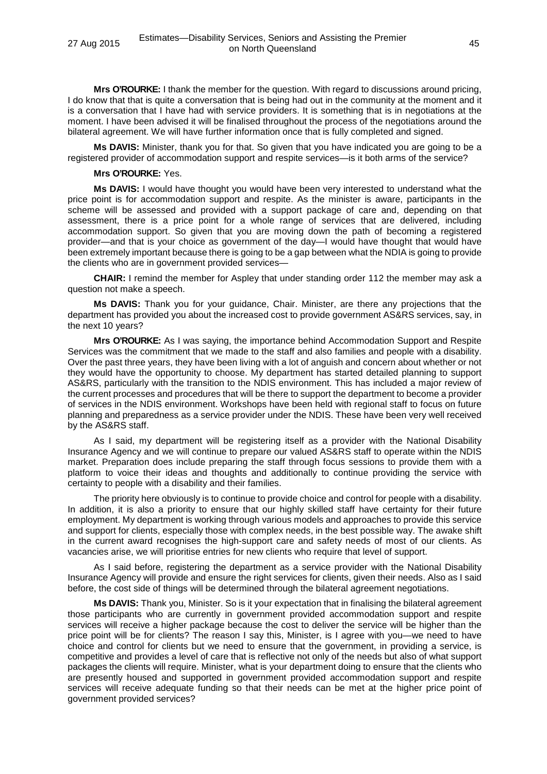**Mrs O'ROURKE:** I thank the member for the question. With regard to discussions around pricing, I do know that that is quite a conversation that is being had out in the community at the moment and it is a conversation that I have had with service providers. It is something that is in negotiations at the moment. I have been advised it will be finalised throughout the process of the negotiations around the bilateral agreement. We will have further information once that is fully completed and signed.

**Ms DAVIS:** Minister, thank you for that. So given that you have indicated you are going to be a registered provider of accommodation support and respite services—is it both arms of the service?

#### **Mrs O'ROURKE:** Yes.

**Ms DAVIS:** I would have thought you would have been very interested to understand what the price point is for accommodation support and respite. As the minister is aware, participants in the scheme will be assessed and provided with a support package of care and, depending on that assessment, there is a price point for a whole range of services that are delivered, including accommodation support. So given that you are moving down the path of becoming a registered provider—and that is your choice as government of the day—I would have thought that would have been extremely important because there is going to be a gap between what the NDIA is going to provide the clients who are in government provided services—

**CHAIR:** I remind the member for Aspley that under standing order 112 the member may ask a question not make a speech.

**Ms DAVIS:** Thank you for your guidance, Chair. Minister, are there any projections that the department has provided you about the increased cost to provide government AS&RS services, say, in the next 10 years?

**Mrs O'ROURKE:** As I was saying, the importance behind Accommodation Support and Respite Services was the commitment that we made to the staff and also families and people with a disability. Over the past three years, they have been living with a lot of anguish and concern about whether or not they would have the opportunity to choose. My department has started detailed planning to support AS&RS, particularly with the transition to the NDIS environment. This has included a major review of the current processes and procedures that will be there to support the department to become a provider of services in the NDIS environment. Workshops have been held with regional staff to focus on future planning and preparedness as a service provider under the NDIS. These have been very well received by the AS&RS staff.

As I said, my department will be registering itself as a provider with the National Disability Insurance Agency and we will continue to prepare our valued AS&RS staff to operate within the NDIS market. Preparation does include preparing the staff through focus sessions to provide them with a platform to voice their ideas and thoughts and additionally to continue providing the service with certainty to people with a disability and their families.

The priority here obviously is to continue to provide choice and control for people with a disability. In addition, it is also a priority to ensure that our highly skilled staff have certainty for their future employment. My department is working through various models and approaches to provide this service and support for clients, especially those with complex needs, in the best possible way. The awake shift in the current award recognises the high-support care and safety needs of most of our clients. As vacancies arise, we will prioritise entries for new clients who require that level of support.

As I said before, registering the department as a service provider with the National Disability Insurance Agency will provide and ensure the right services for clients, given their needs. Also as I said before, the cost side of things will be determined through the bilateral agreement negotiations.

**Ms DAVIS:** Thank you, Minister. So is it your expectation that in finalising the bilateral agreement those participants who are currently in government provided accommodation support and respite services will receive a higher package because the cost to deliver the service will be higher than the price point will be for clients? The reason I say this, Minister, is I agree with you—we need to have choice and control for clients but we need to ensure that the government, in providing a service, is competitive and provides a level of care that is reflective not only of the needs but also of what support packages the clients will require. Minister, what is your department doing to ensure that the clients who are presently housed and supported in government provided accommodation support and respite services will receive adequate funding so that their needs can be met at the higher price point of government provided services?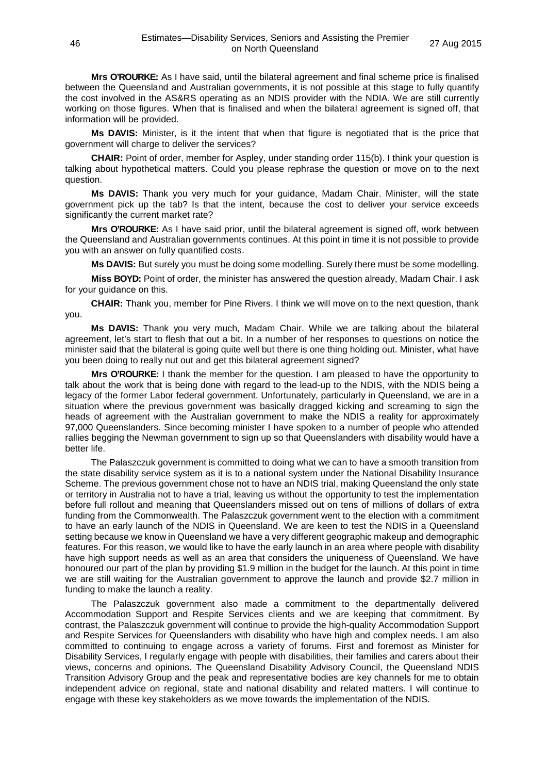**Mrs O'ROURKE:** As I have said, until the bilateral agreement and final scheme price is finalised between the Queensland and Australian governments, it is not possible at this stage to fully quantify the cost involved in the AS&RS operating as an NDIS provider with the NDIA. We are still currently working on those figures. When that is finalised and when the bilateral agreement is signed off, that information will be provided.

**Ms DAVIS:** Minister, is it the intent that when that figure is negotiated that is the price that government will charge to deliver the services?

**CHAIR:** Point of order, member for Aspley, under standing order 115(b). I think your question is talking about hypothetical matters. Could you please rephrase the question or move on to the next question.

**Ms DAVIS:** Thank you very much for your guidance, Madam Chair. Minister, will the state government pick up the tab? Is that the intent, because the cost to deliver your service exceeds significantly the current market rate?

**Mrs O'ROURKE:** As I have said prior, until the bilateral agreement is signed off, work between the Queensland and Australian governments continues. At this point in time it is not possible to provide you with an answer on fully quantified costs.

**Ms DAVIS:** But surely you must be doing some modelling. Surely there must be some modelling.

**Miss BOYD:** Point of order, the minister has answered the question already, Madam Chair. I ask for your guidance on this.

**CHAIR:** Thank you, member for Pine Rivers. I think we will move on to the next question, thank you.

**Ms DAVIS:** Thank you very much, Madam Chair. While we are talking about the bilateral agreement, let's start to flesh that out a bit. In a number of her responses to questions on notice the minister said that the bilateral is going quite well but there is one thing holding out. Minister, what have you been doing to really nut out and get this bilateral agreement signed?

**Mrs O'ROURKE:** I thank the member for the question. I am pleased to have the opportunity to talk about the work that is being done with regard to the lead-up to the NDIS, with the NDIS being a legacy of the former Labor federal government. Unfortunately, particularly in Queensland, we are in a situation where the previous government was basically dragged kicking and screaming to sign the heads of agreement with the Australian government to make the NDIS a reality for approximately 97,000 Queenslanders. Since becoming minister I have spoken to a number of people who attended rallies begging the Newman government to sign up so that Queenslanders with disability would have a better life.

The Palaszczuk government is committed to doing what we can to have a smooth transition from the state disability service system as it is to a national system under the National Disability Insurance Scheme. The previous government chose not to have an NDIS trial, making Queensland the only state or territory in Australia not to have a trial, leaving us without the opportunity to test the implementation before full rollout and meaning that Queenslanders missed out on tens of millions of dollars of extra funding from the Commonwealth. The Palaszczuk government went to the election with a commitment to have an early launch of the NDIS in Queensland. We are keen to test the NDIS in a Queensland setting because we know in Queensland we have a very different geographic makeup and demographic features. For this reason, we would like to have the early launch in an area where people with disability have high support needs as well as an area that considers the uniqueness of Queensland. We have honoured our part of the plan by providing \$1.9 million in the budget for the launch. At this point in time we are still waiting for the Australian government to approve the launch and provide \$2.7 million in funding to make the launch a reality.

The Palaszczuk government also made a commitment to the departmentally delivered Accommodation Support and Respite Services clients and we are keeping that commitment. By contrast, the Palaszczuk government will continue to provide the high-quality Accommodation Support and Respite Services for Queenslanders with disability who have high and complex needs. I am also committed to continuing to engage across a variety of forums. First and foremost as Minister for Disability Services, I regularly engage with people with disabilities, their families and carers about their views, concerns and opinions. The Queensland Disability Advisory Council, the Queensland NDIS Transition Advisory Group and the peak and representative bodies are key channels for me to obtain independent advice on regional, state and national disability and related matters. I will continue to engage with these key stakeholders as we move towards the implementation of the NDIS.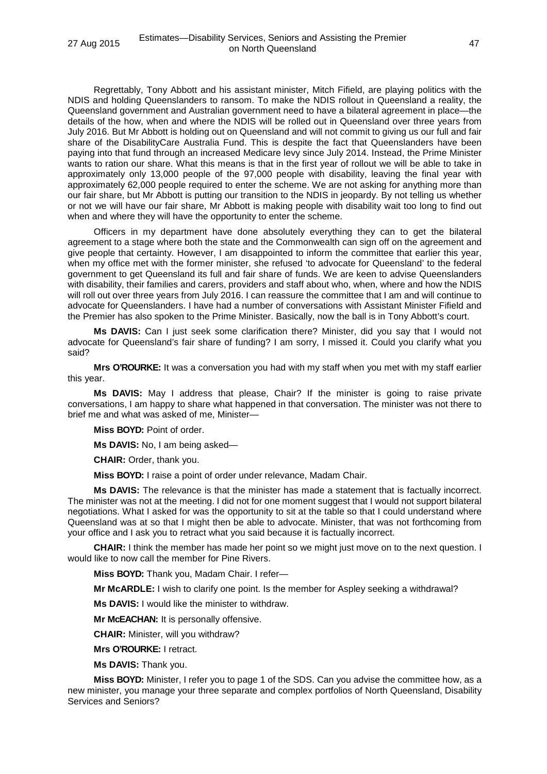Regrettably, Tony Abbott and his assistant minister, Mitch Fifield, are playing politics with the NDIS and holding Queenslanders to ransom. To make the NDIS rollout in Queensland a reality, the Queensland government and Australian government need to have a bilateral agreement in place—the details of the how, when and where the NDIS will be rolled out in Queensland over three years from July 2016. But Mr Abbott is holding out on Queensland and will not commit to giving us our full and fair share of the DisabilityCare Australia Fund. This is despite the fact that Queenslanders have been paying into that fund through an increased Medicare levy since July 2014. Instead, the Prime Minister wants to ration our share. What this means is that in the first year of rollout we will be able to take in approximately only 13,000 people of the 97,000 people with disability, leaving the final year with approximately 62,000 people required to enter the scheme. We are not asking for anything more than our fair share, but Mr Abbott is putting our transition to the NDIS in jeopardy. By not telling us whether or not we will have our fair share, Mr Abbott is making people with disability wait too long to find out when and where they will have the opportunity to enter the scheme.

Officers in my department have done absolutely everything they can to get the bilateral agreement to a stage where both the state and the Commonwealth can sign off on the agreement and give people that certainty. However, I am disappointed to inform the committee that earlier this year, when my office met with the former minister, she refused 'to advocate for Queensland' to the federal government to get Queensland its full and fair share of funds. We are keen to advise Queenslanders with disability, their families and carers, providers and staff about who, when, where and how the NDIS will roll out over three years from July 2016. I can reassure the committee that I am and will continue to advocate for Queenslanders. I have had a number of conversations with Assistant Minister Fifield and the Premier has also spoken to the Prime Minister. Basically, now the ball is in Tony Abbott's court.

**Ms DAVIS:** Can I just seek some clarification there? Minister, did you say that I would not advocate for Queensland's fair share of funding? I am sorry, I missed it. Could you clarify what you said?

**Mrs O'ROURKE:** It was a conversation you had with my staff when you met with my staff earlier this year.

**Ms DAVIS:** May I address that please, Chair? If the minister is going to raise private conversations, I am happy to share what happened in that conversation. The minister was not there to brief me and what was asked of me, Minister—

**Miss BOYD:** Point of order.

**Ms DAVIS:** No, I am being asked—

**CHAIR:** Order, thank you.

**Miss BOYD:** I raise a point of order under relevance, Madam Chair.

**Ms DAVIS:** The relevance is that the minister has made a statement that is factually incorrect. The minister was not at the meeting. I did not for one moment suggest that I would not support bilateral negotiations. What I asked for was the opportunity to sit at the table so that I could understand where Queensland was at so that I might then be able to advocate. Minister, that was not forthcoming from your office and I ask you to retract what you said because it is factually incorrect.

**CHAIR:** I think the member has made her point so we might just move on to the next question. I would like to now call the member for Pine Rivers.

**Miss BOYD:** Thank you, Madam Chair. I refer—

**Mr McARDLE:** I wish to clarify one point. Is the member for Aspley seeking a withdrawal?

**Ms DAVIS:** I would like the minister to withdraw.

**Mr McEACHAN:** It is personally offensive.

**CHAIR:** Minister, will you withdraw?

**Mrs O'ROURKE:** I retract.

**Ms DAVIS:** Thank you.

**Miss BOYD:** Minister, I refer you to page 1 of the SDS. Can you advise the committee how, as a new minister, you manage your three separate and complex portfolios of North Queensland, Disability Services and Seniors?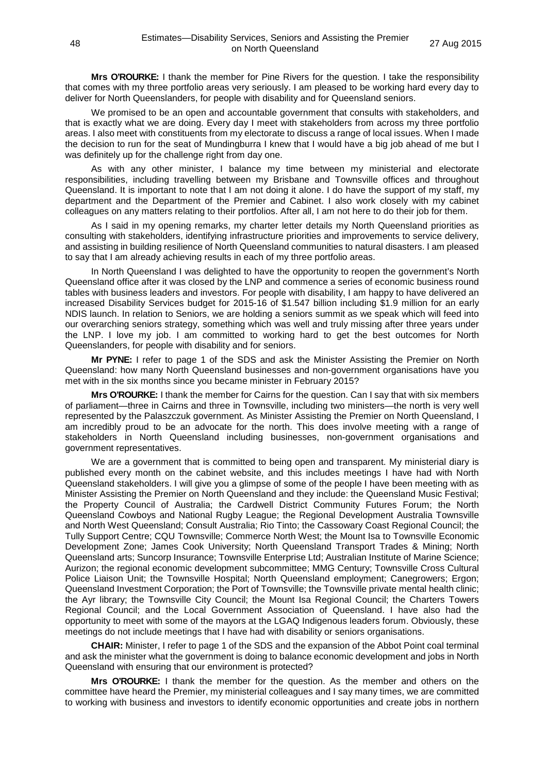**Mrs O'ROURKE:** I thank the member for Pine Rivers for the question. I take the responsibility that comes with my three portfolio areas very seriously. I am pleased to be working hard every day to deliver for North Queenslanders, for people with disability and for Queensland seniors.

We promised to be an open and accountable government that consults with stakeholders, and that is exactly what we are doing. Every day I meet with stakeholders from across my three portfolio areas. I also meet with constituents from my electorate to discuss a range of local issues. When I made the decision to run for the seat of Mundingburra I knew that I would have a big job ahead of me but I was definitely up for the challenge right from day one.

As with any other minister, I balance my time between my ministerial and electorate responsibilities, including travelling between my Brisbane and Townsville offices and throughout Queensland. It is important to note that I am not doing it alone. I do have the support of my staff, my department and the Department of the Premier and Cabinet. I also work closely with my cabinet colleagues on any matters relating to their portfolios. After all, I am not here to do their job for them.

As I said in my opening remarks, my charter letter details my North Queensland priorities as consulting with stakeholders, identifying infrastructure priorities and improvements to service delivery, and assisting in building resilience of North Queensland communities to natural disasters. I am pleased to say that I am already achieving results in each of my three portfolio areas.

In North Queensland I was delighted to have the opportunity to reopen the government's North Queensland office after it was closed by the LNP and commence a series of economic business round tables with business leaders and investors. For people with disability, I am happy to have delivered an increased Disability Services budget for 2015-16 of \$1.547 billion including \$1.9 million for an early NDIS launch. In relation to Seniors, we are holding a seniors summit as we speak which will feed into our overarching seniors strategy, something which was well and truly missing after three years under the LNP. I love my job. I am committed to working hard to get the best outcomes for North Queenslanders, for people with disability and for seniors.

**Mr PYNE:** I refer to page 1 of the SDS and ask the Minister Assisting the Premier on North Queensland: how many North Queensland businesses and non-government organisations have you met with in the six months since you became minister in February 2015?

**Mrs O'ROURKE:** I thank the member for Cairns for the question. Can I say that with six members of parliament—three in Cairns and three in Townsville, including two ministers—the north is very well represented by the Palaszczuk government. As Minister Assisting the Premier on North Queensland, I am incredibly proud to be an advocate for the north. This does involve meeting with a range of stakeholders in North Queensland including businesses, non-government organisations and government representatives.

We are a government that is committed to being open and transparent. My ministerial diary is published every month on the cabinet website, and this includes meetings I have had with North Queensland stakeholders. I will give you a glimpse of some of the people I have been meeting with as Minister Assisting the Premier on North Queensland and they include: the Queensland Music Festival; the Property Council of Australia; the Cardwell District Community Futures Forum; the North Queensland Cowboys and National Rugby League; the Regional Development Australia Townsville and North West Queensland; Consult Australia; Rio Tinto; the Cassowary Coast Regional Council; the Tully Support Centre; CQU Townsville; Commerce North West; the Mount Isa to Townsville Economic Development Zone; James Cook University; North Queensland Transport Trades & Mining; North Queensland arts; Suncorp Insurance; Townsville Enterprise Ltd; Australian Institute of Marine Science; Aurizon; the regional economic development subcommittee; MMG Century; Townsville Cross Cultural Police Liaison Unit; the Townsville Hospital; North Queensland employment; Canegrowers; Ergon; Queensland Investment Corporation; the Port of Townsville; the Townsville private mental health clinic; the Ayr library; the Townsville City Council; the Mount Isa Regional Council; the Charters Towers Regional Council; and the Local Government Association of Queensland. I have also had the opportunity to meet with some of the mayors at the LGAQ Indigenous leaders forum. Obviously, these meetings do not include meetings that I have had with disability or seniors organisations.

**CHAIR:** Minister, I refer to page 1 of the SDS and the expansion of the Abbot Point coal terminal and ask the minister what the government is doing to balance economic development and jobs in North Queensland with ensuring that our environment is protected?

**Mrs O'ROURKE:** I thank the member for the question. As the member and others on the committee have heard the Premier, my ministerial colleagues and I say many times, we are committed to working with business and investors to identify economic opportunities and create jobs in northern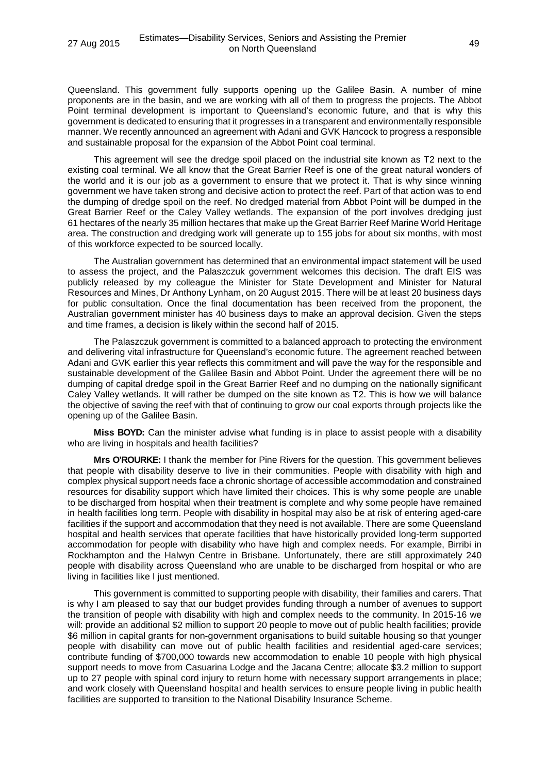Queensland. This government fully supports opening up the Galilee Basin. A number of mine proponents are in the basin, and we are working with all of them to progress the projects. The Abbot Point terminal development is important to Queensland's economic future, and that is why this government is dedicated to ensuring that it progresses in a transparent and environmentally responsible manner. We recently announced an agreement with Adani and GVK Hancock to progress a responsible and sustainable proposal for the expansion of the Abbot Point coal terminal.

This agreement will see the dredge spoil placed on the industrial site known as T2 next to the existing coal terminal. We all know that the Great Barrier Reef is one of the great natural wonders of the world and it is our job as a government to ensure that we protect it. That is why since winning government we have taken strong and decisive action to protect the reef. Part of that action was to end the dumping of dredge spoil on the reef. No dredged material from Abbot Point will be dumped in the Great Barrier Reef or the Caley Valley wetlands. The expansion of the port involves dredging just 61 hectares of the nearly 35 million hectares that make up the Great Barrier Reef Marine World Heritage area. The construction and dredging work will generate up to 155 jobs for about six months, with most of this workforce expected to be sourced locally.

The Australian government has determined that an environmental impact statement will be used to assess the project, and the Palaszczuk government welcomes this decision. The draft EIS was publicly released by my colleague the Minister for State Development and Minister for Natural Resources and Mines, Dr Anthony Lynham, on 20 August 2015. There will be at least 20 business days for public consultation. Once the final documentation has been received from the proponent, the Australian government minister has 40 business days to make an approval decision. Given the steps and time frames, a decision is likely within the second half of 2015.

The Palaszczuk government is committed to a balanced approach to protecting the environment and delivering vital infrastructure for Queensland's economic future. The agreement reached between Adani and GVK earlier this year reflects this commitment and will pave the way for the responsible and sustainable development of the Galilee Basin and Abbot Point. Under the agreement there will be no dumping of capital dredge spoil in the Great Barrier Reef and no dumping on the nationally significant Caley Valley wetlands. It will rather be dumped on the site known as T2. This is how we will balance the objective of saving the reef with that of continuing to grow our coal exports through projects like the opening up of the Galilee Basin.

**Miss BOYD:** Can the minister advise what funding is in place to assist people with a disability who are living in hospitals and health facilities?

**Mrs O'ROURKE:** I thank the member for Pine Rivers for the question. This government believes that people with disability deserve to live in their communities. People with disability with high and complex physical support needs face a chronic shortage of accessible accommodation and constrained resources for disability support which have limited their choices. This is why some people are unable to be discharged from hospital when their treatment is complete and why some people have remained in health facilities long term. People with disability in hospital may also be at risk of entering aged-care facilities if the support and accommodation that they need is not available. There are some Queensland hospital and health services that operate facilities that have historically provided long-term supported accommodation for people with disability who have high and complex needs. For example, Birribi in Rockhampton and the Halwyn Centre in Brisbane. Unfortunately, there are still approximately 240 people with disability across Queensland who are unable to be discharged from hospital or who are living in facilities like I just mentioned.

This government is committed to supporting people with disability, their families and carers. That is why I am pleased to say that our budget provides funding through a number of avenues to support the transition of people with disability with high and complex needs to the community. In 2015-16 we will: provide an additional \$2 million to support 20 people to move out of public health facilities; provide \$6 million in capital grants for non-government organisations to build suitable housing so that younger people with disability can move out of public health facilities and residential aged-care services; contribute funding of \$700,000 towards new accommodation to enable 10 people with high physical support needs to move from Casuarina Lodge and the Jacana Centre; allocate \$3.2 million to support up to 27 people with spinal cord injury to return home with necessary support arrangements in place; and work closely with Queensland hospital and health services to ensure people living in public health facilities are supported to transition to the National Disability Insurance Scheme.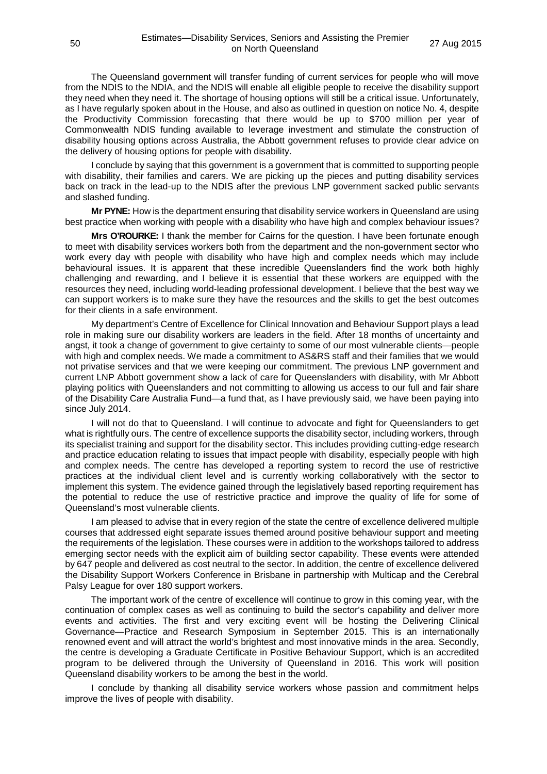The Queensland government will transfer funding of current services for people who will move from the NDIS to the NDIA, and the NDIS will enable all eligible people to receive the disability support they need when they need it. The shortage of housing options will still be a critical issue. Unfortunately, as I have regularly spoken about in the House, and also as outlined in question on notice No. 4, despite the Productivity Commission forecasting that there would be up to \$700 million per year of Commonwealth NDIS funding available to leverage investment and stimulate the construction of disability housing options across Australia, the Abbott government refuses to provide clear advice on the delivery of housing options for people with disability.

I conclude by saying that this government is a government that is committed to supporting people with disability, their families and carers. We are picking up the pieces and putting disability services back on track in the lead-up to the NDIS after the previous LNP government sacked public servants and slashed funding.

**Mr PYNE:** How is the department ensuring that disability service workers in Queensland are using best practice when working with people with a disability who have high and complex behaviour issues?

**Mrs O'ROURKE:** I thank the member for Cairns for the question. I have been fortunate enough to meet with disability services workers both from the department and the non-government sector who work every day with people with disability who have high and complex needs which may include behavioural issues. It is apparent that these incredible Queenslanders find the work both highly challenging and rewarding, and I believe it is essential that these workers are equipped with the resources they need, including world-leading professional development. I believe that the best way we can support workers is to make sure they have the resources and the skills to get the best outcomes for their clients in a safe environment.

My department's Centre of Excellence for Clinical Innovation and Behaviour Support plays a lead role in making sure our disability workers are leaders in the field. After 18 months of uncertainty and angst, it took a change of government to give certainty to some of our most vulnerable clients—people with high and complex needs. We made a commitment to AS&RS staff and their families that we would not privatise services and that we were keeping our commitment. The previous LNP government and current LNP Abbott government show a lack of care for Queenslanders with disability, with Mr Abbott playing politics with Queenslanders and not committing to allowing us access to our full and fair share of the Disability Care Australia Fund—a fund that, as I have previously said, we have been paying into since July 2014.

I will not do that to Queensland. I will continue to advocate and fight for Queenslanders to get what is rightfully ours. The centre of excellence supports the disability sector, including workers, through its specialist training and support for the disability sector. This includes providing cutting-edge research and practice education relating to issues that impact people with disability, especially people with high and complex needs. The centre has developed a reporting system to record the use of restrictive practices at the individual client level and is currently working collaboratively with the sector to implement this system. The evidence gained through the legislatively based reporting requirement has the potential to reduce the use of restrictive practice and improve the quality of life for some of Queensland's most vulnerable clients.

I am pleased to advise that in every region of the state the centre of excellence delivered multiple courses that addressed eight separate issues themed around positive behaviour support and meeting the requirements of the legislation. These courses were in addition to the workshops tailored to address emerging sector needs with the explicit aim of building sector capability. These events were attended by 647 people and delivered as cost neutral to the sector. In addition, the centre of excellence delivered the Disability Support Workers Conference in Brisbane in partnership with Multicap and the Cerebral Palsy League for over 180 support workers.

The important work of the centre of excellence will continue to grow in this coming year, with the continuation of complex cases as well as continuing to build the sector's capability and deliver more events and activities. The first and very exciting event will be hosting the Delivering Clinical Governance—Practice and Research Symposium in September 2015. This is an internationally renowned event and will attract the world's brightest and most innovative minds in the area. Secondly, the centre is developing a Graduate Certificate in Positive Behaviour Support, which is an accredited program to be delivered through the University of Queensland in 2016. This work will position Queensland disability workers to be among the best in the world.

I conclude by thanking all disability service workers whose passion and commitment helps improve the lives of people with disability.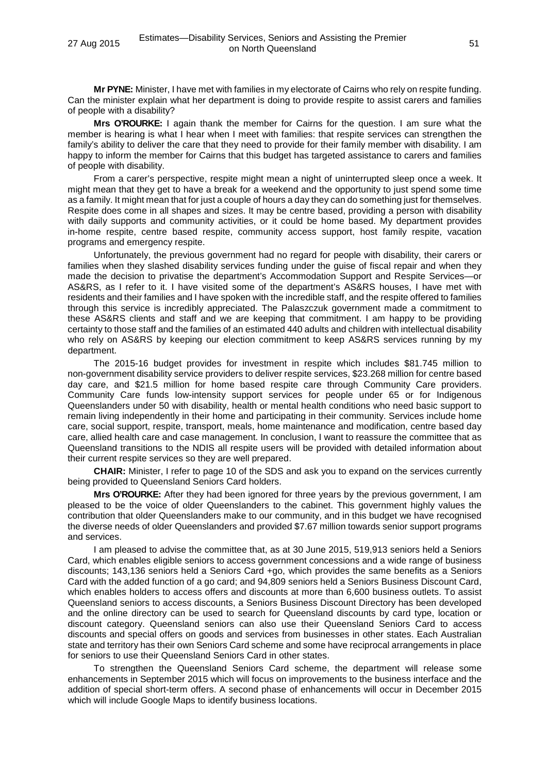**Mr PYNE:** Minister, I have met with families in my electorate of Cairns who rely on respite funding. Can the minister explain what her department is doing to provide respite to assist carers and families of people with a disability?

**Mrs O'ROURKE:** I again thank the member for Cairns for the question. I am sure what the member is hearing is what I hear when I meet with families: that respite services can strengthen the family's ability to deliver the care that they need to provide for their family member with disability. I am happy to inform the member for Cairns that this budget has targeted assistance to carers and families of people with disability.

From a carer's perspective, respite might mean a night of uninterrupted sleep once a week. It might mean that they get to have a break for a weekend and the opportunity to just spend some time as a family. It might mean that for just a couple of hours a day they can do something just for themselves. Respite does come in all shapes and sizes. It may be centre based, providing a person with disability with daily supports and community activities, or it could be home based. My department provides in-home respite, centre based respite, community access support, host family respite, vacation programs and emergency respite.

Unfortunately, the previous government had no regard for people with disability, their carers or families when they slashed disability services funding under the guise of fiscal repair and when they made the decision to privatise the department's Accommodation Support and Respite Services—or AS&RS, as I refer to it. I have visited some of the department's AS&RS houses, I have met with residents and their families and I have spoken with the incredible staff, and the respite offered to families through this service is incredibly appreciated. The Palaszczuk government made a commitment to these AS&RS clients and staff and we are keeping that commitment. I am happy to be providing certainty to those staff and the families of an estimated 440 adults and children with intellectual disability who rely on AS&RS by keeping our election commitment to keep AS&RS services running by my department.

The 2015-16 budget provides for investment in respite which includes \$81.745 million to non-government disability service providers to deliver respite services, \$23.268 million for centre based day care, and \$21.5 million for home based respite care through Community Care providers. Community Care funds low-intensity support services for people under 65 or for Indigenous Queenslanders under 50 with disability, health or mental health conditions who need basic support to remain living independently in their home and participating in their community. Services include home care, social support, respite, transport, meals, home maintenance and modification, centre based day care, allied health care and case management. In conclusion, I want to reassure the committee that as Queensland transitions to the NDIS all respite users will be provided with detailed information about their current respite services so they are well prepared.

**CHAIR:** Minister, I refer to page 10 of the SDS and ask you to expand on the services currently being provided to Queensland Seniors Card holders.

**Mrs O'ROURKE:** After they had been ignored for three years by the previous government, I am pleased to be the voice of older Queenslanders to the cabinet. This government highly values the contribution that older Queenslanders make to our community, and in this budget we have recognised the diverse needs of older Queenslanders and provided \$7.67 million towards senior support programs and services.

I am pleased to advise the committee that, as at 30 June 2015, 519,913 seniors held a Seniors Card, which enables eligible seniors to access government concessions and a wide range of business discounts; 143,136 seniors held a Seniors Card +go, which provides the same benefits as a Seniors Card with the added function of a go card; and 94,809 seniors held a Seniors Business Discount Card, which enables holders to access offers and discounts at more than 6,600 business outlets. To assist Queensland seniors to access discounts, a Seniors Business Discount Directory has been developed and the online directory can be used to search for Queensland discounts by card type, location or discount category. Queensland seniors can also use their Queensland Seniors Card to access discounts and special offers on goods and services from businesses in other states. Each Australian state and territory has their own Seniors Card scheme and some have reciprocal arrangements in place for seniors to use their Queensland Seniors Card in other states.

To strengthen the Queensland Seniors Card scheme, the department will release some enhancements in September 2015 which will focus on improvements to the business interface and the addition of special short-term offers. A second phase of enhancements will occur in December 2015 which will include Google Maps to identify business locations.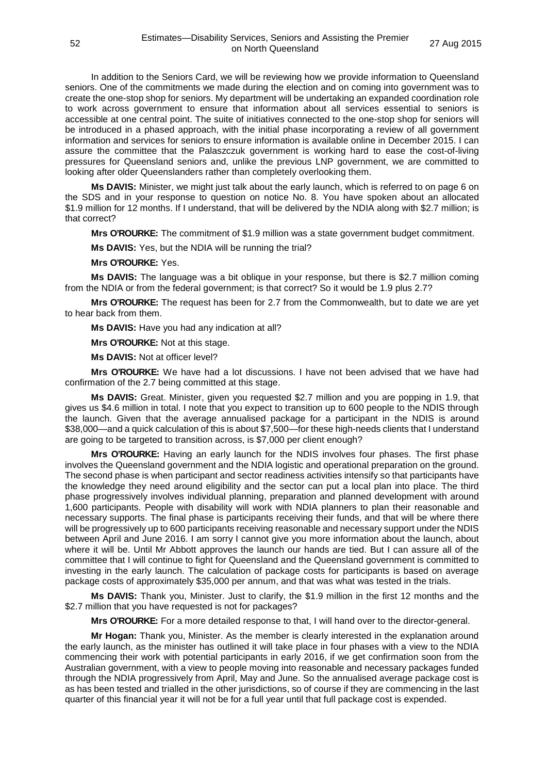In addition to the Seniors Card, we will be reviewing how we provide information to Queensland seniors. One of the commitments we made during the election and on coming into government was to create the one-stop shop for seniors. My department will be undertaking an expanded coordination role to work across government to ensure that information about all services essential to seniors is accessible at one central point. The suite of initiatives connected to the one-stop shop for seniors will be introduced in a phased approach, with the initial phase incorporating a review of all government information and services for seniors to ensure information is available online in December 2015. I can assure the committee that the Palaszczuk government is working hard to ease the cost-of-living pressures for Queensland seniors and, unlike the previous LNP government, we are committed to looking after older Queenslanders rather than completely overlooking them.

**Ms DAVIS:** Minister, we might just talk about the early launch, which is referred to on page 6 on the SDS and in your response to question on notice No. 8. You have spoken about an allocated \$1.9 million for 12 months. If I understand, that will be delivered by the NDIA along with \$2.7 million; is that correct?

**Mrs O'ROURKE:** The commitment of \$1.9 million was a state government budget commitment.

**Ms DAVIS:** Yes, but the NDIA will be running the trial?

#### **Mrs O'ROURKE:** Yes.

**Ms DAVIS:** The language was a bit oblique in your response, but there is \$2.7 million coming from the NDIA or from the federal government; is that correct? So it would be 1.9 plus 2.7?

**Mrs O'ROURKE:** The request has been for 2.7 from the Commonwealth, but to date we are yet to hear back from them.

**Ms DAVIS:** Have you had any indication at all?

**Mrs O'ROURKE:** Not at this stage.

**Ms DAVIS:** Not at officer level?

**Mrs O'ROURKE:** We have had a lot discussions. I have not been advised that we have had confirmation of the 2.7 being committed at this stage.

**Ms DAVIS:** Great. Minister, given you requested \$2.7 million and you are popping in 1.9, that gives us \$4.6 million in total. I note that you expect to transition up to 600 people to the NDIS through the launch. Given that the average annualised package for a participant in the NDIS is around \$38,000—and a quick calculation of this is about \$7,500—for these high-needs clients that I understand are going to be targeted to transition across, is \$7,000 per client enough?

**Mrs O'ROURKE:** Having an early launch for the NDIS involves four phases. The first phase involves the Queensland government and the NDIA logistic and operational preparation on the ground. The second phase is when participant and sector readiness activities intensify so that participants have the knowledge they need around eligibility and the sector can put a local plan into place. The third phase progressively involves individual planning, preparation and planned development with around 1,600 participants. People with disability will work with NDIA planners to plan their reasonable and necessary supports. The final phase is participants receiving their funds, and that will be where there will be progressively up to 600 participants receiving reasonable and necessary support under the NDIS between April and June 2016. I am sorry I cannot give you more information about the launch, about where it will be. Until Mr Abbott approves the launch our hands are tied. But I can assure all of the committee that I will continue to fight for Queensland and the Queensland government is committed to investing in the early launch. The calculation of package costs for participants is based on average package costs of approximately \$35,000 per annum, and that was what was tested in the trials.

**Ms DAVIS:** Thank you, Minister. Just to clarify, the \$1.9 million in the first 12 months and the \$2.7 million that you have requested is not for packages?

**Mrs O'ROURKE:** For a more detailed response to that, I will hand over to the director-general.

**Mr Hogan:** Thank you, Minister. As the member is clearly interested in the explanation around the early launch, as the minister has outlined it will take place in four phases with a view to the NDIA commencing their work with potential participants in early 2016, if we get confirmation soon from the Australian government, with a view to people moving into reasonable and necessary packages funded through the NDIA progressively from April, May and June. So the annualised average package cost is as has been tested and trialled in the other jurisdictions, so of course if they are commencing in the last quarter of this financial year it will not be for a full year until that full package cost is expended.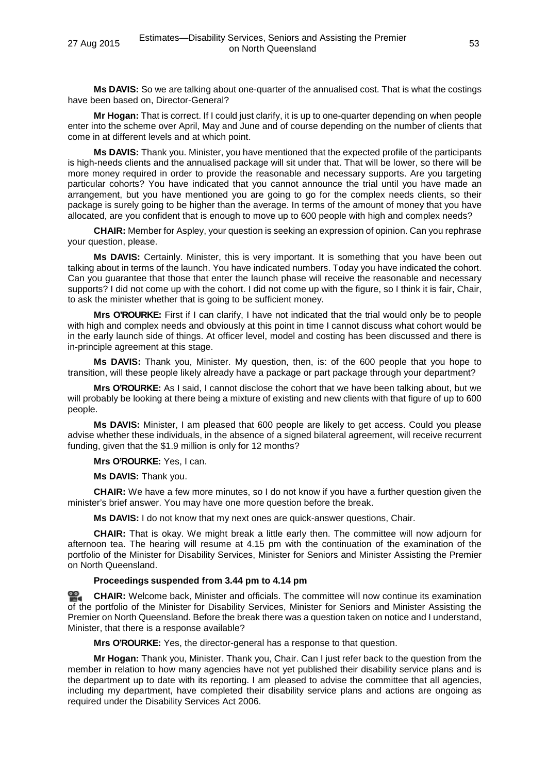**Ms DAVIS:** So we are talking about one-quarter of the annualised cost. That is what the costings have been based on, Director-General?

**Mr Hogan:** That is correct. If I could just clarify, it is up to one-quarter depending on when people enter into the scheme over April, May and June and of course depending on the number of clients that come in at different levels and at which point.

**Ms DAVIS:** Thank you. Minister, you have mentioned that the expected profile of the participants is high-needs clients and the annualised package will sit under that. That will be lower, so there will be more money required in order to provide the reasonable and necessary supports. Are you targeting particular cohorts? You have indicated that you cannot announce the trial until you have made an arrangement, but you have mentioned you are going to go for the complex needs clients, so their package is surely going to be higher than the average. In terms of the amount of money that you have allocated, are you confident that is enough to move up to 600 people with high and complex needs?

**CHAIR:** Member for Aspley, your question is seeking an expression of opinion. Can you rephrase your question, please.

**Ms DAVIS:** Certainly. Minister, this is very important. It is something that you have been out talking about in terms of the launch. You have indicated numbers. Today you have indicated the cohort. Can you guarantee that those that enter the launch phase will receive the reasonable and necessary supports? I did not come up with the cohort. I did not come up with the figure, so I think it is fair, Chair, to ask the minister whether that is going to be sufficient money.

**Mrs O'ROURKE:** First if I can clarify, I have not indicated that the trial would only be to people with high and complex needs and obviously at this point in time I cannot discuss what cohort would be in the early launch side of things. At officer level, model and costing has been discussed and there is in-principle agreement at this stage.

**Ms DAVIS:** Thank you, Minister. My question, then, is: of the 600 people that you hope to transition, will these people likely already have a package or part package through your department?

**Mrs O'ROURKE:** As I said, I cannot disclose the cohort that we have been talking about, but we will probably be looking at there being a mixture of existing and new clients with that figure of up to 600 people.

**Ms DAVIS:** Minister, I am pleased that 600 people are likely to get access. Could you please advise whether these individuals, in the absence of a signed bilateral agreement, will receive recurrent funding, given that the \$1.9 million is only for 12 months?

**Mrs O'ROURKE:** Yes, I can.

**Ms DAVIS:** Thank you.

**CHAIR:** We have a few more minutes, so I do not know if you have a further question given the minister's brief answer. You may have one more question before the break.

**Ms DAVIS:** I do not know that my next ones are quick-answer questions, Chair.

**CHAIR:** That is okay. We might break a little early then. The committee will now adjourn for afternoon tea. The hearing will resume at 4.15 pm with the continuation of the examination of the portfolio of the Minister for Disability Services, Minister for Seniors and Minister Assisting the Premier on North Queensland.

# **Proceedings suspended from 3.44 pm to 4.14 pm**

**[CHAIR:](http://www.parliament.qld.gov.au/docs/find.aspx?id=0Mba20150827_161345)** Welcome back, Minister and officials. The committee will now continue its examination of the portfolio of the Minister for Disability Services, Minister for Seniors and Minister Assisting the Premier on North Queensland. Before the break there was a question taken on notice and I understand, Minister, that there is a response available?

**Mrs O'ROURKE:** Yes, the director-general has a response to that question.

**Mr Hogan:** Thank you, Minister. Thank you, Chair. Can I just refer back to the question from the member in relation to how many agencies have not yet published their disability service plans and is the department up to date with its reporting. I am pleased to advise the committee that all agencies, including my department, have completed their disability service plans and actions are ongoing as required under the Disability Services Act 2006.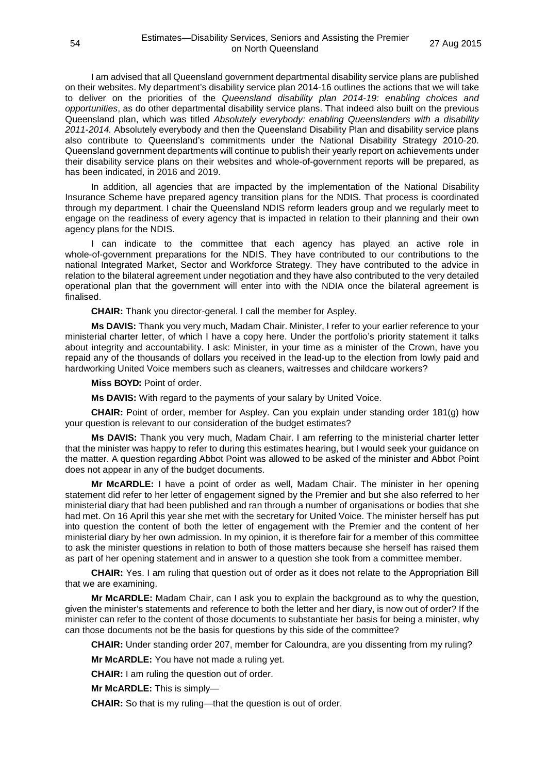I am advised that all Queensland government departmental disability service plans are published on their websites. My department's disability service plan 2014-16 outlines the actions that we will take to deliver on the priorities of the *Queensland disability plan 2014-19: enabling choices and opportunities*, as do other departmental disability service plans. That indeed also built on the previous Queensland plan, which was titled *Absolutely everybody: enabling Queenslanders with a disability 2011-2014.* Absolutely everybody and then the Queensland Disability Plan and disability service plans also contribute to Queensland's commitments under the National Disability Strategy 2010-20. Queensland government departments will continue to publish their yearly report on achievements under their disability service plans on their websites and whole-of-government reports will be prepared, as has been indicated, in 2016 and 2019.

In addition, all agencies that are impacted by the implementation of the National Disability Insurance Scheme have prepared agency transition plans for the NDIS. That process is coordinated through my department. I chair the Queensland NDIS reform leaders group and we regularly meet to engage on the readiness of every agency that is impacted in relation to their planning and their own agency plans for the NDIS.

I can indicate to the committee that each agency has played an active role in whole-of-government preparations for the NDIS. They have contributed to our contributions to the national Integrated Market, Sector and Workforce Strategy. They have contributed to the advice in relation to the bilateral agreement under negotiation and they have also contributed to the very detailed operational plan that the government will enter into with the NDIA once the bilateral agreement is finalised.

**CHAIR:** Thank you director-general. I call the member for Aspley.

**Ms DAVIS:** Thank you very much, Madam Chair. Minister, I refer to your earlier reference to your ministerial charter letter, of which I have a copy here. Under the portfolio's priority statement it talks about integrity and accountability. I ask: Minister, in your time as a minister of the Crown, have you repaid any of the thousands of dollars you received in the lead-up to the election from lowly paid and hardworking United Voice members such as cleaners, waitresses and childcare workers?

**Miss BOYD:** Point of order.

**Ms DAVIS:** With regard to the payments of your salary by United Voice.

**CHAIR:** Point of order, member for Aspley. Can you explain under standing order 181(g) how your question is relevant to our consideration of the budget estimates?

**Ms DAVIS:** Thank you very much, Madam Chair. I am referring to the ministerial charter letter that the minister was happy to refer to during this estimates hearing, but I would seek your guidance on the matter. A question regarding Abbot Point was allowed to be asked of the minister and Abbot Point does not appear in any of the budget documents.

**Mr McARDLE:** I have a point of order as well, Madam Chair. The minister in her opening statement did refer to her letter of engagement signed by the Premier and but she also referred to her ministerial diary that had been published and ran through a number of organisations or bodies that she had met. On 16 April this year she met with the secretary for United Voice. The minister herself has put into question the content of both the letter of engagement with the Premier and the content of her ministerial diary by her own admission. In my opinion, it is therefore fair for a member of this committee to ask the minister questions in relation to both of those matters because she herself has raised them as part of her opening statement and in answer to a question she took from a committee member.

**CHAIR:** Yes. I am ruling that question out of order as it does not relate to the Appropriation Bill that we are examining.

**Mr McARDLE:** Madam Chair, can I ask you to explain the background as to why the question, given the minister's statements and reference to both the letter and her diary, is now out of order? If the minister can refer to the content of those documents to substantiate her basis for being a minister, why can those documents not be the basis for questions by this side of the committee?

**CHAIR:** Under standing order 207, member for Caloundra, are you dissenting from my ruling?

**Mr McARDLE:** You have not made a ruling yet.

**CHAIR:** I am ruling the question out of order.

**Mr McARDLE:** This is simply—

**CHAIR:** So that is my ruling—that the question is out of order.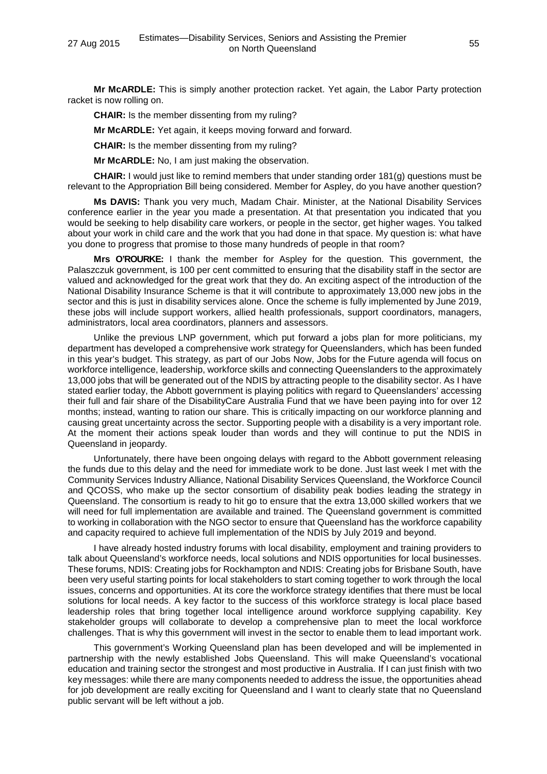**Mr McARDLE:** This is simply another protection racket. Yet again, the Labor Party protection racket is now rolling on.

**CHAIR:** Is the member dissenting from my ruling?

**Mr McARDLE:** Yet again, it keeps moving forward and forward.

**CHAIR:** Is the member dissenting from my ruling?

**Mr McARDLE:** No, I am just making the observation.

**CHAIR:** I would just like to remind members that under standing order 181(g) questions must be relevant to the Appropriation Bill being considered. Member for Aspley, do you have another question?

**Ms DAVIS:** Thank you very much, Madam Chair. Minister, at the National Disability Services conference earlier in the year you made a presentation. At that presentation you indicated that you would be seeking to help disability care workers, or people in the sector, get higher wages. You talked about your work in child care and the work that you had done in that space. My question is: what have you done to progress that promise to those many hundreds of people in that room?

**Mrs O'ROURKE:** I thank the member for Aspley for the question. This government, the Palaszczuk government, is 100 per cent committed to ensuring that the disability staff in the sector are valued and acknowledged for the great work that they do. An exciting aspect of the introduction of the National Disability Insurance Scheme is that it will contribute to approximately 13,000 new jobs in the sector and this is just in disability services alone. Once the scheme is fully implemented by June 2019, these jobs will include support workers, allied health professionals, support coordinators, managers, administrators, local area coordinators, planners and assessors.

Unlike the previous LNP government, which put forward a jobs plan for more politicians, my department has developed a comprehensive work strategy for Queenslanders, which has been funded in this year's budget. This strategy, as part of our Jobs Now, Jobs for the Future agenda will focus on workforce intelligence, leadership, workforce skills and connecting Queenslanders to the approximately 13,000 jobs that will be generated out of the NDIS by attracting people to the disability sector. As I have stated earlier today, the Abbott government is playing politics with regard to Queenslanders' accessing their full and fair share of the DisabilityCare Australia Fund that we have been paying into for over 12 months; instead, wanting to ration our share. This is critically impacting on our workforce planning and causing great uncertainty across the sector. Supporting people with a disability is a very important role. At the moment their actions speak louder than words and they will continue to put the NDIS in Queensland in jeopardy.

Unfortunately, there have been ongoing delays with regard to the Abbott government releasing the funds due to this delay and the need for immediate work to be done. Just last week I met with the Community Services Industry Alliance, National Disability Services Queensland, the Workforce Council and QCOSS, who make up the sector consortium of disability peak bodies leading the strategy in Queensland. The consortium is ready to hit go to ensure that the extra 13,000 skilled workers that we will need for full implementation are available and trained. The Queensland government is committed to working in collaboration with the NGO sector to ensure that Queensland has the workforce capability and capacity required to achieve full implementation of the NDIS by July 2019 and beyond.

I have already hosted industry forums with local disability, employment and training providers to talk about Queensland's workforce needs, local solutions and NDIS opportunities for local businesses. These forums, NDIS: Creating jobs for Rockhampton and NDIS: Creating jobs for Brisbane South, have been very useful starting points for local stakeholders to start coming together to work through the local issues, concerns and opportunities. At its core the workforce strategy identifies that there must be local solutions for local needs. A key factor to the success of this workforce strategy is local place based leadership roles that bring together local intelligence around workforce supplying capability. Key stakeholder groups will collaborate to develop a comprehensive plan to meet the local workforce challenges. That is why this government will invest in the sector to enable them to lead important work.

This government's Working Queensland plan has been developed and will be implemented in partnership with the newly established Jobs Queensland. This will make Queensland's vocational education and training sector the strongest and most productive in Australia. If I can just finish with two key messages: while there are many components needed to address the issue, the opportunities ahead for job development are really exciting for Queensland and I want to clearly state that no Queensland public servant will be left without a job.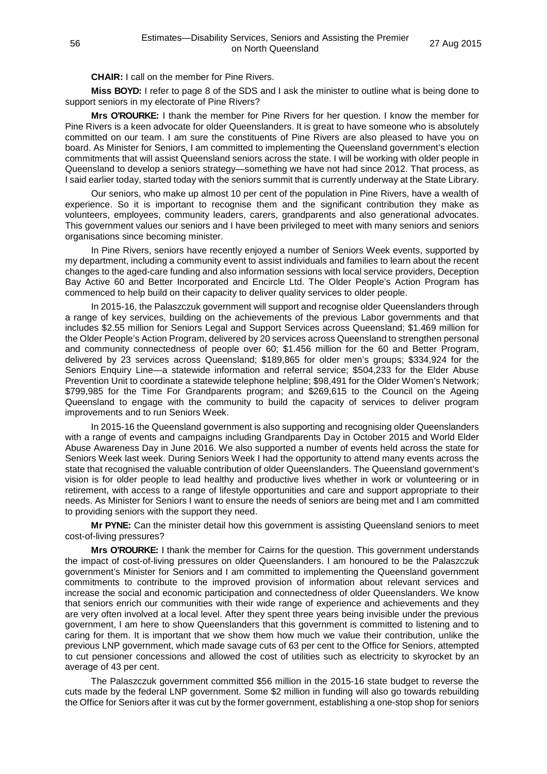**CHAIR:** I call on the member for Pine Rivers.

**Miss BOYD:** I refer to page 8 of the SDS and I ask the minister to outline what is being done to support seniors in my electorate of Pine Rivers?

**Mrs O'ROURKE:** I thank the member for Pine Rivers for her question. I know the member for Pine Rivers is a keen advocate for older Queenslanders. It is great to have someone who is absolutely committed on our team. I am sure the constituents of Pine Rivers are also pleased to have you on board. As Minister for Seniors, I am committed to implementing the Queensland government's election commitments that will assist Queensland seniors across the state. I will be working with older people in Queensland to develop a seniors strategy—something we have not had since 2012. That process, as I said earlier today, started today with the seniors summit that is currently underway at the State Library.

Our seniors, who make up almost 10 per cent of the population in Pine Rivers, have a wealth of experience. So it is important to recognise them and the significant contribution they make as volunteers, employees, community leaders, carers, grandparents and also generational advocates. This government values our seniors and I have been privileged to meet with many seniors and seniors organisations since becoming minister.

In Pine Rivers, seniors have recently enjoyed a number of Seniors Week events, supported by my department, including a community event to assist individuals and families to learn about the recent changes to the aged-care funding and also information sessions with local service providers, Deception Bay Active 60 and Better Incorporated and Encircle Ltd. The Older People's Action Program has commenced to help build on their capacity to deliver quality services to older people.

In 2015-16, the Palaszczuk government will support and recognise older Queenslanders through a range of key services, building on the achievements of the previous Labor governments and that includes \$2.55 million for Seniors Legal and Support Services across Queensland; \$1.469 million for the Older People's Action Program, delivered by 20 services across Queensland to strengthen personal and community connectedness of people over 60; \$1.456 million for the 60 and Better Program, delivered by 23 services across Queensland; \$189,865 for older men's groups; \$334,924 for the Seniors Enquiry Line—a statewide information and referral service; \$504,233 for the Elder Abuse Prevention Unit to coordinate a statewide telephone helpline; \$98,491 for the Older Women's Network; \$799,985 for the Time For Grandparents program; and \$269,615 to the Council on the Ageing Queensland to engage with the community to build the capacity of services to deliver program improvements and to run Seniors Week.

In 2015-16 the Queensland government is also supporting and recognising older Queenslanders with a range of events and campaigns including Grandparents Day in October 2015 and World Elder Abuse Awareness Day in June 2016. We also supported a number of events held across the state for Seniors Week last week. During Seniors Week I had the opportunity to attend many events across the state that recognised the valuable contribution of older Queenslanders. The Queensland government's vision is for older people to lead healthy and productive lives whether in work or volunteering or in retirement, with access to a range of lifestyle opportunities and care and support appropriate to their needs. As Minister for Seniors I want to ensure the needs of seniors are being met and I am committed to providing seniors with the support they need.

**Mr PYNE:** Can the minister detail how this government is assisting Queensland seniors to meet cost-of-living pressures?

**Mrs O'ROURKE:** I thank the member for Cairns for the question. This government understands the impact of cost-of-living pressures on older Queenslanders. I am honoured to be the Palaszczuk government's Minister for Seniors and I am committed to implementing the Queensland government commitments to contribute to the improved provision of information about relevant services and increase the social and economic participation and connectedness of older Queenslanders. We know that seniors enrich our communities with their wide range of experience and achievements and they are very often involved at a local level. After they spent three years being invisible under the previous government, I am here to show Queenslanders that this government is committed to listening and to caring for them. It is important that we show them how much we value their contribution, unlike the previous LNP government, which made savage cuts of 63 per cent to the Office for Seniors, attempted to cut pensioner concessions and allowed the cost of utilities such as electricity to skyrocket by an average of 43 per cent.

The Palaszczuk government committed \$56 million in the 2015-16 state budget to reverse the cuts made by the federal LNP government. Some \$2 million in funding will also go towards rebuilding the Office for Seniors after it was cut by the former government, establishing a one-stop shop for seniors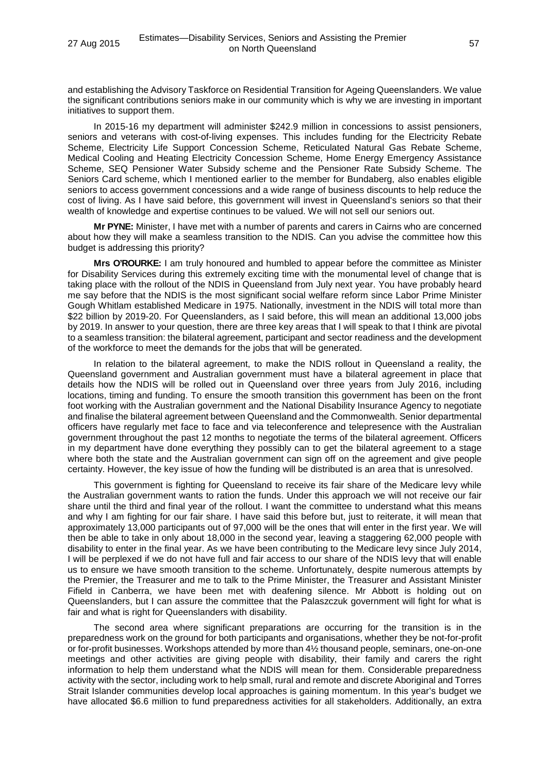and establishing the Advisory Taskforce on Residential Transition for Ageing Queenslanders. We value the significant contributions seniors make in our community which is why we are investing in important initiatives to support them.

In 2015-16 my department will administer \$242.9 million in concessions to assist pensioners, seniors and veterans with cost-of-living expenses. This includes funding for the Electricity Rebate Scheme, Electricity Life Support Concession Scheme, Reticulated Natural Gas Rebate Scheme, Medical Cooling and Heating Electricity Concession Scheme, Home Energy Emergency Assistance Scheme, SEQ Pensioner Water Subsidy scheme and the Pensioner Rate Subsidy Scheme. The Seniors Card scheme, which I mentioned earlier to the member for Bundaberg, also enables eligible seniors to access government concessions and a wide range of business discounts to help reduce the cost of living. As I have said before, this government will invest in Queensland's seniors so that their wealth of knowledge and expertise continues to be valued. We will not sell our seniors out.

**Mr PYNE:** Minister, I have met with a number of parents and carers in Cairns who are concerned about how they will make a seamless transition to the NDIS. Can you advise the committee how this budget is addressing this priority?

**Mrs O'ROURKE:** I am truly honoured and humbled to appear before the committee as Minister for Disability Services during this extremely exciting time with the monumental level of change that is taking place with the rollout of the NDIS in Queensland from July next year. You have probably heard me say before that the NDIS is the most significant social welfare reform since Labor Prime Minister Gough Whitlam established Medicare in 1975. Nationally, investment in the NDIS will total more than \$22 billion by 2019-20. For Queenslanders, as I said before, this will mean an additional 13,000 jobs by 2019. In answer to your question, there are three key areas that I will speak to that I think are pivotal to a seamless transition: the bilateral agreement, participant and sector readiness and the development of the workforce to meet the demands for the jobs that will be generated.

In relation to the bilateral agreement, to make the NDIS rollout in Queensland a reality, the Queensland government and Australian government must have a bilateral agreement in place that details how the NDIS will be rolled out in Queensland over three years from July 2016, including locations, timing and funding. To ensure the smooth transition this government has been on the front foot working with the Australian government and the National Disability Insurance Agency to negotiate and finalise the bilateral agreement between Queensland and the Commonwealth. Senior departmental officers have regularly met face to face and via teleconference and telepresence with the Australian government throughout the past 12 months to negotiate the terms of the bilateral agreement. Officers in my department have done everything they possibly can to get the bilateral agreement to a stage where both the state and the Australian government can sign off on the agreement and give people certainty. However, the key issue of how the funding will be distributed is an area that is unresolved.

This government is fighting for Queensland to receive its fair share of the Medicare levy while the Australian government wants to ration the funds. Under this approach we will not receive our fair share until the third and final year of the rollout. I want the committee to understand what this means and why I am fighting for our fair share. I have said this before but, just to reiterate, it will mean that approximately 13,000 participants out of 97,000 will be the ones that will enter in the first year. We will then be able to take in only about 18,000 in the second year, leaving a staggering 62,000 people with disability to enter in the final year. As we have been contributing to the Medicare levy since July 2014, I will be perplexed if we do not have full and fair access to our share of the NDIS levy that will enable us to ensure we have smooth transition to the scheme. Unfortunately, despite numerous attempts by the Premier, the Treasurer and me to talk to the Prime Minister, the Treasurer and Assistant Minister Fifield in Canberra, we have been met with deafening silence. Mr Abbott is holding out on Queenslanders, but I can assure the committee that the Palaszczuk government will fight for what is fair and what is right for Queenslanders with disability.

The second area where significant preparations are occurring for the transition is in the preparedness work on the ground for both participants and organisations, whether they be not-for-profit or for-profit businesses. Workshops attended by more than 4½ thousand people, seminars, one-on-one meetings and other activities are giving people with disability, their family and carers the right information to help them understand what the NDIS will mean for them. Considerable preparedness activity with the sector, including work to help small, rural and remote and discrete Aboriginal and Torres Strait Islander communities develop local approaches is gaining momentum. In this year's budget we have allocated \$6.6 million to fund preparedness activities for all stakeholders. Additionally, an extra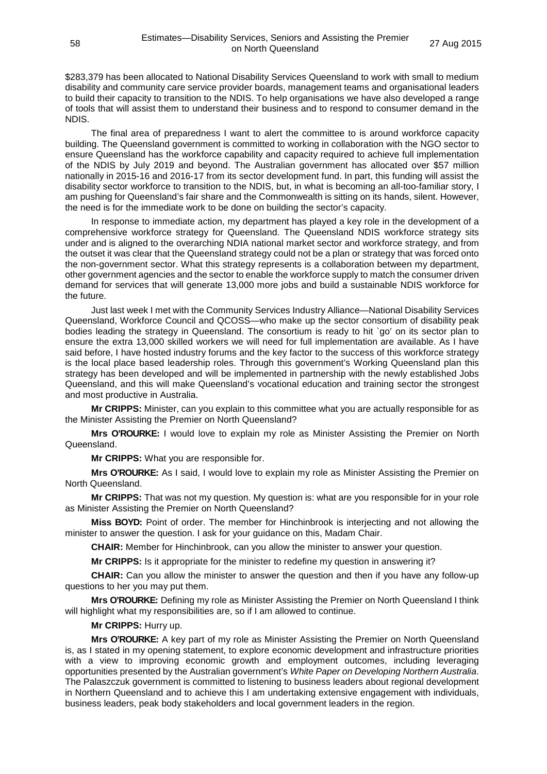\$283,379 has been allocated to National Disability Services Queensland to work with small to medium disability and community care service provider boards, management teams and organisational leaders to build their capacity to transition to the NDIS. To help organisations we have also developed a range of tools that will assist them to understand their business and to respond to consumer demand in the NDIS.

The final area of preparedness I want to alert the committee to is around workforce capacity building. The Queensland government is committed to working in collaboration with the NGO sector to ensure Queensland has the workforce capability and capacity required to achieve full implementation of the NDIS by July 2019 and beyond. The Australian government has allocated over \$57 million nationally in 2015-16 and 2016-17 from its sector development fund. In part, this funding will assist the disability sector workforce to transition to the NDIS, but, in what is becoming an all-too-familiar story, I am pushing for Queensland's fair share and the Commonwealth is sitting on its hands, silent. However, the need is for the immediate work to be done on building the sector's capacity.

In response to immediate action, my department has played a key role in the development of a comprehensive workforce strategy for Queensland. The Queensland NDIS workforce strategy sits under and is aligned to the overarching NDIA national market sector and workforce strategy, and from the outset it was clear that the Queensland strategy could not be a plan or strategy that was forced onto the non-government sector. What this strategy represents is a collaboration between my department, other government agencies and the sector to enable the workforce supply to match the consumer driven demand for services that will generate 13,000 more jobs and build a sustainable NDIS workforce for the future.

Just last week I met with the Community Services Industry Alliance—National Disability Services Queensland, Workforce Council and QCOSS—who make up the sector consortium of disability peak bodies leading the strategy in Queensland. The consortium is ready to hit `go' on its sector plan to ensure the extra 13,000 skilled workers we will need for full implementation are available. As I have said before, I have hosted industry forums and the key factor to the success of this workforce strategy is the local place based leadership roles. Through this government's Working Queensland plan this strategy has been developed and will be implemented in partnership with the newly established Jobs Queensland, and this will make Queensland's vocational education and training sector the strongest and most productive in Australia.

**Mr CRIPPS:** Minister, can you explain to this committee what you are actually responsible for as the Minister Assisting the Premier on North Queensland?

**Mrs O'ROURKE:** I would love to explain my role as Minister Assisting the Premier on North Queensland.

**Mr CRIPPS:** What you are responsible for.

**Mrs O'ROURKE:** As I said, I would love to explain my role as Minister Assisting the Premier on North Queensland.

**Mr CRIPPS:** That was not my question. My question is: what are you responsible for in your role as Minister Assisting the Premier on North Queensland?

**Miss BOYD:** Point of order. The member for Hinchinbrook is interjecting and not allowing the minister to answer the question. I ask for your guidance on this, Madam Chair.

**CHAIR:** Member for Hinchinbrook, can you allow the minister to answer your question.

**Mr CRIPPS:** Is it appropriate for the minister to redefine my question in answering it?

**CHAIR:** Can you allow the minister to answer the question and then if you have any follow-up questions to her you may put them.

**Mrs O'ROURKE:** Defining my role as Minister Assisting the Premier on North Queensland I think will highlight what my responsibilities are, so if I am allowed to continue.

### **Mr CRIPPS:** Hurry up.

**Mrs O'ROURKE:** A key part of my role as Minister Assisting the Premier on North Queensland is, as I stated in my opening statement, to explore economic development and infrastructure priorities with a view to improving economic growth and employment outcomes, including leveraging opportunities presented by the Australian government's *White Paper on Developing Northern Australia*. The Palaszczuk government is committed to listening to business leaders about regional development in Northern Queensland and to achieve this I am undertaking extensive engagement with individuals, business leaders, peak body stakeholders and local government leaders in the region.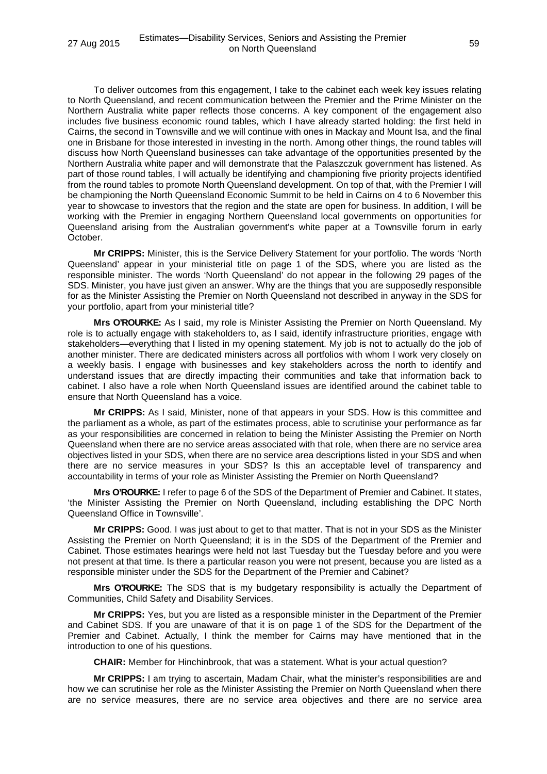To deliver outcomes from this engagement, I take to the cabinet each week key issues relating to North Queensland, and recent communication between the Premier and the Prime Minister on the Northern Australia white paper reflects those concerns. A key component of the engagement also includes five business economic round tables, which I have already started holding: the first held in Cairns, the second in Townsville and we will continue with ones in Mackay and Mount Isa, and the final one in Brisbane for those interested in investing in the north. Among other things, the round tables will discuss how North Queensland businesses can take advantage of the opportunities presented by the Northern Australia white paper and will demonstrate that the Palaszczuk government has listened. As part of those round tables, I will actually be identifying and championing five priority projects identified from the round tables to promote North Queensland development. On top of that, with the Premier I will be championing the North Queensland Economic Summit to be held in Cairns on 4 to 6 November this year to showcase to investors that the region and the state are open for business. In addition, I will be working with the Premier in engaging Northern Queensland local governments on opportunities for Queensland arising from the Australian government's white paper at a Townsville forum in early October.

**Mr CRIPPS:** Minister, this is the Service Delivery Statement for your portfolio. The words 'North Queensland' appear in your ministerial title on page 1 of the SDS, where you are listed as the responsible minister. The words 'North Queensland' do not appear in the following 29 pages of the SDS. Minister, you have just given an answer. Why are the things that you are supposedly responsible for as the Minister Assisting the Premier on North Queensland not described in anyway in the SDS for your portfolio, apart from your ministerial title?

**Mrs O'ROURKE:** As I said, my role is Minister Assisting the Premier on North Queensland. My role is to actually engage with stakeholders to, as I said, identify infrastructure priorities, engage with stakeholders—everything that I listed in my opening statement. My job is not to actually do the job of another minister. There are dedicated ministers across all portfolios with whom I work very closely on a weekly basis. I engage with businesses and key stakeholders across the north to identify and understand issues that are directly impacting their communities and take that information back to cabinet. I also have a role when North Queensland issues are identified around the cabinet table to ensure that North Queensland has a voice.

**Mr CRIPPS:** As I said, Minister, none of that appears in your SDS. How is this committee and the parliament as a whole, as part of the estimates process, able to scrutinise your performance as far as your responsibilities are concerned in relation to being the Minister Assisting the Premier on North Queensland when there are no service areas associated with that role, when there are no service area objectives listed in your SDS, when there are no service area descriptions listed in your SDS and when there are no service measures in your SDS? Is this an acceptable level of transparency and accountability in terms of your role as Minister Assisting the Premier on North Queensland?

**Mrs O'ROURKE:** I refer to page 6 of the SDS of the Department of Premier and Cabinet. It states, 'the Minister Assisting the Premier on North Queensland, including establishing the DPC North Queensland Office in Townsville'.

**Mr CRIPPS:** Good. I was just about to get to that matter. That is not in your SDS as the Minister Assisting the Premier on North Queensland; it is in the SDS of the Department of the Premier and Cabinet. Those estimates hearings were held not last Tuesday but the Tuesday before and you were not present at that time. Is there a particular reason you were not present, because you are listed as a responsible minister under the SDS for the Department of the Premier and Cabinet?

**Mrs O'ROURKE:** The SDS that is my budgetary responsibility is actually the Department of Communities, Child Safety and Disability Services.

**Mr CRIPPS:** Yes, but you are listed as a responsible minister in the Department of the Premier and Cabinet SDS. If you are unaware of that it is on page 1 of the SDS for the Department of the Premier and Cabinet. Actually, I think the member for Cairns may have mentioned that in the introduction to one of his questions.

**CHAIR:** Member for Hinchinbrook, that was a statement. What is your actual question?

**Mr CRIPPS:** I am trying to ascertain, Madam Chair, what the minister's responsibilities are and how we can scrutinise her role as the Minister Assisting the Premier on North Queensland when there are no service measures, there are no service area objectives and there are no service area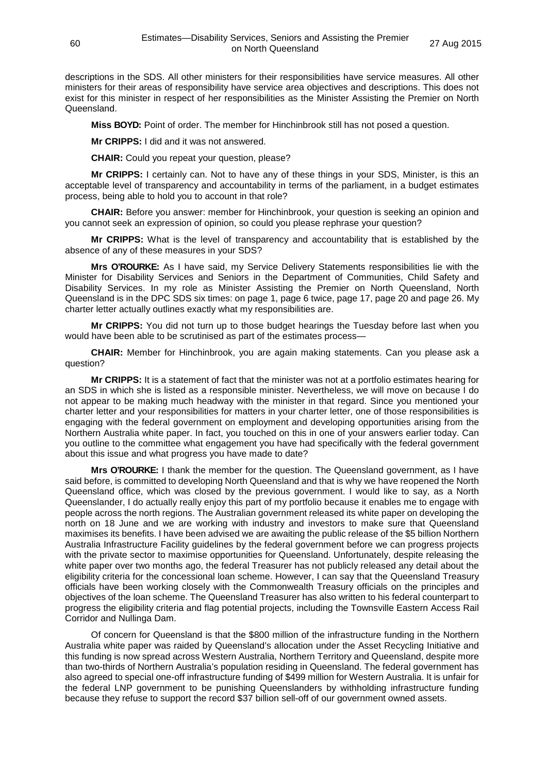descriptions in the SDS. All other ministers for their responsibilities have service measures. All other ministers for their areas of responsibility have service area objectives and descriptions. This does not exist for this minister in respect of her responsibilities as the Minister Assisting the Premier on North Queensland.

**Miss BOYD:** Point of order. The member for Hinchinbrook still has not posed a question.

**Mr CRIPPS:** I did and it was not answered.

**CHAIR:** Could you repeat your question, please?

**Mr CRIPPS:** I certainly can. Not to have any of these things in your SDS, Minister, is this an acceptable level of transparency and accountability in terms of the parliament, in a budget estimates process, being able to hold you to account in that role?

**CHAIR:** Before you answer: member for Hinchinbrook, your question is seeking an opinion and you cannot seek an expression of opinion, so could you please rephrase your question?

**Mr CRIPPS:** What is the level of transparency and accountability that is established by the absence of any of these measures in your SDS?

**Mrs O'ROURKE:** As I have said, my Service Delivery Statements responsibilities lie with the Minister for Disability Services and Seniors in the Department of Communities, Child Safety and Disability Services. In my role as Minister Assisting the Premier on North Queensland, North Queensland is in the DPC SDS six times: on page 1, page 6 twice, page 17, page 20 and page 26. My charter letter actually outlines exactly what my responsibilities are.

**Mr CRIPPS:** You did not turn up to those budget hearings the Tuesday before last when you would have been able to be scrutinised as part of the estimates process—

**CHAIR:** Member for Hinchinbrook, you are again making statements. Can you please ask a question?

**Mr CRIPPS:** It is a statement of fact that the minister was not at a portfolio estimates hearing for an SDS in which she is listed as a responsible minister. Nevertheless, we will move on because I do not appear to be making much headway with the minister in that regard. Since you mentioned your charter letter and your responsibilities for matters in your charter letter, one of those responsibilities is engaging with the federal government on employment and developing opportunities arising from the Northern Australia white paper. In fact, you touched on this in one of your answers earlier today. Can you outline to the committee what engagement you have had specifically with the federal government about this issue and what progress you have made to date?

**Mrs O'ROURKE:** I thank the member for the question. The Queensland government, as I have said before, is committed to developing North Queensland and that is why we have reopened the North Queensland office, which was closed by the previous government. I would like to say, as a North Queenslander, I do actually really enjoy this part of my portfolio because it enables me to engage with people across the north regions. The Australian government released its white paper on developing the north on 18 June and we are working with industry and investors to make sure that Queensland maximises its benefits. I have been advised we are awaiting the public release of the \$5 billion Northern Australia Infrastructure Facility guidelines by the federal government before we can progress projects with the private sector to maximise opportunities for Queensland. Unfortunately, despite releasing the white paper over two months ago, the federal Treasurer has not publicly released any detail about the eligibility criteria for the concessional loan scheme. However, I can say that the Queensland Treasury officials have been working closely with the Commonwealth Treasury officials on the principles and objectives of the loan scheme. The Queensland Treasurer has also written to his federal counterpart to progress the eligibility criteria and flag potential projects, including the Townsville Eastern Access Rail Corridor and Nullinga Dam.

Of concern for Queensland is that the \$800 million of the infrastructure funding in the Northern Australia white paper was raided by Queensland's allocation under the Asset Recycling Initiative and this funding is now spread across Western Australia, Northern Territory and Queensland, despite more than two-thirds of Northern Australia's population residing in Queensland. The federal government has also agreed to special one-off infrastructure funding of \$499 million for Western Australia. It is unfair for the federal LNP government to be punishing Queenslanders by withholding infrastructure funding because they refuse to support the record \$37 billion sell-off of our government owned assets.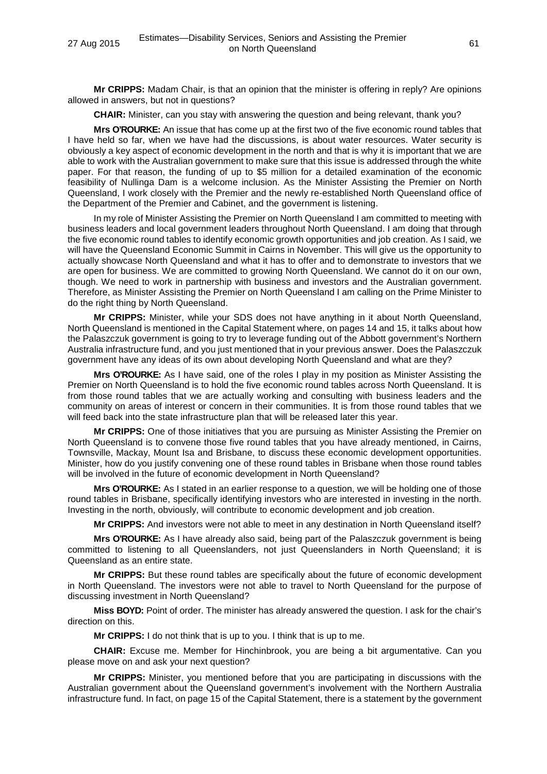**Mr CRIPPS:** Madam Chair, is that an opinion that the minister is offering in reply? Are opinions allowed in answers, but not in questions?

**CHAIR:** Minister, can you stay with answering the question and being relevant, thank you?

**Mrs O'ROURKE:** An issue that has come up at the first two of the five economic round tables that I have held so far, when we have had the discussions, is about water resources. Water security is obviously a key aspect of economic development in the north and that is why it is important that we are able to work with the Australian government to make sure that this issue is addressed through the white paper. For that reason, the funding of up to \$5 million for a detailed examination of the economic feasibility of Nullinga Dam is a welcome inclusion. As the Minister Assisting the Premier on North Queensland, I work closely with the Premier and the newly re-established North Queensland office of the Department of the Premier and Cabinet, and the government is listening.

In my role of Minister Assisting the Premier on North Queensland I am committed to meeting with business leaders and local government leaders throughout North Queensland. I am doing that through the five economic round tables to identify economic growth opportunities and job creation. As I said, we will have the Queensland Economic Summit in Cairns in November. This will give us the opportunity to actually showcase North Queensland and what it has to offer and to demonstrate to investors that we are open for business. We are committed to growing North Queensland. We cannot do it on our own, though. We need to work in partnership with business and investors and the Australian government. Therefore, as Minister Assisting the Premier on North Queensland I am calling on the Prime Minister to do the right thing by North Queensland.

**Mr CRIPPS:** Minister, while your SDS does not have anything in it about North Queensland, North Queensland is mentioned in the Capital Statement where, on pages 14 and 15, it talks about how the Palaszczuk government is going to try to leverage funding out of the Abbott government's Northern Australia infrastructure fund, and you just mentioned that in your previous answer. Does the Palaszczuk government have any ideas of its own about developing North Queensland and what are they?

**Mrs O'ROURKE:** As I have said, one of the roles I play in my position as Minister Assisting the Premier on North Queensland is to hold the five economic round tables across North Queensland. It is from those round tables that we are actually working and consulting with business leaders and the community on areas of interest or concern in their communities. It is from those round tables that we will feed back into the state infrastructure plan that will be released later this year.

**Mr CRIPPS:** One of those initiatives that you are pursuing as Minister Assisting the Premier on North Queensland is to convene those five round tables that you have already mentioned, in Cairns, Townsville, Mackay, Mount Isa and Brisbane, to discuss these economic development opportunities. Minister, how do you justify convening one of these round tables in Brisbane when those round tables will be involved in the future of economic development in North Queensland?

**Mrs O'ROURKE:** As I stated in an earlier response to a question, we will be holding one of those round tables in Brisbane, specifically identifying investors who are interested in investing in the north. Investing in the north, obviously, will contribute to economic development and job creation.

**Mr CRIPPS:** And investors were not able to meet in any destination in North Queensland itself?

**Mrs O'ROURKE:** As I have already also said, being part of the Palaszczuk government is being committed to listening to all Queenslanders, not just Queenslanders in North Queensland; it is Queensland as an entire state.

**Mr CRIPPS:** But these round tables are specifically about the future of economic development in North Queensland. The investors were not able to travel to North Queensland for the purpose of discussing investment in North Queensland?

**Miss BOYD:** Point of order. The minister has already answered the question. I ask for the chair's direction on this.

**Mr CRIPPS:** I do not think that is up to you. I think that is up to me.

**CHAIR:** Excuse me. Member for Hinchinbrook, you are being a bit argumentative. Can you please move on and ask your next question?

**Mr CRIPPS:** Minister, you mentioned before that you are participating in discussions with the Australian government about the Queensland government's involvement with the Northern Australia infrastructure fund. In fact, on page 15 of the Capital Statement, there is a statement by the government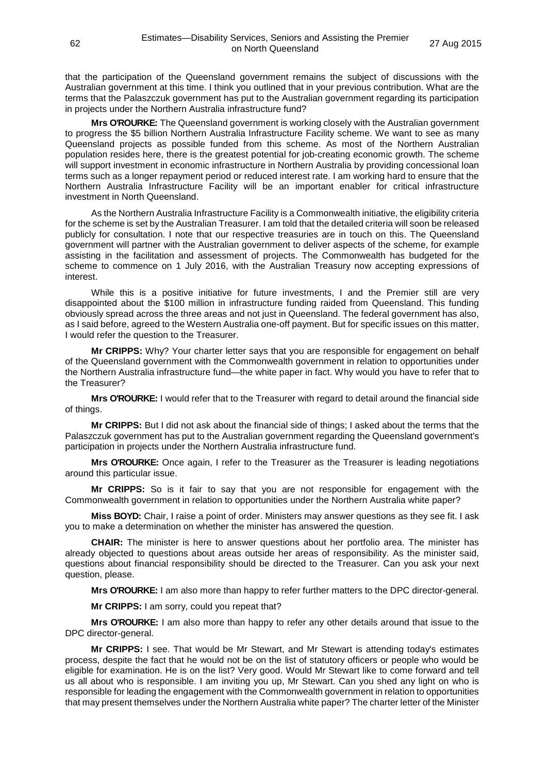that the participation of the Queensland government remains the subject of discussions with the Australian government at this time. I think you outlined that in your previous contribution. What are the terms that the Palaszczuk government has put to the Australian government regarding its participation in projects under the Northern Australia infrastructure fund?

**Mrs O'ROURKE:** The Queensland government is working closely with the Australian government to progress the \$5 billion Northern Australia Infrastructure Facility scheme. We want to see as many Queensland projects as possible funded from this scheme. As most of the Northern Australian population resides here, there is the greatest potential for job-creating economic growth. The scheme will support investment in economic infrastructure in Northern Australia by providing concessional loan terms such as a longer repayment period or reduced interest rate. I am working hard to ensure that the Northern Australia Infrastructure Facility will be an important enabler for critical infrastructure investment in North Queensland.

As the Northern Australia Infrastructure Facility is a Commonwealth initiative, the eligibility criteria for the scheme is set by the Australian Treasurer. I am told that the detailed criteria will soon be released publicly for consultation. I note that our respective treasuries are in touch on this. The Queensland government will partner with the Australian government to deliver aspects of the scheme, for example assisting in the facilitation and assessment of projects. The Commonwealth has budgeted for the scheme to commence on 1 July 2016, with the Australian Treasury now accepting expressions of interest.

While this is a positive initiative for future investments, I and the Premier still are very disappointed about the \$100 million in infrastructure funding raided from Queensland. This funding obviously spread across the three areas and not just in Queensland. The federal government has also, as I said before, agreed to the Western Australia one-off payment. But for specific issues on this matter, I would refer the question to the Treasurer.

**Mr CRIPPS:** Why? Your charter letter says that you are responsible for engagement on behalf of the Queensland government with the Commonwealth government in relation to opportunities under the Northern Australia infrastructure fund—the white paper in fact. Why would you have to refer that to the Treasurer?

**Mrs O'ROURKE:** I would refer that to the Treasurer with regard to detail around the financial side of things.

**Mr CRIPPS:** But I did not ask about the financial side of things; I asked about the terms that the Palaszczuk government has put to the Australian government regarding the Queensland government's participation in projects under the Northern Australia infrastructure fund.

**Mrs O'ROURKE:** Once again, I refer to the Treasurer as the Treasurer is leading negotiations around this particular issue.

**Mr CRIPPS:** So is it fair to say that you are not responsible for engagement with the Commonwealth government in relation to opportunities under the Northern Australia white paper?

**Miss BOYD:** Chair, I raise a point of order. Ministers may answer questions as they see fit. I ask you to make a determination on whether the minister has answered the question.

**CHAIR:** The minister is here to answer questions about her portfolio area. The minister has already objected to questions about areas outside her areas of responsibility. As the minister said, questions about financial responsibility should be directed to the Treasurer. Can you ask your next question, please.

**Mrs O'ROURKE:** I am also more than happy to refer further matters to the DPC director-general.

**Mr CRIPPS:** I am sorry, could you repeat that?

**Mrs O'ROURKE:** I am also more than happy to refer any other details around that issue to the DPC director-general.

**Mr CRIPPS:** I see. That would be Mr Stewart, and Mr Stewart is attending today's estimates process, despite the fact that he would not be on the list of statutory officers or people who would be eligible for examination. He is on the list? Very good. Would Mr Stewart like to come forward and tell us all about who is responsible. I am inviting you up, Mr Stewart. Can you shed any light on who is responsible for leading the engagement with the Commonwealth government in relation to opportunities that may present themselves under the Northern Australia white paper? The charter letter of the Minister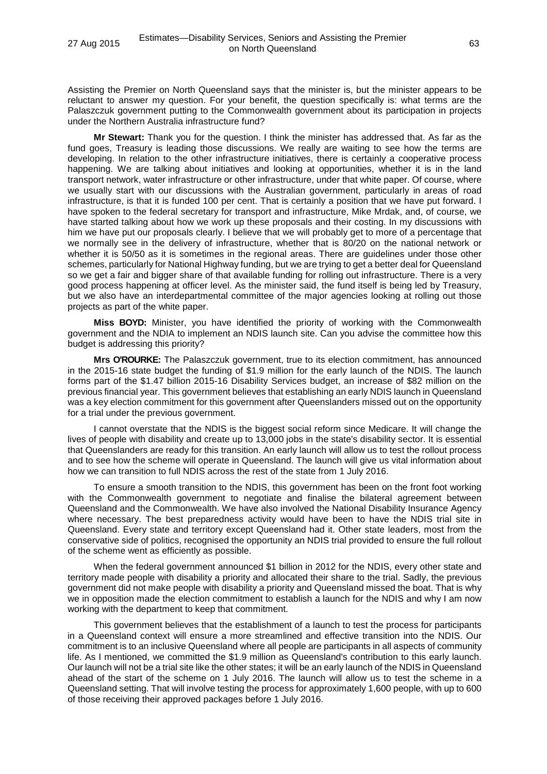Assisting the Premier on North Queensland says that the minister is, but the minister appears to be reluctant to answer my question. For your benefit, the question specifically is: what terms are the Palaszczuk government putting to the Commonwealth government about its participation in projects under the Northern Australia infrastructure fund?

**Mr Stewart:** Thank you for the question. I think the minister has addressed that. As far as the fund goes, Treasury is leading those discussions. We really are waiting to see how the terms are developing. In relation to the other infrastructure initiatives, there is certainly a cooperative process happening. We are talking about initiatives and looking at opportunities, whether it is in the land transport network, water infrastructure or other infrastructure, under that white paper. Of course, where we usually start with our discussions with the Australian government, particularly in areas of road infrastructure, is that it is funded 100 per cent. That is certainly a position that we have put forward. I have spoken to the federal secretary for transport and infrastructure, Mike Mrdak, and, of course, we have started talking about how we work up these proposals and their costing. In my discussions with him we have put our proposals clearly. I believe that we will probably get to more of a percentage that we normally see in the delivery of infrastructure, whether that is 80/20 on the national network or whether it is 50/50 as it is sometimes in the regional areas. There are guidelines under those other schemes, particularly for National Highway funding, but we are trying to get a better deal for Queensland so we get a fair and bigger share of that available funding for rolling out infrastructure. There is a very good process happening at officer level. As the minister said, the fund itself is being led by Treasury, but we also have an interdepartmental committee of the major agencies looking at rolling out those projects as part of the white paper.

**Miss BOYD:** Minister, you have identified the priority of working with the Commonwealth government and the NDIA to implement an NDIS launch site. Can you advise the committee how this budget is addressing this priority?

**Mrs O'ROURKE:** The Palaszczuk government, true to its election commitment, has announced in the 2015-16 state budget the funding of \$1.9 million for the early launch of the NDIS. The launch forms part of the \$1.47 billion 2015-16 Disability Services budget, an increase of \$82 million on the previous financial year. This government believes that establishing an early NDIS launch in Queensland was a key election commitment for this government after Queenslanders missed out on the opportunity for a trial under the previous government.

I cannot overstate that the NDIS is the biggest social reform since Medicare. It will change the lives of people with disability and create up to 13,000 jobs in the state's disability sector. It is essential that Queenslanders are ready for this transition. An early launch will allow us to test the rollout process and to see how the scheme will operate in Queensland. The launch will give us vital information about how we can transition to full NDIS across the rest of the state from 1 July 2016.

To ensure a smooth transition to the NDIS, this government has been on the front foot working with the Commonwealth government to negotiate and finalise the bilateral agreement between Queensland and the Commonwealth. We have also involved the National Disability Insurance Agency where necessary. The best preparedness activity would have been to have the NDIS trial site in Queensland. Every state and territory except Queensland had it. Other state leaders, most from the conservative side of politics, recognised the opportunity an NDIS trial provided to ensure the full rollout of the scheme went as efficiently as possible.

When the federal government announced \$1 billion in 2012 for the NDIS, every other state and territory made people with disability a priority and allocated their share to the trial. Sadly, the previous government did not make people with disability a priority and Queensland missed the boat. That is why we in opposition made the election commitment to establish a launch for the NDIS and why I am now working with the department to keep that commitment.

This government believes that the establishment of a launch to test the process for participants in a Queensland context will ensure a more streamlined and effective transition into the NDIS. Our commitment is to an inclusive Queensland where all people are participants in all aspects of community life. As I mentioned, we committed the \$1.9 million as Queensland's contribution to this early launch. Our launch will not be a trial site like the other states; it will be an early launch of the NDIS in Queensland ahead of the start of the scheme on 1 July 2016. The launch will allow us to test the scheme in a Queensland setting. That will involve testing the process for approximately 1,600 people, with up to 600 of those receiving their approved packages before 1 July 2016.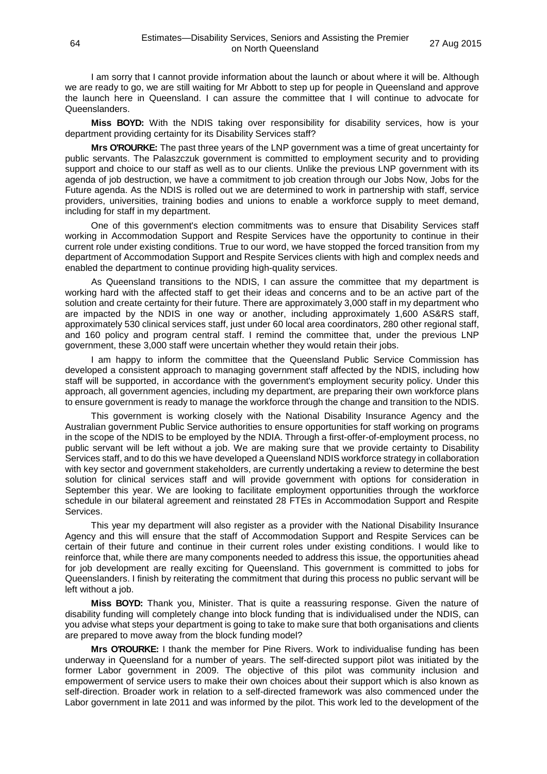I am sorry that I cannot provide information about the launch or about where it will be. Although we are ready to go, we are still waiting for Mr Abbott to step up for people in Queensland and approve the launch here in Queensland. I can assure the committee that I will continue to advocate for Queenslanders.

**Miss BOYD:** With the NDIS taking over responsibility for disability services, how is your department providing certainty for its Disability Services staff?

**Mrs O'ROURKE:** The past three years of the LNP government was a time of great uncertainty for public servants. The Palaszczuk government is committed to employment security and to providing support and choice to our staff as well as to our clients. Unlike the previous LNP government with its agenda of job destruction, we have a commitment to job creation through our Jobs Now, Jobs for the Future agenda. As the NDIS is rolled out we are determined to work in partnership with staff, service providers, universities, training bodies and unions to enable a workforce supply to meet demand, including for staff in my department.

One of this government's election commitments was to ensure that Disability Services staff working in Accommodation Support and Respite Services have the opportunity to continue in their current role under existing conditions. True to our word, we have stopped the forced transition from my department of Accommodation Support and Respite Services clients with high and complex needs and enabled the department to continue providing high-quality services.

As Queensland transitions to the NDIS, I can assure the committee that my department is working hard with the affected staff to get their ideas and concerns and to be an active part of the solution and create certainty for their future. There are approximately 3,000 staff in my department who are impacted by the NDIS in one way or another, including approximately 1,600 AS&RS staff, approximately 530 clinical services staff, just under 60 local area coordinators, 280 other regional staff, and 160 policy and program central staff. I remind the committee that, under the previous LNP government, these 3,000 staff were uncertain whether they would retain their jobs.

I am happy to inform the committee that the Queensland Public Service Commission has developed a consistent approach to managing government staff affected by the NDIS, including how staff will be supported, in accordance with the government's employment security policy. Under this approach, all government agencies, including my department, are preparing their own workforce plans to ensure government is ready to manage the workforce through the change and transition to the NDIS.

This government is working closely with the National Disability Insurance Agency and the Australian government Public Service authorities to ensure opportunities for staff working on programs in the scope of the NDIS to be employed by the NDIA. Through a first-offer-of-employment process, no public servant will be left without a job. We are making sure that we provide certainty to Disability Services staff, and to do this we have developed a Queensland NDIS workforce strategy in collaboration with key sector and government stakeholders, are currently undertaking a review to determine the best solution for clinical services staff and will provide government with options for consideration in September this year. We are looking to facilitate employment opportunities through the workforce schedule in our bilateral agreement and reinstated 28 FTEs in Accommodation Support and Respite Services.

This year my department will also register as a provider with the National Disability Insurance Agency and this will ensure that the staff of Accommodation Support and Respite Services can be certain of their future and continue in their current roles under existing conditions. I would like to reinforce that, while there are many components needed to address this issue, the opportunities ahead for job development are really exciting for Queensland. This government is committed to jobs for Queenslanders. I finish by reiterating the commitment that during this process no public servant will be left without a job.

**Miss BOYD:** Thank you, Minister. That is quite a reassuring response. Given the nature of disability funding will completely change into block funding that is individualised under the NDIS, can you advise what steps your department is going to take to make sure that both organisations and clients are prepared to move away from the block funding model?

**Mrs O'ROURKE:** I thank the member for Pine Rivers. Work to individualise funding has been underway in Queensland for a number of years. The self-directed support pilot was initiated by the former Labor government in 2009. The objective of this pilot was community inclusion and empowerment of service users to make their own choices about their support which is also known as self-direction. Broader work in relation to a self-directed framework was also commenced under the Labor government in late 2011 and was informed by the pilot. This work led to the development of the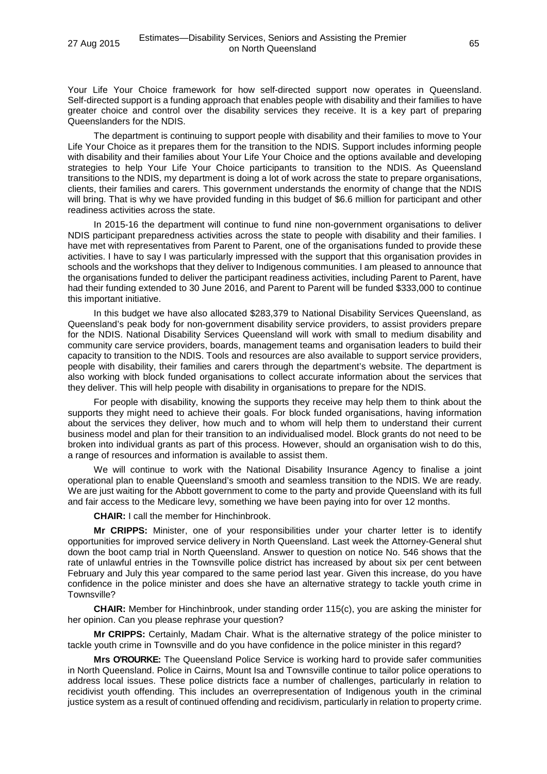Your Life Your Choice framework for how self-directed support now operates in Queensland. Self-directed support is a funding approach that enables people with disability and their families to have greater choice and control over the disability services they receive. It is a key part of preparing Queenslanders for the NDIS.

The department is continuing to support people with disability and their families to move to Your Life Your Choice as it prepares them for the transition to the NDIS. Support includes informing people with disability and their families about Your Life Your Choice and the options available and developing strategies to help Your Life Your Choice participants to transition to the NDIS. As Queensland transitions to the NDIS, my department is doing a lot of work across the state to prepare organisations, clients, their families and carers. This government understands the enormity of change that the NDIS will bring. That is why we have provided funding in this budget of \$6.6 million for participant and other readiness activities across the state.

In 2015-16 the department will continue to fund nine non-government organisations to deliver NDIS participant preparedness activities across the state to people with disability and their families. I have met with representatives from Parent to Parent, one of the organisations funded to provide these activities. I have to say I was particularly impressed with the support that this organisation provides in schools and the workshops that they deliver to Indigenous communities. I am pleased to announce that the organisations funded to deliver the participant readiness activities, including Parent to Parent, have had their funding extended to 30 June 2016, and Parent to Parent will be funded \$333,000 to continue this important initiative.

In this budget we have also allocated \$283,379 to National Disability Services Queensland, as Queensland's peak body for non-government disability service providers, to assist providers prepare for the NDIS. National Disability Services Queensland will work with small to medium disability and community care service providers, boards, management teams and organisation leaders to build their capacity to transition to the NDIS. Tools and resources are also available to support service providers, people with disability, their families and carers through the department's website. The department is also working with block funded organisations to collect accurate information about the services that they deliver. This will help people with disability in organisations to prepare for the NDIS.

For people with disability, knowing the supports they receive may help them to think about the supports they might need to achieve their goals. For block funded organisations, having information about the services they deliver, how much and to whom will help them to understand their current business model and plan for their transition to an individualised model. Block grants do not need to be broken into individual grants as part of this process. However, should an organisation wish to do this, a range of resources and information is available to assist them.

We will continue to work with the National Disability Insurance Agency to finalise a joint operational plan to enable Queensland's smooth and seamless transition to the NDIS. We are ready. We are just waiting for the Abbott government to come to the party and provide Queensland with its full and fair access to the Medicare levy, something we have been paying into for over 12 months.

**CHAIR:** I call the member for Hinchinbrook.

**Mr CRIPPS:** Minister, one of your responsibilities under your charter letter is to identify opportunities for improved service delivery in North Queensland. Last week the Attorney-General shut down the boot camp trial in North Queensland. Answer to question on notice No. 546 shows that the rate of unlawful entries in the Townsville police district has increased by about six per cent between February and July this year compared to the same period last year. Given this increase, do you have confidence in the police minister and does she have an alternative strategy to tackle youth crime in Townsville?

**CHAIR:** Member for Hinchinbrook, under standing order 115(c), you are asking the minister for her opinion. Can you please rephrase your question?

**Mr CRIPPS:** Certainly, Madam Chair. What is the alternative strategy of the police minister to tackle youth crime in Townsville and do you have confidence in the police minister in this regard?

**Mrs O'ROURKE:** The Queensland Police Service is working hard to provide safer communities in North Queensland. Police in Cairns, Mount Isa and Townsville continue to tailor police operations to address local issues. These police districts face a number of challenges, particularly in relation to recidivist youth offending. This includes an overrepresentation of Indigenous youth in the criminal justice system as a result of continued offending and recidivism, particularly in relation to property crime.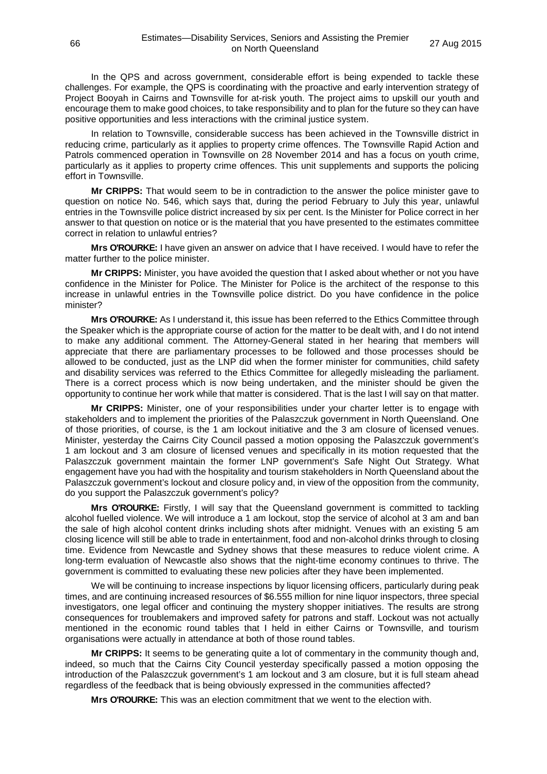In the QPS and across government, considerable effort is being expended to tackle these challenges. For example, the QPS is coordinating with the proactive and early intervention strategy of Project Booyah in Cairns and Townsville for at-risk youth. The project aims to upskill our youth and encourage them to make good choices, to take responsibility and to plan for the future so they can have positive opportunities and less interactions with the criminal justice system.

In relation to Townsville, considerable success has been achieved in the Townsville district in reducing crime, particularly as it applies to property crime offences. The Townsville Rapid Action and Patrols commenced operation in Townsville on 28 November 2014 and has a focus on youth crime, particularly as it applies to property crime offences. This unit supplements and supports the policing effort in Townsville.

**Mr CRIPPS:** That would seem to be in contradiction to the answer the police minister gave to question on notice No. 546, which says that, during the period February to July this year, unlawful entries in the Townsville police district increased by six per cent. Is the Minister for Police correct in her answer to that question on notice or is the material that you have presented to the estimates committee correct in relation to unlawful entries?

**Mrs O'ROURKE:** I have given an answer on advice that I have received. I would have to refer the matter further to the police minister.

**Mr CRIPPS:** Minister, you have avoided the question that I asked about whether or not you have confidence in the Minister for Police. The Minister for Police is the architect of the response to this increase in unlawful entries in the Townsville police district. Do you have confidence in the police minister?

**Mrs O'ROURKE:** As I understand it, this issue has been referred to the Ethics Committee through the Speaker which is the appropriate course of action for the matter to be dealt with, and I do not intend to make any additional comment. The Attorney-General stated in her hearing that members will appreciate that there are parliamentary processes to be followed and those processes should be allowed to be conducted, just as the LNP did when the former minister for communities, child safety and disability services was referred to the Ethics Committee for allegedly misleading the parliament. There is a correct process which is now being undertaken, and the minister should be given the opportunity to continue her work while that matter is considered. That is the last I will say on that matter.

**Mr CRIPPS:** Minister, one of your responsibilities under your charter letter is to engage with stakeholders and to implement the priorities of the Palaszczuk government in North Queensland. One of those priorities, of course, is the 1 am lockout initiative and the 3 am closure of licensed venues. Minister, yesterday the Cairns City Council passed a motion opposing the Palaszczuk government's 1 am lockout and 3 am closure of licensed venues and specifically in its motion requested that the Palaszczuk government maintain the former LNP government's Safe Night Out Strategy. What engagement have you had with the hospitality and tourism stakeholders in North Queensland about the Palaszczuk government's lockout and closure policy and, in view of the opposition from the community, do you support the Palaszczuk government's policy?

**Mrs O'ROURKE:** Firstly, I will say that the Queensland government is committed to tackling alcohol fuelled violence. We will introduce a 1 am lockout, stop the service of alcohol at 3 am and ban the sale of high alcohol content drinks including shots after midnight. Venues with an existing 5 am closing licence will still be able to trade in entertainment, food and non-alcohol drinks through to closing time. Evidence from Newcastle and Sydney shows that these measures to reduce violent crime. A long-term evaluation of Newcastle also shows that the night-time economy continues to thrive. The government is committed to evaluating these new policies after they have been implemented.

We will be continuing to increase inspections by liquor licensing officers, particularly during peak times, and are continuing increased resources of \$6.555 million for nine liquor inspectors, three special investigators, one legal officer and continuing the mystery shopper initiatives. The results are strong consequences for troublemakers and improved safety for patrons and staff. Lockout was not actually mentioned in the economic round tables that I held in either Cairns or Townsville, and tourism organisations were actually in attendance at both of those round tables.

**Mr CRIPPS:** It seems to be generating quite a lot of commentary in the community though and, indeed, so much that the Cairns City Council yesterday specifically passed a motion opposing the introduction of the Palaszczuk government's 1 am lockout and 3 am closure, but it is full steam ahead regardless of the feedback that is being obviously expressed in the communities affected?

**Mrs O'ROURKE:** This was an election commitment that we went to the election with.